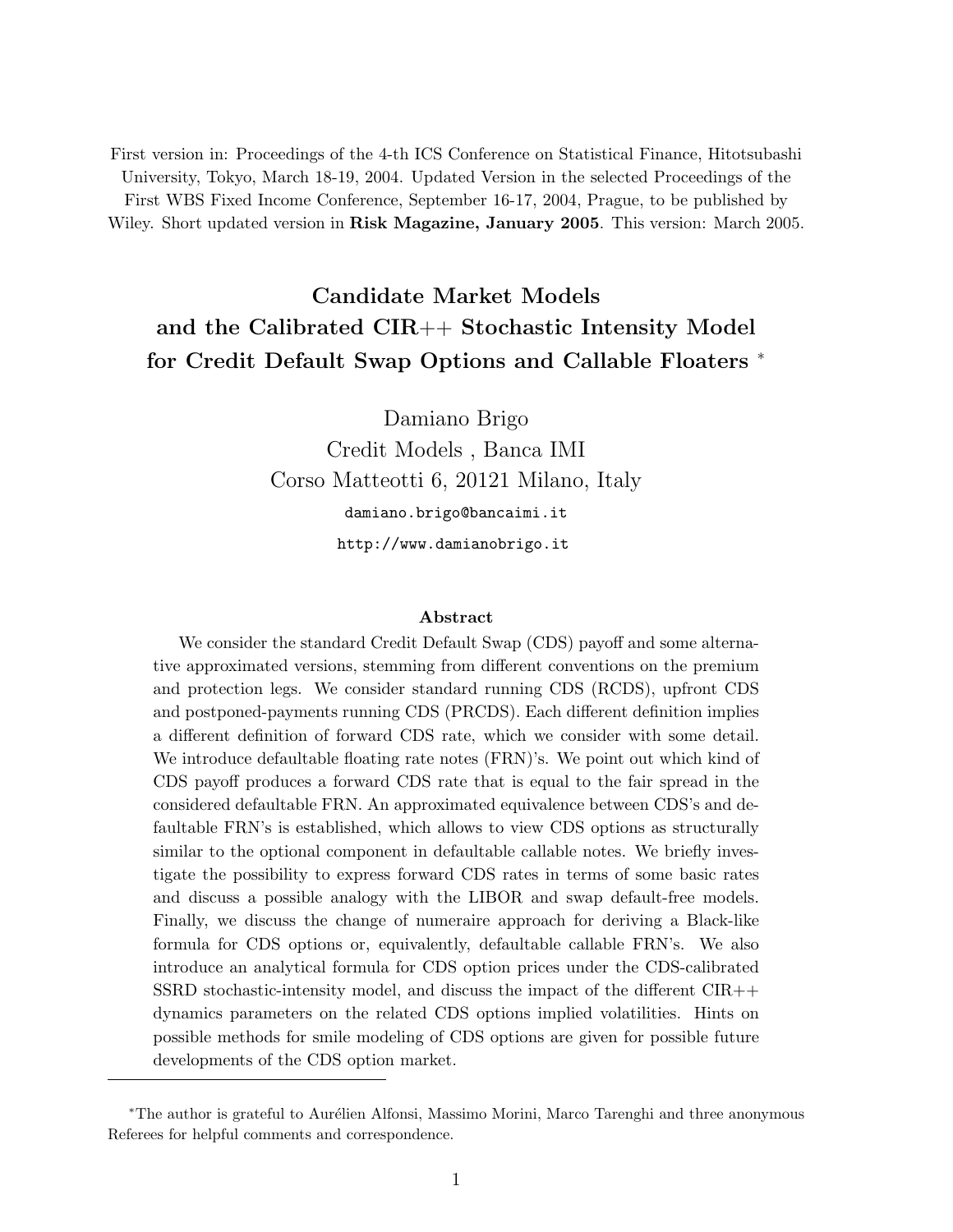First version in: Proceedings of the 4-th ICS Conference on Statistical Finance, Hitotsubashi University, Tokyo, March 18-19, 2004. Updated Version in the selected Proceedings of the First WBS Fixed Income Conference, September 16-17, 2004, Prague, to be published by Wiley. Short updated version in Risk Magazine, January 2005. This version: March 2005.

# Candidate Market Models and the Calibrated CIR++ Stochastic Intensity Model for Credit Default Swap Options and Callable Floaters <sup>\*</sup>

Damiano Brigo Credit Models , Banca IMI Corso Matteotti 6, 20121 Milano, Italy damiano.brigo@bancaimi.it http://www.damianobrigo.it

#### Abstract

We consider the standard Credit Default Swap (CDS) payoff and some alternative approximated versions, stemming from different conventions on the premium and protection legs. We consider standard running CDS (RCDS), upfront CDS and postponed-payments running CDS (PRCDS). Each different definition implies a different definition of forward CDS rate, which we consider with some detail. We introduce defaultable floating rate notes (FRN)'s. We point out which kind of CDS payoff produces a forward CDS rate that is equal to the fair spread in the considered defaultable FRN. An approximated equivalence between CDS's and defaultable FRN's is established, which allows to view CDS options as structurally similar to the optional component in defaultable callable notes. We briefly investigate the possibility to express forward CDS rates in terms of some basic rates and discuss a possible analogy with the LIBOR and swap default-free models. Finally, we discuss the change of numeraire approach for deriving a Black-like formula for CDS options or, equivalently, defaultable callable FRN's. We also introduce an analytical formula for CDS option prices under the CDS-calibrated SSRD stochastic-intensity model, and discuss the impact of the different CIR++ dynamics parameters on the related CDS options implied volatilities. Hints on possible methods for smile modeling of CDS options are given for possible future developments of the CDS option market.

<sup>\*</sup>The author is grateful to Aurélien Alfonsi, Massimo Morini, Marco Tarenghi and three anonymous Referees for helpful comments and correspondence.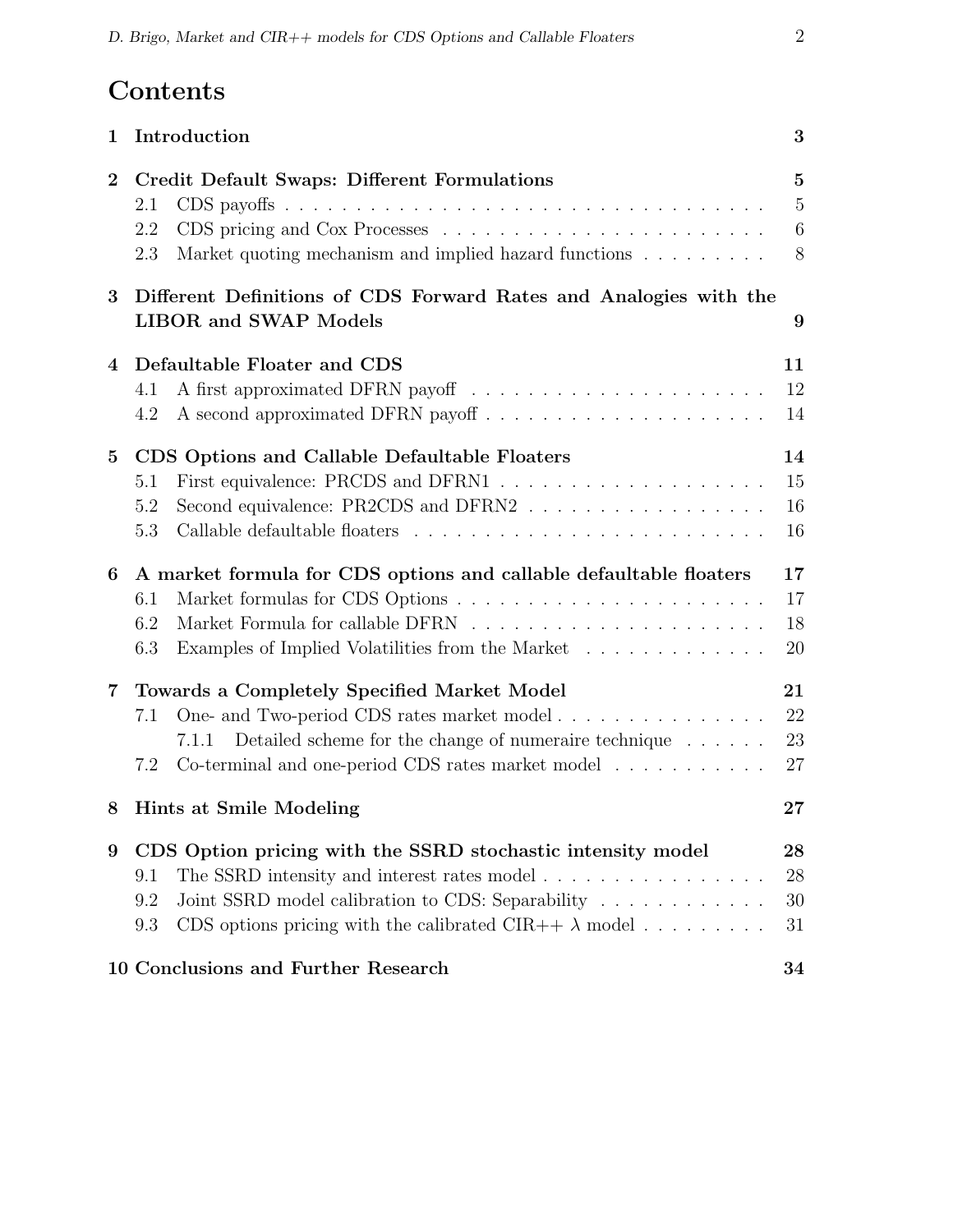# Contents

| $\mathbf 1$             | Introduction                                                                                                                                                                                                                                                        | 3                                                |
|-------------------------|---------------------------------------------------------------------------------------------------------------------------------------------------------------------------------------------------------------------------------------------------------------------|--------------------------------------------------|
| $\bf{2}$                | <b>Credit Default Swaps: Different Formulations</b><br>2.1<br>2.2<br>Market quoting mechanism and implied hazard functions $\hfill\ldots\ldots\ldots\ldots$<br>2.3                                                                                                  | $\overline{5}$<br>$\overline{5}$<br>$\,6\,$<br>8 |
| 3                       | Different Definitions of CDS Forward Rates and Analogies with the<br><b>LIBOR</b> and <b>SWAP</b> Models                                                                                                                                                            | 9                                                |
| 4                       | Defaultable Floater and CDS<br>4.1<br>4.2                                                                                                                                                                                                                           | 11<br>12<br>14                                   |
| $5\overline{)}$         | CDS Options and Callable Defaultable Floaters<br>5.1<br>Second equivalence: PR2CDS and DFRN2<br>5.2<br>5.3                                                                                                                                                          | 14<br>15<br>16<br>16                             |
| 6                       | A market formula for CDS options and callable defaultable floaters<br>6.1<br>6.2<br>6.3<br>Examples of Implied Volatilities from the Market                                                                                                                         | 17<br>17<br>18<br>20                             |
| $\overline{\mathbf{7}}$ | Towards a Completely Specified Market Model<br>One- and Two-period CDS rates market model<br>7.1<br>Detailed scheme for the change of numeraire technique $\dots \dots$<br>7.1.1<br>Co-terminal and one-period CDS rates market model $\ldots \ldots \ldots$<br>7.2 | 21<br>22<br>23<br>27                             |
| 8                       | Hints at Smile Modeling                                                                                                                                                                                                                                             | 27                                               |
| 9                       | CDS Option pricing with the SSRD stochastic intensity model<br>The SSRD intensity and interest rates model<br>9.1<br>Joint SSRD model calibration to CDS: Separability<br>9.2<br>CDS options pricing with the calibrated CIR++ $\lambda$ model<br>9.3               | $28\,$<br>28<br>30<br>31                         |
|                         | 10 Conclusions and Further Research                                                                                                                                                                                                                                 | 34                                               |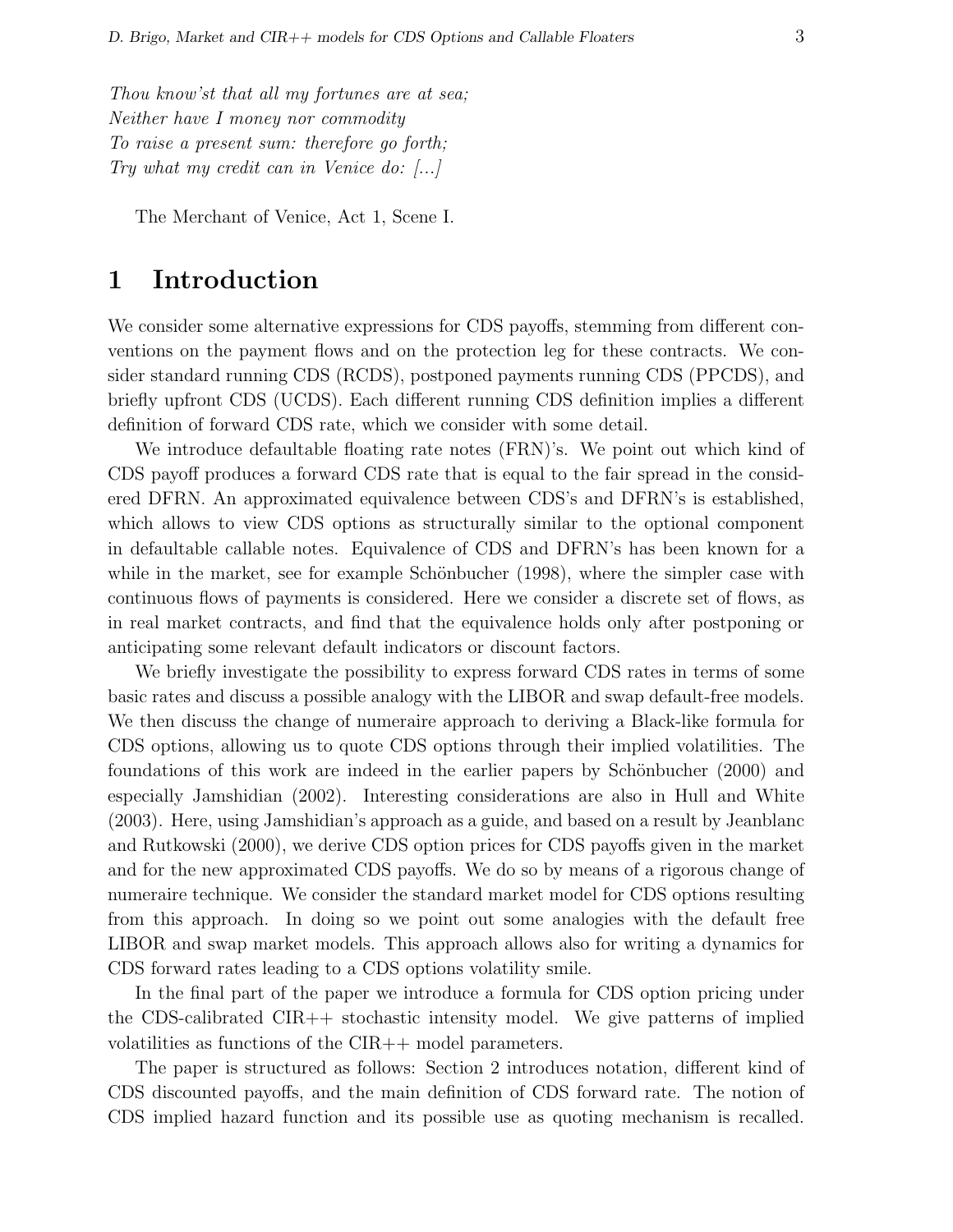Thou know'st that all my fortunes are at sea; Neither have I money nor commodity To raise a present sum: therefore go forth; Try what my credit can in Venice do: [...]

The Merchant of Venice, Act 1, Scene I.

# 1 Introduction

We consider some alternative expressions for CDS payoffs, stemming from different conventions on the payment flows and on the protection leg for these contracts. We consider standard running CDS (RCDS), postponed payments running CDS (PPCDS), and briefly upfront CDS (UCDS). Each different running CDS definition implies a different definition of forward CDS rate, which we consider with some detail.

We introduce defaultable floating rate notes (FRN)'s. We point out which kind of CDS payoff produces a forward CDS rate that is equal to the fair spread in the considered DFRN. An approximated equivalence between CDS's and DFRN's is established, which allows to view CDS options as structurally similar to the optional component in defaultable callable notes. Equivalence of CDS and DFRN's has been known for a while in the market, see for example Schönbucher  $(1998)$ , where the simpler case with continuous flows of payments is considered. Here we consider a discrete set of flows, as in real market contracts, and find that the equivalence holds only after postponing or anticipating some relevant default indicators or discount factors.

We briefly investigate the possibility to express forward CDS rates in terms of some basic rates and discuss a possible analogy with the LIBOR and swap default-free models. We then discuss the change of numeraire approach to deriving a Black-like formula for CDS options, allowing us to quote CDS options through their implied volatilities. The foundations of this work are indeed in the earlier papers by Schönbucher (2000) and especially Jamshidian (2002). Interesting considerations are also in Hull and White (2003). Here, using Jamshidian's approach as a guide, and based on a result by Jeanblanc and Rutkowski (2000), we derive CDS option prices for CDS payoffs given in the market and for the new approximated CDS payoffs. We do so by means of a rigorous change of numeraire technique. We consider the standard market model for CDS options resulting from this approach. In doing so we point out some analogies with the default free LIBOR and swap market models. This approach allows also for writing a dynamics for CDS forward rates leading to a CDS options volatility smile.

In the final part of the paper we introduce a formula for CDS option pricing under the CDS-calibrated CIR++ stochastic intensity model. We give patterns of implied volatilities as functions of the CIR++ model parameters.

The paper is structured as follows: Section 2 introduces notation, different kind of CDS discounted payoffs, and the main definition of CDS forward rate. The notion of CDS implied hazard function and its possible use as quoting mechanism is recalled.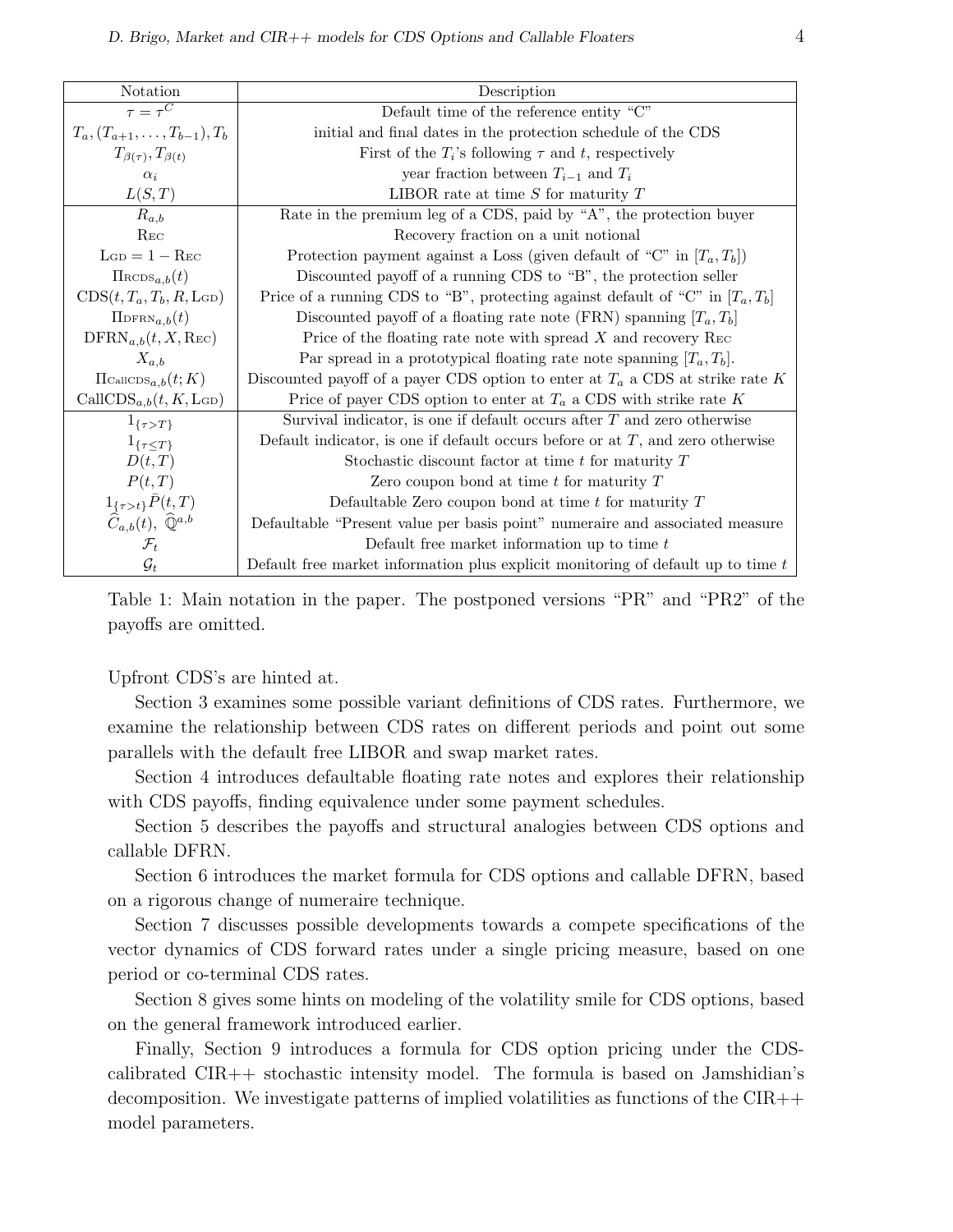| Notation                                                                                                        | Description                                                                        |
|-----------------------------------------------------------------------------------------------------------------|------------------------------------------------------------------------------------|
| $\overline{\tau} = \tau^C$                                                                                      | Default time of the reference entity "C"                                           |
| $T_a, (T_{a+1}, \ldots, T_{b-1}), T_b$                                                                          | initial and final dates in the protection schedule of the CDS                      |
| $T_{\beta(\tau)}, T_{\beta(t)}$                                                                                 | First of the $T_i$ 's following $\tau$ and t, respectively                         |
| $\alpha_i$                                                                                                      | year fraction between $T_{i-1}$ and $T_i$                                          |
| L(S,T)                                                                                                          | LIBOR rate at time $S$ for maturity $T$                                            |
| $R_{a,b}$                                                                                                       | Rate in the premium leg of a CDS, paid by "A", the protection buyer                |
| $_{\rm Rec}$                                                                                                    | Recovery fraction on a unit notional                                               |
| $L_{GD} = 1 - Rec$                                                                                              | Protection payment against a Loss (given default of "C" in $[T_a, T_b]$ )          |
| $\Pi_{\text{RCDS}_{a,b}}(t)$                                                                                    | Discounted payoff of a running CDS to "B", the protection seller                   |
| $CDS(t, T_a, T_b, R, \text{LGD})$                                                                               | Price of a running CDS to "B", protecting against default of "C" in $[T_a, T_b]$ " |
| $\Pi_{\text{DFRN}_{a,b}(t)}$                                                                                    | Discounted payoff of a floating rate note (FRN) spanning $[T_a, T_b]$              |
| $\text{DFRN}_{a,b}(t, X, \text{Rec})$                                                                           | Price of the floating rate note with spread $X$ and recovery REC                   |
| $X_{a,b}$                                                                                                       | Par spread in a prototypical floating rate note spanning $[T_a, T_b]$ .            |
| $\Pi$ CallCDS <sub>a,b</sub> $(t; K)$                                                                           | Discounted payoff of a payer CDS option to enter at $T_a$ a CDS at strike rate K   |
| CallCDS <sub>a,b</sub> $(t, K, \text{LGD})$                                                                     | Price of payer CDS option to enter at $T_a$ a CDS with strike rate K               |
| $1_{\{\tau>T\}}$                                                                                                | Survival indicator, is one if default occurs after $T$ and zero otherwise          |
| $1_{\{\tau \leq T\}}$                                                                                           | Default indicator, is one if default occurs before or at $T$ , and zero otherwise  |
| D(t,T)                                                                                                          | Stochastic discount factor at time $t$ for maturity $T$                            |
| P(t,T)                                                                                                          | Zero coupon bond at time $t$ for maturity $T$                                      |
|                                                                                                                 | Defaultable Zero coupon bond at time $t$ for maturity $T$                          |
| $\begin{array}{c} 1_{\{\tau>t\}}\bar{P}(t,T) \\ \widehat{C}_{a,b}(t), \ \widehat{\mathbb{Q}}^{a,b} \end{array}$ | Defaultable "Present value per basis point" numeraire and associated measure       |
| $\mathcal{F}_t$                                                                                                 | Default free market information up to time $t$                                     |
| $\mathcal{G}_t$                                                                                                 | Default free market information plus explicit monitoring of default up to time $t$ |

Table 1: Main notation in the paper. The postponed versions "PR" and "PR2" of the payoffs are omitted.

#### Upfront CDS's are hinted at.

Section 3 examines some possible variant definitions of CDS rates. Furthermore, we examine the relationship between CDS rates on different periods and point out some parallels with the default free LIBOR and swap market rates.

Section 4 introduces defaultable floating rate notes and explores their relationship with CDS payoffs, finding equivalence under some payment schedules.

Section 5 describes the payoffs and structural analogies between CDS options and callable DFRN.

Section 6 introduces the market formula for CDS options and callable DFRN, based on a rigorous change of numeraire technique.

Section 7 discusses possible developments towards a compete specifications of the vector dynamics of CDS forward rates under a single pricing measure, based on one period or co-terminal CDS rates.

Section 8 gives some hints on modeling of the volatility smile for CDS options, based on the general framework introduced earlier.

Finally, Section 9 introduces a formula for CDS option pricing under the CDScalibrated CIR++ stochastic intensity model. The formula is based on Jamshidian's decomposition. We investigate patterns of implied volatilities as functions of the  $\text{CIR++}$ model parameters.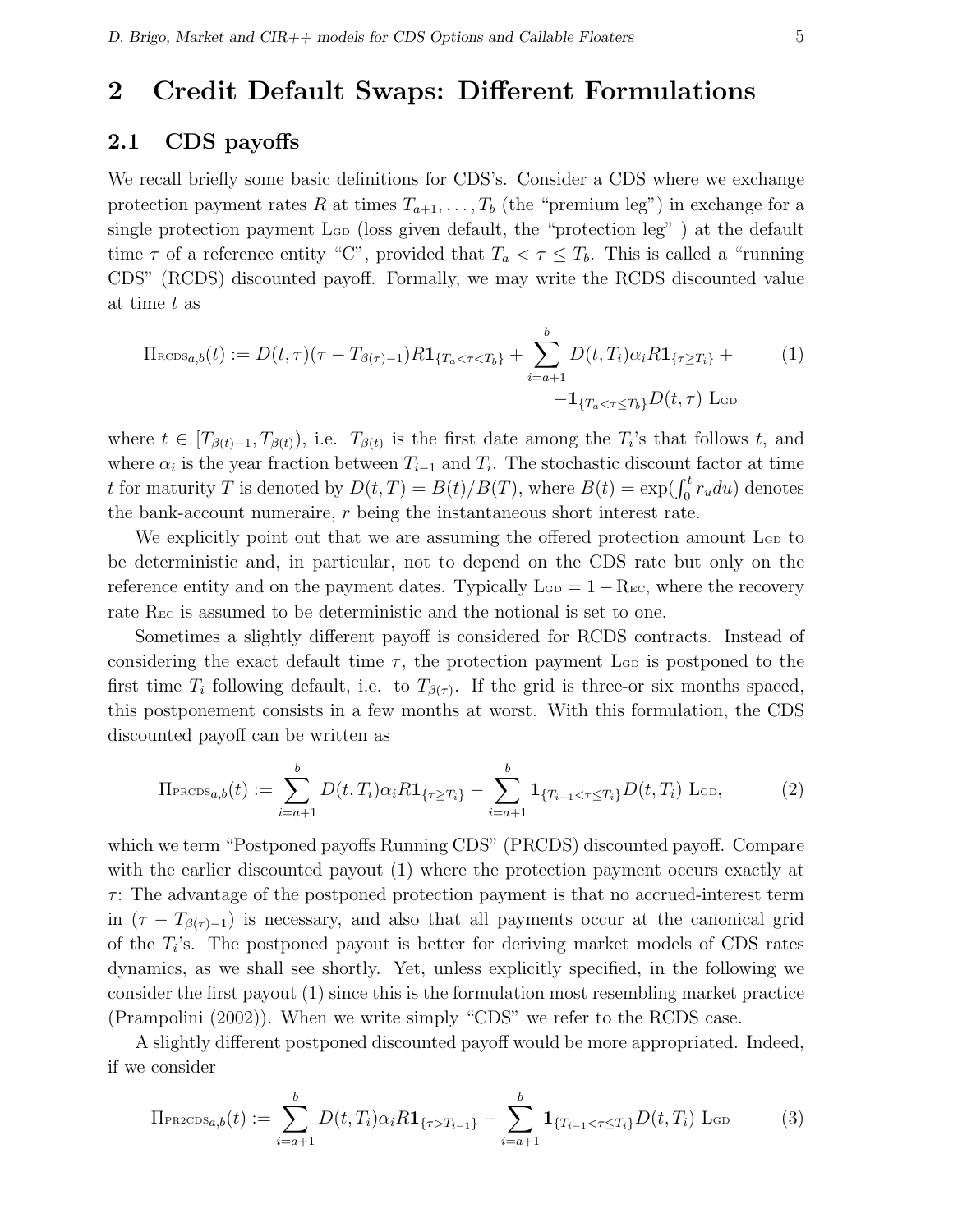# 2 Credit Default Swaps: Different Formulations

### 2.1 CDS payoffs

We recall briefly some basic definitions for CDS's. Consider a CDS where we exchange protection payment rates R at times  $T_{a+1}, \ldots, T_b$  (the "premium leg") in exchange for a single protection payment L<sub>GD</sub> (loss given default, the "protection leg") at the default time  $\tau$  of a reference entity "C", provided that  $T_a < \tau \leq T_b$ . This is called a "running" CDS" (RCDS) discounted payoff. Formally, we may write the RCDS discounted value at time t as

$$
\Pi_{\text{RCDS}_{a,b}}(t) := D(t,\tau)(\tau - T_{\beta(\tau)-1})R\mathbf{1}_{\{T_a < \tau < T_b\}} + \sum_{i=a+1}^{b} D(t,T_i)\alpha_i R \mathbf{1}_{\{\tau \ge T_i\}} + \qquad (1) \\ - \mathbf{1}_{\{T_a < \tau \le T_b\}} D(t,\tau) \operatorname{Lop}
$$

where  $t \in [T_{\beta(t)-1}, T_{\beta(t)})$ , i.e.  $T_{\beta(t)}$  is the first date among the  $T_i$ 's that follows t, and where  $\alpha_i$  is the year fraction between  $T_{i-1}$  and  $T_i$ . The stochastic discount factor at time where  $\alpha_i$  is the year fraction between  $T_{i-1}$  and  $T_i$ . The stochastic discount factor at time that the the transmission of  $t$  for maturity T is denoted by  $D(t,T) = B(t)/B(T)$ , where  $B(t) = \exp(\int_0^t r_u du)$  denotes the bank-account numeraire, r being the instantaneous short interest rate.

We explicitly point out that we are assuming the offered protection amount  $\mathcal{L}_{\text{GD}}$  to be deterministic and, in particular, not to depend on the CDS rate but only on the reference entity and on the payment dates. Typically  $\text{L}_{GD} = 1 - \text{R}_{EC}$ , where the recovery rate R<sub>EC</sub> is assumed to be deterministic and the notional is set to one.

Sometimes a slightly different payoff is considered for RCDS contracts. Instead of considering the exact default time  $\tau$ , the protection payment L<sub>GD</sub> is postponed to the first time  $T_i$  following default, i.e. to  $T_{\beta(\tau)}$ . If the grid is three-or six months spaced, this postponement consists in a few months at worst. With this formulation, the CDS discounted payoff can be written as

$$
\Pi_{\text{PROS}_{a,b}}(t) := \sum_{i=a+1}^{b} D(t, T_i) \alpha_i R \mathbf{1}_{\{\tau \ge T_i\}} - \sum_{i=a+1}^{b} \mathbf{1}_{\{T_{i-1} < \tau \le T_i\}} D(t, T_i) \text{L}_{\text{GD}},\tag{2}
$$

which we term "Postponed payoffs Running CDS" (PRCDS) discounted payoff. Compare with the earlier discounted payout (1) where the protection payment occurs exactly at  $\tau$ : The advantage of the postponed protection payment is that no accrued-interest term in  $(\tau - T_{\beta(\tau)-1})$  is necessary, and also that all payments occur at the canonical grid of the  $T_i$ 's. The postponed payout is better for deriving market models of CDS rates dynamics, as we shall see shortly. Yet, unless explicitly specified, in the following we consider the first payout (1) since this is the formulation most resembling market practice (Prampolini (2002)). When we write simply "CDS" we refer to the RCDS case.

A slightly different postponed discounted payoff would be more appropriated. Indeed, if we consider

$$
\Pi_{\text{PR2CDS}_{a,b}}(t) := \sum_{i=a+1}^{b} D(t, T_i) \alpha_i R \mathbf{1}_{\{\tau > T_{i-1}\}} - \sum_{i=a+1}^{b} \mathbf{1}_{\{T_{i-1} < \tau \le T_i\}} D(t, T_i) \text{ L}_{\text{GD}} \tag{3}
$$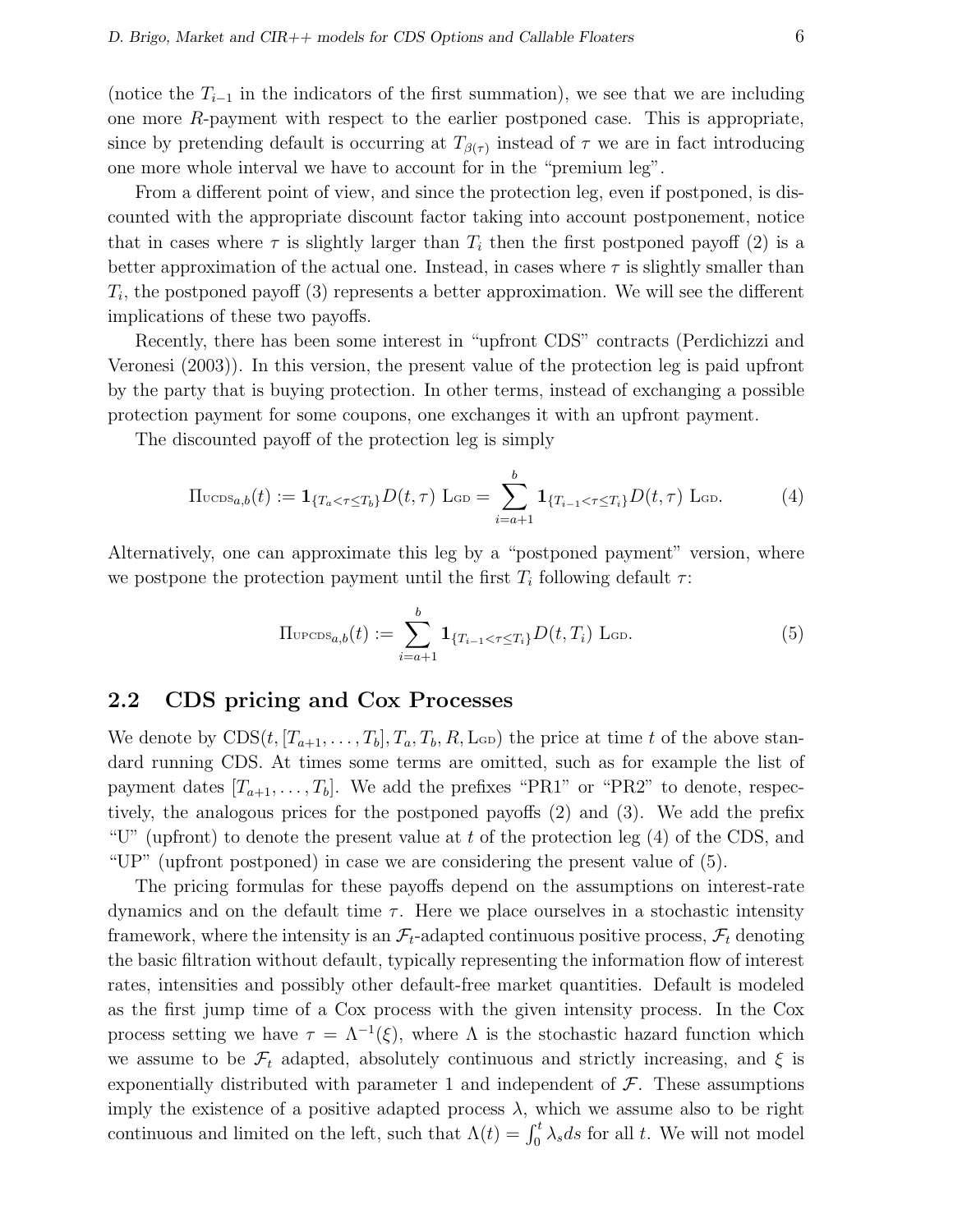(notice the  $T_{i-1}$  in the indicators of the first summation), we see that we are including one more R-payment with respect to the earlier postponed case. This is appropriate, since by pretending default is occurring at  $T_{\beta(\tau)}$  instead of  $\tau$  we are in fact introducing one more whole interval we have to account for in the "premium leg".

From a different point of view, and since the protection leg, even if postponed, is discounted with the appropriate discount factor taking into account postponement, notice that in cases where  $\tau$  is slightly larger than  $T_i$  then the first postponed payoff (2) is a better approximation of the actual one. Instead, in cases where  $\tau$  is slightly smaller than  $T_i$ , the postponed payoff (3) represents a better approximation. We will see the different implications of these two payoffs.

Recently, there has been some interest in "upfront CDS" contracts (Perdichizzi and Veronesi (2003)). In this version, the present value of the protection leg is paid upfront by the party that is buying protection. In other terms, instead of exchanging a possible protection payment for some coupons, one exchanges it with an upfront payment.

The discounted payoff of the protection leg is simply

$$
\Pi_{\text{UCDS}_{a,b}}(t) := \mathbf{1}_{\{T_a < \tau \le T_b\}} D(t, \tau) \operatorname{L}_{\text{GD}} = \sum_{i=a+1}^b \mathbf{1}_{\{T_{i-1} < \tau \le T_i\}} D(t, \tau) \operatorname{L}_{\text{GD}}.\tag{4}
$$

Alternatively, one can approximate this leg by a "postponed payment" version, where we postpone the protection payment until the first  $T_i$  following default  $\tau$ :

$$
\Pi_{\text{UPCDS}_{a,b}}(t) := \sum_{i=a+1}^{b} \mathbf{1}_{\{T_{i-1} < \tau \le T_i\}} D(t, T_i) \text{ L}_{\text{GD}}.\tag{5}
$$

## 2.2 CDS pricing and Cox Processes

We denote by  $CDS(t, [T_{a+1}, \ldots, T_b], T_a, T_b, R, L_{GD})$  the price at time t of the above standard running CDS. At times some terms are omitted, such as for example the list of payment dates  $[T_{a+1},...,T_b]$ . We add the prefixes "PR1" or "PR2" to denote, respectively, the analogous prices for the postponed payoffs (2) and (3). We add the prefix "U" (upfront) to denote the present value at t of the protection leg  $(4)$  of the CDS, and "UP" (upfront postponed) in case we are considering the present value of (5).

The pricing formulas for these payoffs depend on the assumptions on interest-rate dynamics and on the default time  $\tau$ . Here we place ourselves in a stochastic intensity framework, where the intensity is an  $\mathcal{F}_t$ -adapted continuous positive process,  $\mathcal{F}_t$  denoting the basic filtration without default, typically representing the information flow of interest rates, intensities and possibly other default-free market quantities. Default is modeled as the first jump time of a Cox process with the given intensity process. In the Cox process setting we have  $\tau = \Lambda^{-1}(\xi)$ , where  $\Lambda$  is the stochastic hazard function which we assume to be  $\mathcal{F}_t$  adapted, absolutely continuous and strictly increasing, and  $\xi$  is exponentially distributed with parameter 1 and independent of  $\mathcal F$ . These assumptions imply the existence of a positive adapted process  $\lambda$ , which we assume also to be right mply the existence of a positive adapted process  $\lambda$ , which we assume also to be right<br>continuous and limited on the left, such that  $\Lambda(t) = \int_0^t \lambda_s ds$  for all t. We will not model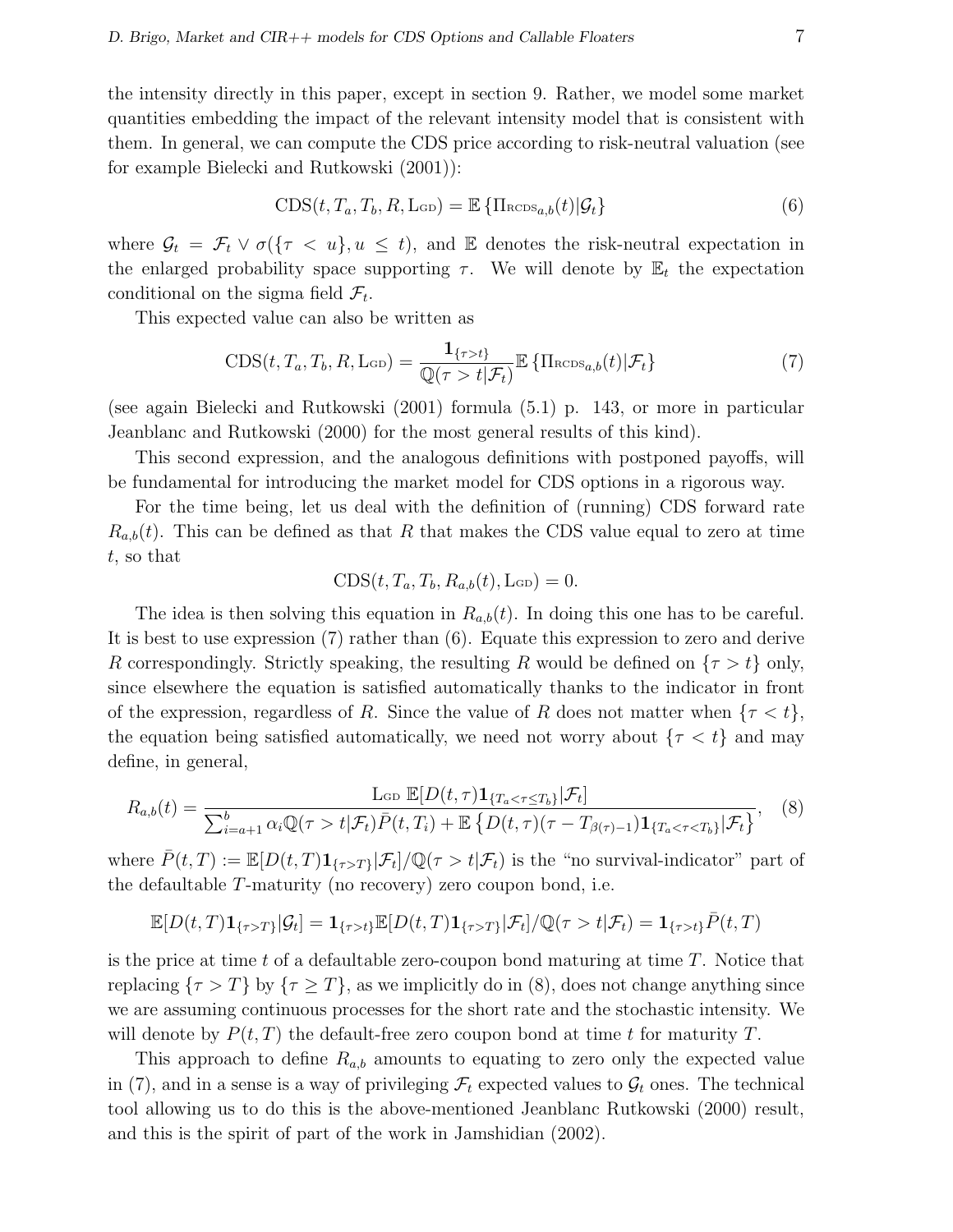the intensity directly in this paper, except in section 9. Rather, we model some market quantities embedding the impact of the relevant intensity model that is consistent with them. In general, we can compute the CDS price according to risk-neutral valuation (see for example Bielecki and Rutkowski (2001)):

$$
CDS(t, T_a, T_b, R, \text{L}_{GD}) = \mathbb{E} \left\{ \Pi_{RCDS_{a,b}}(t) | \mathcal{G}_t \right\}
$$
(6)

where  $\mathcal{G}_t = \mathcal{F}_t \vee \sigma(\{\tau \langle u \}, u \leq t), \text{ and } \mathbb{E}$  denotes the risk-neutral expectation in the enlarged probability space supporting  $\tau$ . We will denote by  $\mathbb{E}_t$  the expectation conditional on the sigma field  $\mathcal{F}_t$ .

This expected value can also be written as

$$
\text{CDS}(t, T_a, T_b, R, \text{LoD}) = \frac{\mathbf{1}_{\{\tau > t\}}}{\mathbb{Q}(\tau > t | \mathcal{F}_t)} \mathbb{E} \left\{ \Pi_{\text{RCDS}_{a,b}}(t) | \mathcal{F}_t \right\} \tag{7}
$$

(see again Bielecki and Rutkowski (2001) formula (5.1) p. 143, or more in particular Jeanblanc and Rutkowski (2000) for the most general results of this kind).

This second expression, and the analogous definitions with postponed payoffs, will be fundamental for introducing the market model for CDS options in a rigorous way.

For the time being, let us deal with the definition of (running) CDS forward rate  $R_{a,b}(t)$ . This can be defined as that R that makes the CDS value equal to zero at time t, so that

$$
CDS(t, T_a, T_b, R_{a,b}(t), \text{L}_{GD}) = 0.
$$

The idea is then solving this equation in  $R_{a,b}(t)$ . In doing this one has to be careful. It is best to use expression (7) rather than (6). Equate this expression to zero and derive R correspondingly. Strictly speaking, the resulting R would be defined on  $\{\tau > t\}$  only, since elsewhere the equation is satisfied automatically thanks to the indicator in front of the expression, regardless of R. Since the value of R does not matter when  $\{\tau < t\},\$ the equation being satisfied automatically, we need not worry about  $\{\tau < t\}$  and may define, in general,

$$
R_{a,b}(t) = \frac{\operatorname{Lop} \mathbb{E}[D(t,\tau)\mathbf{1}_{\{T_a < \tau \le T_b\}}|\mathcal{F}_t]}{\sum_{i=a+1}^b \alpha_i \mathbb{Q}(\tau > t|\mathcal{F}_t)\bar{P}(t,T_i) + \mathbb{E}\left\{D(t,\tau)(\tau - T_{\beta(\tau)-1})\mathbf{1}_{\{T_a < \tau < T_b\}}|\mathcal{F}_t\right\}},\tag{8}
$$

where  $\bar{P}(t,T) := \mathbb{E}[D(t,T) \mathbf{1}_{\{\tau>T\}} | \mathcal{F}_t] / \mathbb{Q}(\tau > t | \mathcal{F}_t)$  is the "no survival-indicator" part of the defaultable T-maturity (no recovery) zero coupon bond, i.e.

$$
\mathbb{E}[D(t,T)\mathbf{1}_{\{\tau>T\}}|\mathcal{G}_t] = \mathbf{1}_{\{\tau>t\}}\mathbb{E}[D(t,T)\mathbf{1}_{\{\tau>T\}}|\mathcal{F}_t]/\mathbb{Q}(\tau>t|\mathcal{F}_t) = \mathbf{1}_{\{\tau>t\}}\bar{P}(t,T)
$$

is the price at time t of a defaultable zero-coupon bond maturing at time  $T$ . Notice that replacing  $\{\tau > T\}$  by  $\{\tau \geq T\}$ , as we implicitly do in (8), does not change anything since we are assuming continuous processes for the short rate and the stochastic intensity. We will denote by  $P(t, T)$  the default-free zero coupon bond at time t for maturity T.

This approach to define  $R_{a,b}$  amounts to equating to zero only the expected value in (7), and in a sense is a way of privileging  $\mathcal{F}_t$  expected values to  $\mathcal{G}_t$  ones. The technical tool allowing us to do this is the above-mentioned Jeanblanc Rutkowski (2000) result, and this is the spirit of part of the work in Jamshidian (2002).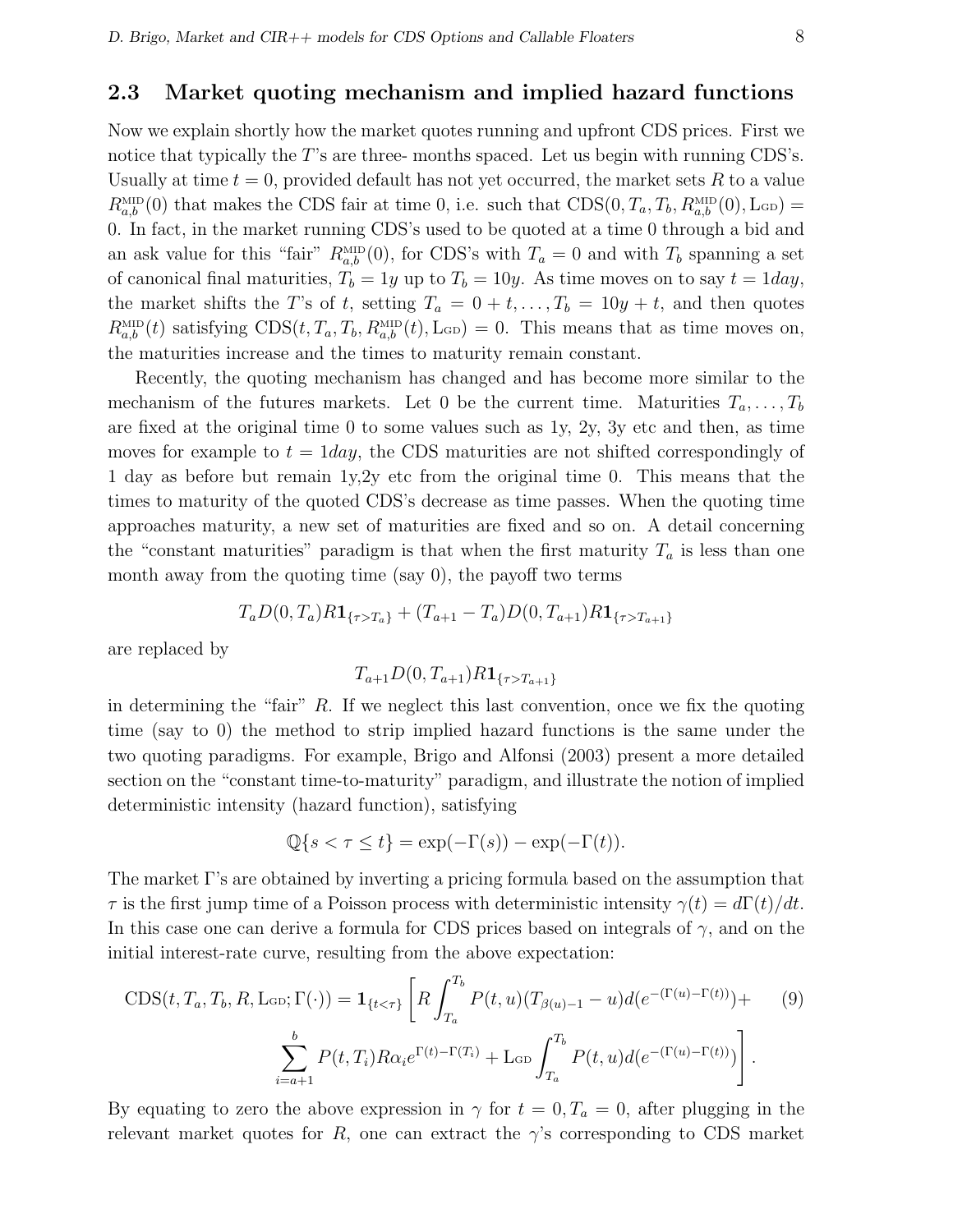### 2.3 Market quoting mechanism and implied hazard functions

Now we explain shortly how the market quotes running and upfront CDS prices. First we notice that typically the T's are three- months spaced. Let us begin with running CDS's. Usually at time  $t = 0$ , provided default has not yet occurred, the market sets R to a value  $R_{a,b}^{\text{MID}}(0)$  that makes the CDS fair at time 0, i.e. such that  $CDS(0, T_a, T_b, R_{a,b}^{\text{MID}}(0), L_{GD}) =$ 0. In fact, in the market running CDS's used to be quoted at a time 0 through a bid and an ask value for this "fair"  $R_{a,b}^{\text{MD}}(0)$ , for CDS's with  $T_a = 0$  and with  $T_b$  spanning a set of canonical final maturities,  $T_b = 1y$  up to  $T_b = 10y$ . As time moves on to say  $t = 1day$ , the market shifts the T's of t, setting  $T_a = 0 + t, \ldots, T_b = 10y + t$ , and then quotes  $R_{a,b}^{\text{MID}}(t)$  satisfying  $CDS(t, T_a, T_b, R_{a,b}^{\text{MID}}(t), \text{L}_{GD}) = 0$ . This means that as time moves on, the maturities increase and the times to maturity remain constant.

Recently, the quoting mechanism has changed and has become more similar to the mechanism of the futures markets. Let 0 be the current time. Maturities  $T_a, \ldots, T_b$ are fixed at the original time 0 to some values such as 1y, 2y, 3y etc and then, as time moves for example to  $t = 1$  day, the CDS maturities are not shifted correspondingly of 1 day as before but remain 1y,2y etc from the original time 0. This means that the times to maturity of the quoted CDS's decrease as time passes. When the quoting time approaches maturity, a new set of maturities are fixed and so on. A detail concerning the "constant maturities" paradigm is that when the first maturity  $T_a$  is less than one month away from the quoting time (say 0), the payoff two terms

$$
T_a D(0, T_a) R \mathbf{1}_{\{\tau > T_a\}} + (T_{a+1} - T_a) D(0, T_{a+1}) R \mathbf{1}_{\{\tau > T_{a+1}\}}
$$

are replaced by

$$
T_{a+1}D(0, T_{a+1})R\mathbf{1}_{\{\tau>T_{a+1}\}}
$$

in determining the "fair"  $R$ . If we neglect this last convention, once we fix the quoting time (say to 0) the method to strip implied hazard functions is the same under the two quoting paradigms. For example, Brigo and Alfonsi (2003) present a more detailed section on the "constant time-to-maturity" paradigm, and illustrate the notion of implied deterministic intensity (hazard function), satisfying

$$
\mathbb{Q}\{s < \tau \le t\} = \exp(-\Gamma(s)) - \exp(-\Gamma(t)).
$$

The market Γ's are obtained by inverting a pricing formula based on the assumption that  $\tau$  is the first jump time of a Poisson process with deterministic intensity  $\gamma(t) = d\Gamma(t)/dt$ . In this case one can derive a formula for CDS prices based on integrals of  $\gamma$ , and on the initial interest-rate curve, resulting from the above expectation:

$$
CDS(t, T_a, T_b, R, \text{Lob}; \Gamma(\cdot)) = \mathbf{1}_{\{t < \tau\}} \left[ R \int_{T_a}^{T_b} P(t, u) (T_{\beta(u)-1} - u) d(e^{-(\Gamma(u)-\Gamma(t))}) + \sum_{i=a+1}^{b} P(t, T_i) R \alpha_i e^{\Gamma(t)-\Gamma(T_i)} + \text{Lob} \int_{T_a}^{T_b} P(t, u) d(e^{-(\Gamma(u)-\Gamma(t))}) \right]. \tag{9}
$$

By equating to zero the above expression in  $\gamma$  for  $t = 0, T_a = 0$ , after plugging in the relevant market quotes for R, one can extract the  $\gamma$ 's corresponding to CDS market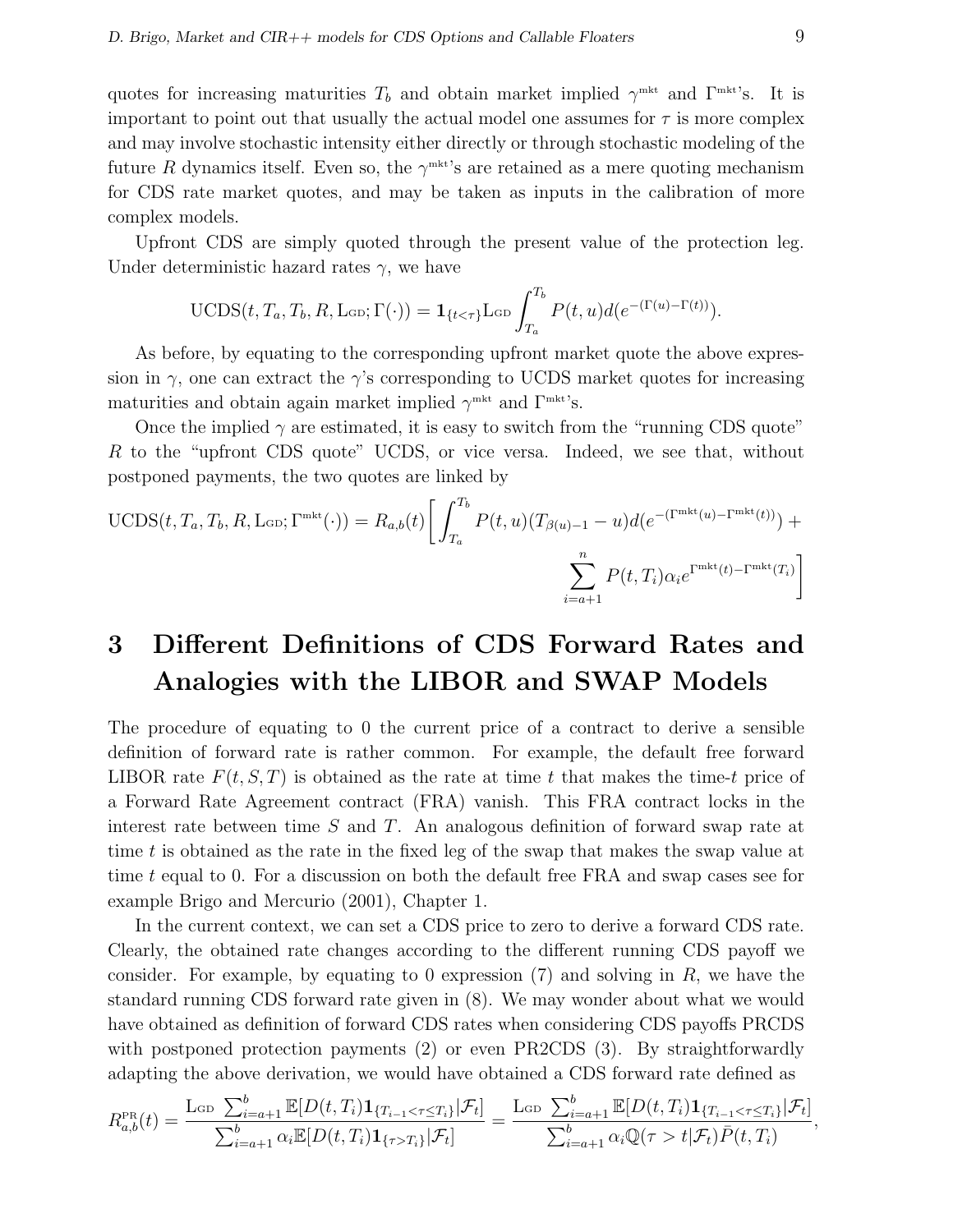quotes for increasing maturities  $T_b$  and obtain market implied  $\gamma^{\text{mkt}}$  and  $\Gamma^{\text{mkt}}$ 's. It is important to point out that usually the actual model one assumes for  $\tau$  is more complex and may involve stochastic intensity either directly or through stochastic modeling of the future R dynamics itself. Even so, the  $\gamma^{\text{mkt}}$ 's are retained as a mere quoting mechanism for CDS rate market quotes, and may be taken as inputs in the calibration of more complex models.

Upfront CDS are simply quoted through the present value of the protection leg. Under deterministic hazard rates  $\gamma$ , we have

UCDS
$$
(t, T_a, T_b, R, \text{Lop}; \Gamma(\cdot)) = \mathbf{1}_{\{t < \tau\}} \text{Lop} \int_{T_a}^{T_b} P(t, u) d(e^{-(\Gamma(u) - \Gamma(t)))}.
$$

As before, by equating to the corresponding upfront market quote the above expression in  $\gamma$ , one can extract the  $\gamma$ 's corresponding to UCDS market quotes for increasing maturities and obtain again market implied  $\gamma^{\text{mkt}}$  and  $\Gamma^{\text{mkt}}$ 's.

Once the implied  $\gamma$  are estimated, it is easy to switch from the "running CDS quote" R to the "upfront CDS quote" UCDS, or vice versa. Indeed, we see that, without postponed payments, the two quotes are linked by

UCDS
$$
(t, T_a, T_b, R, \text{L}_{GD}; \Gamma^{\text{mkt}}(\cdot)) = R_{a,b}(t) \left[ \int_{T_a}^{T_b} P(t, u) (T_{\beta(u)-1} - u) d(e^{-(\Gamma^{\text{mkt}}(u) - \Gamma^{\text{mkt}}(t))}) + \sum_{i=a+1}^{n} P(t, T_i) \alpha_i e^{\Gamma^{\text{mkt}}(t) - \Gamma^{\text{mkt}}(T_i)} \right]
$$

# 3 Different Definitions of CDS Forward Rates and Analogies with the LIBOR and SWAP Models

The procedure of equating to 0 the current price of a contract to derive a sensible definition of forward rate is rather common. For example, the default free forward LIBOR rate  $F(t, S, T)$  is obtained as the rate at time t that makes the time-t price of a Forward Rate Agreement contract (FRA) vanish. This FRA contract locks in the interest rate between time  $S$  and  $T$ . An analogous definition of forward swap rate at time t is obtained as the rate in the fixed leg of the swap that makes the swap value at time t equal to 0. For a discussion on both the default free FRA and swap cases see for example Brigo and Mercurio (2001), Chapter 1.

In the current context, we can set a CDS price to zero to derive a forward CDS rate. Clearly, the obtained rate changes according to the different running CDS payoff we consider. For example, by equating to 0 expression  $(7)$  and solving in R, we have the standard running CDS forward rate given in (8). We may wonder about what we would have obtained as definition of forward CDS rates when considering CDS payoffs PRCDS with postponed protection payments (2) or even PR2CDS (3). By straightforwardly adapting the above derivation, we would have obtained a CDS forward rate defined as

$$
R_{a,b}^{\text{PR}}(t) = \frac{\text{Lop } \sum_{i=a+1}^{b} \mathbb{E}[D(t,T_i) \mathbf{1}_{\{T_{i-1} < \tau \leq T_i\}} | \mathcal{F}_t]}{\sum_{i=a+1}^{b} \alpha_i \mathbb{E}[D(t,T_i) \mathbf{1}_{\{\tau > T_i\}} | \mathcal{F}_t]} = \frac{\text{Lop } \sum_{i=a+1}^{b} \mathbb{E}[D(t,T_i) \mathbf{1}_{\{T_{i-1} < \tau \leq T_i\}} | \mathcal{F}_t]}{\sum_{i=a+1}^{b} \alpha_i \mathbb{Q}(\tau > t | \mathcal{F}_t) \bar{P}(t,T_i)},
$$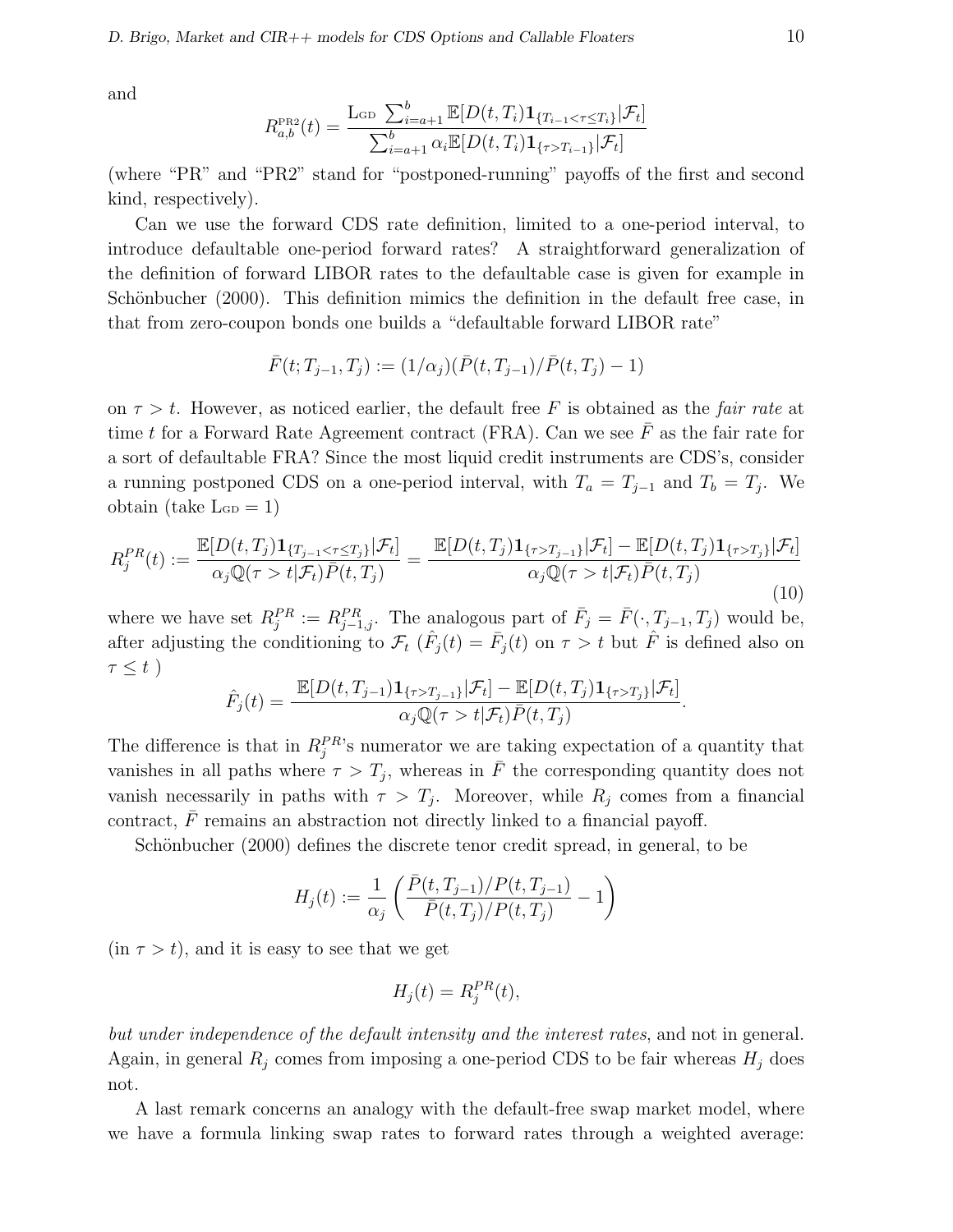and

$$
R_{a,b}^{\text{PR2}}(t) = \frac{\text{L}_{\text{GD}} \sum_{i=a+1}^{b} \mathbb{E}[D(t, T_i) \mathbf{1}_{\{T_{i-1} < \tau \le T_i\}} | \mathcal{F}_t]}{\sum_{i=a+1}^{b} \alpha_i \mathbb{E}[D(t, T_i) \mathbf{1}_{\{\tau > T_{i-1}\}} | \mathcal{F}_t]}
$$

(where "PR" and "PR2" stand for "postponed-running" payoffs of the first and second kind, respectively).

Can we use the forward CDS rate definition, limited to a one-period interval, to introduce defaultable one-period forward rates? A straightforward generalization of the definition of forward LIBOR rates to the defaultable case is given for example in Schönbucher (2000). This definition mimics the definition in the default free case, in that from zero-coupon bonds one builds a "defaultable forward LIBOR rate"

$$
\bar{F}(t;T_{j-1},T_j) := (1/\alpha_j)(\bar{P}(t,T_{j-1})/\bar{P}(t,T_j) - 1)
$$

on  $\tau > t$ . However, as noticed earlier, the default free F is obtained as the *fair rate* at time t for a Forward Rate Agreement contract (FRA). Can we see  $\bar{F}$  as the fair rate for a sort of defaultable FRA? Since the most liquid credit instruments are CDS's, consider a running postponed CDS on a one-period interval, with  $T_a = T_{j-1}$  and  $T_b = T_j$ . We obtain (take  $\text{L}_{GD} = 1$ )

$$
R_j^{PR}(t) := \frac{\mathbb{E}[D(t, T_j)\mathbf{1}_{\{T_{j-1} < \tau \le T_j\}}|\mathcal{F}_t]}{\alpha_j \mathbb{Q}(\tau > t|\mathcal{F}_t)\bar{P}(t, T_j)} = \frac{\mathbb{E}[D(t, T_j)\mathbf{1}_{\{\tau > T_{j-1}\}}|\mathcal{F}_t] - \mathbb{E}[D(t, T_j)\mathbf{1}_{\{\tau > T_j\}}|\mathcal{F}_t]}{\alpha_j \mathbb{Q}(\tau > t|\mathcal{F}_t)\bar{P}(t, T_j)}\tag{10}
$$

where we have set  $R_j^{PR} := R_{j-1,j}^{PR}$ . The analogous part of  $\bar{F}_j = \bar{F}(\cdot, T_{j-1}, T_j)$  would be, after adjusting the conditioning to  $\mathcal{F}_t$  ( $\hat{F}_j(t) = \bar{F}_j(t)$  on  $\tau > t$  but  $\hat{F}$  is defined also on  $\tau \leq t$ )

$$
\hat{F}_j(t) = \frac{\mathbb{E}[D(t,T_{j-1})\mathbf{1}_{\{\tau>T_{j-1}\}}|\mathcal{F}_t] - \mathbb{E}[D(t,T_j)\mathbf{1}_{\{\tau>T_j\}}|\mathcal{F}_t]}{\alpha_j \mathbb{Q}(\tau > t|\mathcal{F}_t)\bar{P}(t,T_j)}.
$$

The difference is that in  $R_j^{PR}$ 's numerator we are taking expectation of a quantity that vanishes in all paths where  $\tau > T_j$ , whereas in  $\bar{F}$  the corresponding quantity does not vanish necessarily in paths with  $\tau > T_j$ . Moreover, while  $R_j$  comes from a financial contract,  $\bar{F}$  remains an abstraction not directly linked to a financial payoff.

Schönbucher (2000) defines the discrete tenor credit spread, in general, to be

$$
H_j(t) := \frac{1}{\alpha_j} \left( \frac{\bar{P}(t, T_{j-1})/P(t, T_{j-1})}{\bar{P}(t, T_j)/P(t, T_j)} - 1 \right)
$$

 $(in \tau > t)$ , and it is easy to see that we get

$$
H_j(t) = R_j^{PR}(t),
$$

but under independence of the default intensity and the interest rates, and not in general. Again, in general  $R_j$  comes from imposing a one-period CDS to be fair whereas  $H_j$  does not.

A last remark concerns an analogy with the default-free swap market model, where we have a formula linking swap rates to forward rates through a weighted average: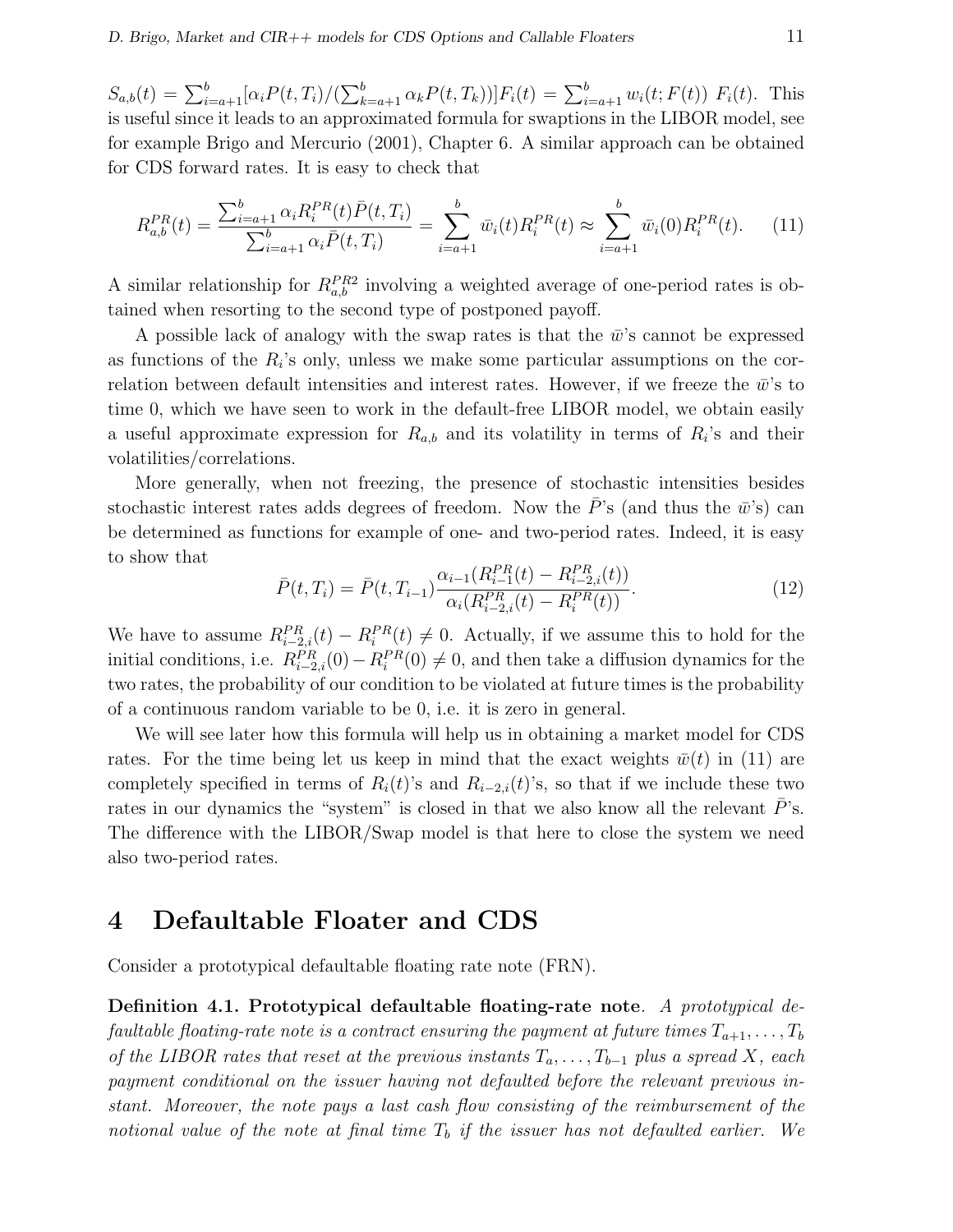$S_{a,b}(t) = \sum_{i=a+1}^{b} [\alpha_i P(t, T_i)]$  $\sum_{k=a+1}^{b} \alpha_k P(t, T_k)) F_i(t) = \sum_{i=a+1}^{b} w_i(t; F(t)) F_i(t)$ . This is useful since it leads to an approximated formula for swaptions in the LIBOR model, see for example Brigo and Mercurio (2001), Chapter 6. A similar approach can be obtained for CDS forward rates. It is easy to check that

$$
R_{a,b}^{PR}(t) = \frac{\sum_{i=a+1}^{b} \alpha_i R_i^{PR}(t) \bar{P}(t, T_i)}{\sum_{i=a+1}^{b} \alpha_i \bar{P}(t, T_i)} = \sum_{i=a+1}^{b} \bar{w}_i(t) R_i^{PR}(t) \approx \sum_{i=a+1}^{b} \bar{w}_i(0) R_i^{PR}(t). \tag{11}
$$

A similar relationship for  $R_{a,b}^{PR2}$  involving a weighted average of one-period rates is obtained when resorting to the second type of postponed payoff.

A possible lack of analogy with the swap rates is that the  $\bar{w}$ 's cannot be expressed as functions of the  $R_i$ 's only, unless we make some particular assumptions on the correlation between default intensities and interest rates. However, if we freeze the  $\bar{w}$ 's to time 0, which we have seen to work in the default-free LIBOR model, we obtain easily a useful approximate expression for  $R_{a,b}$  and its volatility in terms of  $R_i$ 's and their volatilities/correlations.

More generally, when not freezing, the presence of stochastic intensities besides stochastic interest rates adds degrees of freedom. Now the  $\bar{P}$ 's (and thus the  $\bar{w}$ 's) can be determined as functions for example of one- and two-period rates. Indeed, it is easy to show that

$$
\bar{P}(t,T_i) = \bar{P}(t,T_{i-1}) \frac{\alpha_{i-1}(R_{i-1}^{PR}(t) - R_{i-2,i}^{PR}(t))}{\alpha_i(R_{i-2,i}^{PR}(t) - R_i^{PR}(t))}.
$$
\n(12)

We have to assume  $R_{i-2,i}^{PR}(t) - R_i^{PR}(t) \neq 0$ . Actually, if we assume this to hold for the initial conditions, i.e.  $R_{i-2,i}^{PR}(0) - R_i^{PR}(0) \neq 0$ , and then take a diffusion dynamics for the two rates, the probability of our condition to be violated at future times is the probability of a continuous random variable to be 0, i.e. it is zero in general.

We will see later how this formula will help us in obtaining a market model for CDS rates. For the time being let us keep in mind that the exact weights  $\bar{w}(t)$  in (11) are completely specified in terms of  $R_i(t)$ 's and  $R_{i-2,i}(t)$ 's, so that if we include these two rates in our dynamics the "system" is closed in that we also know all the relevant  $P$ 's. The difference with the LIBOR/Swap model is that here to close the system we need also two-period rates.

# 4 Defaultable Floater and CDS

Consider a prototypical defaultable floating rate note (FRN).

Definition 4.1. Prototypical defaultable floating-rate note. A prototypical defaultable floating-rate note is a contract ensuring the payment at future times  $T_{a+1}, \ldots, T_b$ of the LIBOR rates that reset at the previous instants  $T_a, \ldots, T_{b-1}$  plus a spread X, each payment conditional on the issuer having not defaulted before the relevant previous instant. Moreover, the note pays a last cash flow consisting of the reimbursement of the notional value of the note at final time  $T_b$  if the issuer has not defaulted earlier. We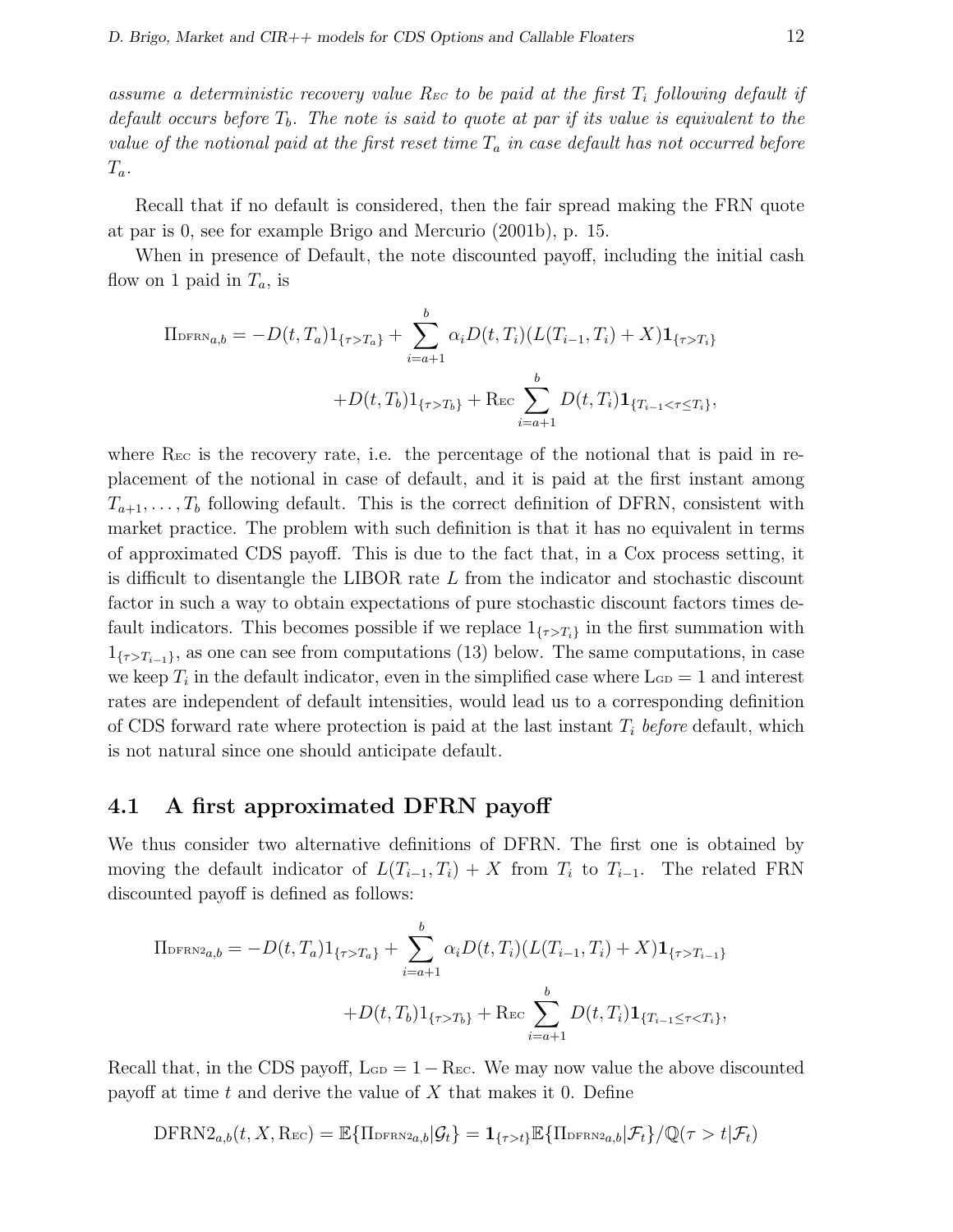assume a deterministic recovery value R<sub>EC</sub> to be paid at the first  $T_i$  following default if default occurs before  $T_b$ . The note is said to quote at par if its value is equivalent to the value of the notional paid at the first reset time  $T_a$  in case default has not occurred before  $T_a$ .

Recall that if no default is considered, then the fair spread making the FRN quote at par is 0, see for example Brigo and Mercurio (2001b), p. 15.

When in presence of Default, the note discounted payoff, including the initial cash flow on 1 paid in  $T_a$ , is

$$
\Pi_{\text{DFRN}_{a,b}} = -D(t, T_a) \mathbf{1}_{\{\tau > T_a\}} + \sum_{i=a+1}^{b} \alpha_i D(t, T_i) (L(T_{i-1}, T_i) + X) \mathbf{1}_{\{\tau > T_i\}}
$$

$$
+ D(t, T_b) \mathbf{1}_{\{\tau > T_b\}} + \text{Rec} \sum_{i=a+1}^{b} D(t, T_i) \mathbf{1}_{\{T_{i-1} < \tau \le T_i\}},
$$

where  $\rm{R}_{\rm EC}$  is the recovery rate, i.e. the percentage of the notional that is paid in replacement of the notional in case of default, and it is paid at the first instant among  $T_{a+1}, \ldots, T_b$  following default. This is the correct definition of DFRN, consistent with market practice. The problem with such definition is that it has no equivalent in terms of approximated CDS payoff. This is due to the fact that, in a Cox process setting, it is difficult to disentangle the LIBOR rate  $L$  from the indicator and stochastic discount factor in such a way to obtain expectations of pure stochastic discount factors times default indicators. This becomes possible if we replace  $1_{\{\tau>T_i\}}$  in the first summation with  $1_{\{\tau>T_{i-1}\}}$ , as one can see from computations (13) below. The same computations, in case we keep  $T_i$  in the default indicator, even in the simplified case where  $\text{L}_{\text{GD}} = 1$  and interest rates are independent of default intensities, would lead us to a corresponding definition of CDS forward rate where protection is paid at the last instant  $T_i$  before default, which is not natural since one should anticipate default.

## 4.1 A first approximated DFRN payoff

We thus consider two alternative definitions of DFRN. The first one is obtained by moving the default indicator of  $L(T_{i-1}, T_i) + X$  from  $T_i$  to  $T_{i-1}$ . The related FRN discounted payoff is defined as follows:

$$
\Pi_{\text{DFRN2}_{a,b}} = -D(t, T_a) \mathbf{1}_{\{\tau > T_a\}} + \sum_{i=a+1}^{b} \alpha_i D(t, T_i) (L(T_{i-1}, T_i) + X) \mathbf{1}_{\{\tau > T_{i-1}\}}
$$

$$
+ D(t, T_b) \mathbf{1}_{\{\tau > T_b\}} + \text{Rec} \sum_{i=a+1}^{b} D(t, T_i) \mathbf{1}_{\{T_{i-1} \leq \tau < T_i\}},
$$

Recall that, in the CDS payoff,  $L_{GD} = 1 - Rec$ . We may now value the above discounted payoff at time t and derive the value of  $X$  that makes it 0. Define

$$
\text{DFRN2}_{a,b}(t, X, \text{Rec}) = \mathbb{E}\{\text{H}_{\text{DFRN2}_{a,b}}|\mathcal{G}_t\} = \mathbf{1}_{\{\tau > t\}}\mathbb{E}\{\text{H}_{\text{DFRN2}_{a,b}}|\mathcal{F}_t\}/\mathbb{Q}(\tau > t|\mathcal{F}_t)
$$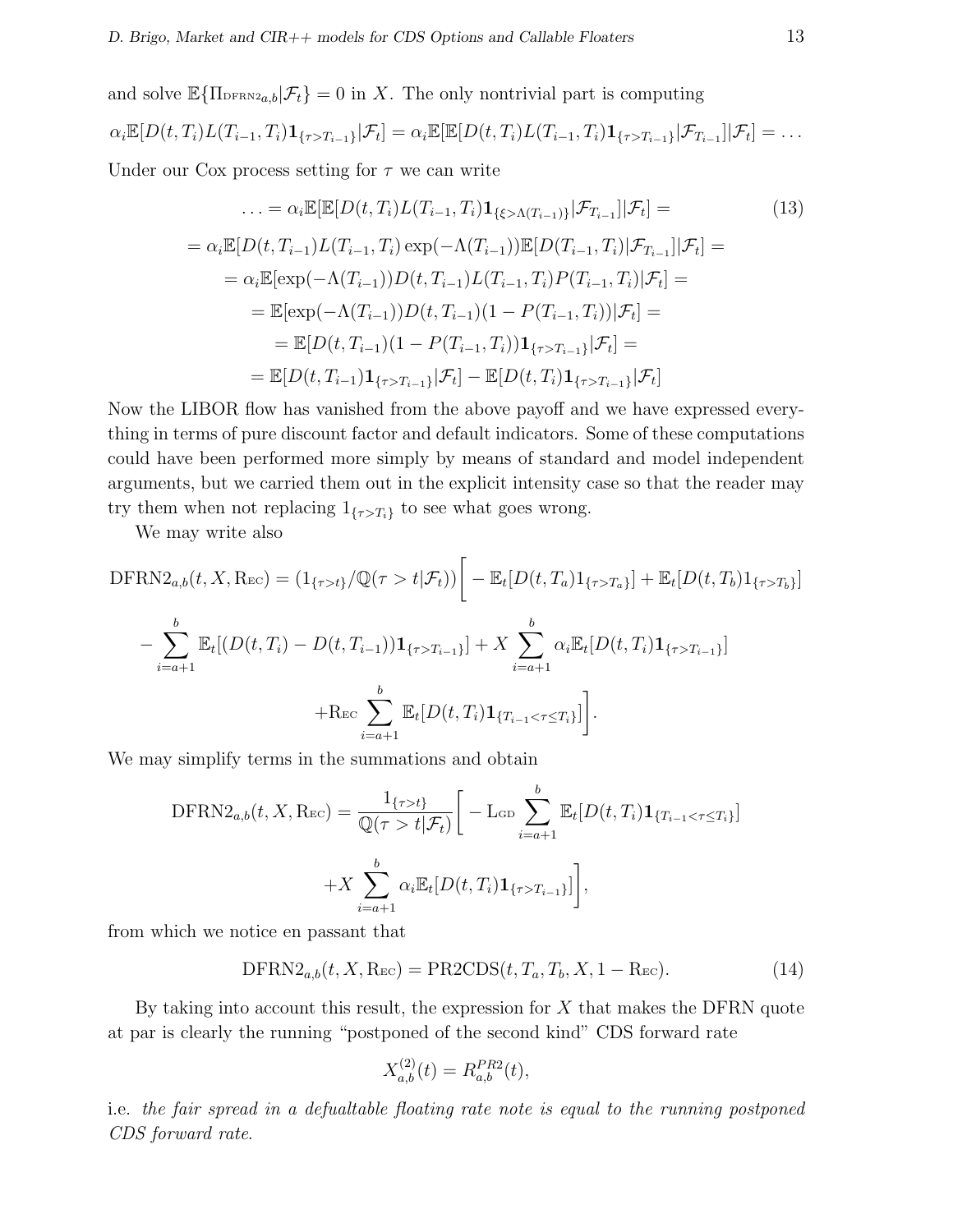and solve  $\mathbb{E}\{\Pi_{\text{DFRN}2a,b}|\mathcal{F}_t\}=0$  in X. The only nontrivial part is computing

$$
\alpha_i \mathbb{E}[D(t,T_i)L(T_{i-1},T_i)\mathbf{1}_{\{\tau>T_{i-1}\}}|\mathcal{F}_t] = \alpha_i \mathbb{E}[\mathbb{E}[D(t,T_i)L(T_{i-1},T_i)\mathbf{1}_{\{\tau>T_{i-1}\}}|\mathcal{F}_{T_{i-1}}]|\mathcal{F}_t] = \dots
$$

Under our Cox process setting for  $\tau$  we can write

$$
\ldots = \alpha_i \mathbb{E}[\mathbb{E}[D(t, T_i)L(T_{i-1}, T_i)\mathbf{1}_{\{\xi > \Lambda(T_{i-1})\}}|\mathcal{F}_{T_{i-1}}]|\mathcal{F}_t] =
$$
(13)  
\n
$$
= \alpha_i \mathbb{E}[D(t, T_{i-1})L(T_{i-1}, T_i) \exp(-\Lambda(T_{i-1}))\mathbb{E}[D(T_{i-1}, T_i)|\mathcal{F}_{T_{i-1}}]|\mathcal{F}_t] =
$$
\n
$$
= \alpha_i \mathbb{E}[\exp(-\Lambda(T_{i-1}))D(t, T_{i-1})L(T_{i-1}, T_i)P(T_{i-1}, T_i)|\mathcal{F}_t] =
$$
\n
$$
= \mathbb{E}[\exp(-\Lambda(T_{i-1}))D(t, T_{i-1})(1 - P(T_{i-1}, T_i))|\mathcal{F}_t] =
$$
\n
$$
= \mathbb{E}[D(t, T_{i-1})(1 - P(T_{i-1}, T_i))\mathbf{1}_{\{\tau > T_{i-1}\}}|\mathcal{F}_t] =
$$
\n
$$
= \mathbb{E}[D(t, T_{i-1})\mathbf{1}_{\{\tau > T_{i-1}\}}|\mathcal{F}_t] - \mathbb{E}[D(t, T_i)\mathbf{1}_{\{\tau > T_{i-1}\}}|\mathcal{F}_t]
$$

Now the LIBOR flow has vanished from the above payoff and we have expressed everything in terms of pure discount factor and default indicators. Some of these computations could have been performed more simply by means of standard and model independent arguments, but we carried them out in the explicit intensity case so that the reader may try them when not replacing  $1_{\{\tau>T_i\}}$  to see what goes wrong.

We may write also

$$
\text{DFRN2}_{a,b}(t, X, \text{Rec}) = (1_{\{\tau > t\}}/\mathbb{Q}(\tau > t | \mathcal{F}_t)) \Big[ - \mathbb{E}_t [D(t, T_a) 1_{\{\tau > T_a\}}] + \mathbb{E}_t [D(t, T_b) 1_{\{\tau > T_b\}}] - \sum_{i=a+1}^b \mathbb{E}_t [(D(t, T_i) - D(t, T_{i-1})) 1_{\{\tau > T_{i-1}\}}] + X \sum_{i=a+1}^b \alpha_i \mathbb{E}_t [D(t, T_i) 1_{\{\tau > T_{i-1}\}}] + \text{Rec} \sum_{i=a+1}^b \mathbb{E}_t [D(t, T_i) 1_{\{T_{i-1} < \tau \le T_i\}}] \Big].
$$

We may simplify terms in the summations and obtain

$$
\text{DFRN2}_{a,b}(t, X, \text{Rec}) = \frac{1_{\{\tau > t\}}}{\mathbb{Q}(\tau > t | \mathcal{F}_t)} \left[ -\text{L}_{\text{GD}} \sum_{i=a+1}^b \mathbb{E}_t [D(t, T_i) \mathbf{1}_{\{T_{i-1} < \tau \le T_i\}}] + X \sum_{i=a+1}^b \alpha_i \mathbb{E}_t [D(t, T_i) \mathbf{1}_{\{\tau > T_{i-1}\}}] \right],
$$

from which we notice en passant that

$$
\text{DFRN2}_{a,b}(t, X, \text{Rec}) = \text{PR2CDS}(t, T_a, T_b, X, 1 - \text{Rec}).\tag{14}
$$

By taking into account this result, the expression for  $X$  that makes the DFRN quote at par is clearly the running "postponed of the second kind" CDS forward rate

$$
X_{a,b}^{(2)}(t) = R_{a,b}^{PR2}(t),
$$

i.e. the fair spread in a defualtable floating rate note is equal to the running postponed CDS forward rate.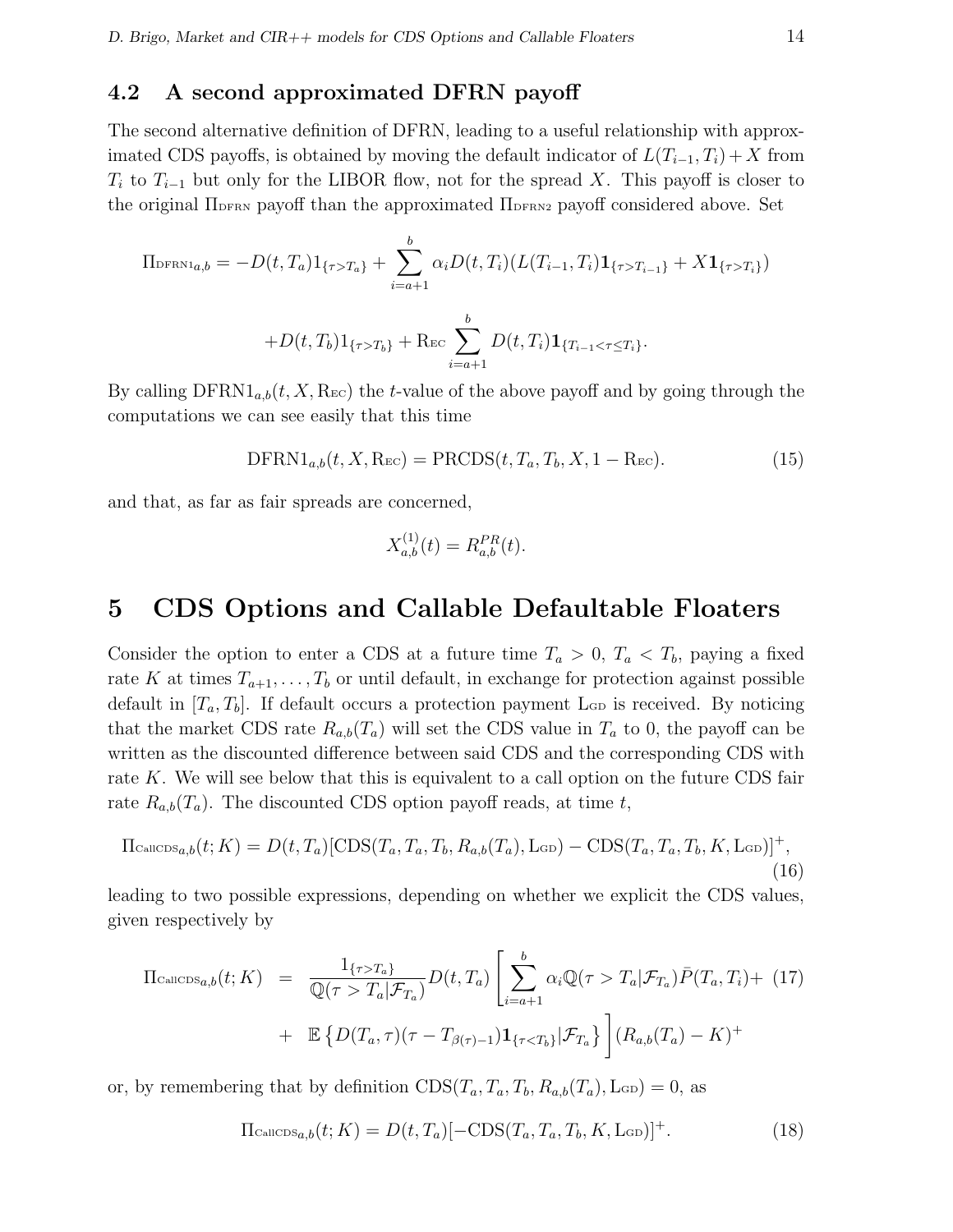# 4.2 A second approximated DFRN payoff

The second alternative definition of DFRN, leading to a useful relationship with approximated CDS payoffs, is obtained by moving the default indicator of  $L(T_{i-1}, T_i) + X$  from  $T_i$  to  $T_{i-1}$  but only for the LIBOR flow, not for the spread X. This payoff is closer to the original  $\Pi_{\text{DFRN}}$  payoff than the approximated  $\Pi_{\text{DFRN2}}$  payoff considered above. Set

$$
\Pi_{\text{DFRN1}_{a,b}} = -D(t, T_a) \mathbf{1}_{\{\tau > T_a\}} + \sum_{i=a+1}^{b} \alpha_i D(t, T_i) (L(T_{i-1}, T_i) \mathbf{1}_{\{\tau > T_{i-1}\}} + X \mathbf{1}_{\{\tau > T_i\}})
$$

$$
+ D(t, T_b) \mathbf{1}_{\{\tau > T_b\}} + \text{Rec} \sum_{i=a+1}^{b} D(t, T_i) \mathbf{1}_{\{T_{i-1} < \tau \le T_i\}}.
$$

By calling  $\text{DFRN1}_{a,b}(t, X, \text{Rec})$  the t-value of the above payoff and by going through the computations we can see easily that this time

$$
\text{DFRN1}_{a,b}(t, X, \text{Rec}) = \text{PRCDS}(t, T_a, T_b, X, 1 - \text{Rec}).\tag{15}
$$

and that, as far as fair spreads are concerned,

$$
X_{a,b}^{(1)}(t) = R_{a,b}^{PR}(t).
$$

# 5 CDS Options and Callable Defaultable Floaters

Consider the option to enter a CDS at a future time  $T_a > 0$ ,  $T_a < T_b$ , paying a fixed rate K at times  $T_{a+1}, \ldots, T_b$  or until default, in exchange for protection against possible default in  $[T_a, T_b]$ . If default occurs a protection payment L<sub>GD</sub> is received. By noticing that the market CDS rate  $R_{a,b}(T_a)$  will set the CDS value in  $T_a$  to 0, the payoff can be written as the discounted difference between said CDS and the corresponding CDS with rate  $K$ . We will see below that this is equivalent to a call option on the future CDS fair rate  $R_{a,b}(T_a)$ . The discounted CDS option payoff reads, at time t,

$$
\Pi_{\text{CalICDS}_{a,b}}(t;K) = D(t,T_a)[\text{CDS}(T_a,T_a,T_b,R_{a,b}(T_a),\text{L}\text{G}) - \text{CDS}(T_a,T_a,T_b,K,\text{L}\text{G})]^+,
$$
\n(16)

leading to two possible expressions, depending on whether we explicit the CDS values, given respectively by

$$
\Pi_{\text{CalICDS}_{a,b}}(t;K) = \frac{1_{\{\tau>T_a\}}}{\mathbb{Q}(\tau > T_a|\mathcal{F}_{T_a})} D(t,T_a) \left[ \sum_{i=a+1}^b \alpha_i \mathbb{Q}(\tau > T_a|\mathcal{F}_{T_a}) \bar{P}(T_a,T_i) + \mathbb{E} \left\{ D(T_a,\tau)(\tau - T_{\beta(\tau)-1}) \mathbf{1}_{\{\tau < T_b\}} | \mathcal{F}_{T_a} \right\} \right] (R_{a,b}(T_a) - K)^+
$$

or, by remembering that by definition  $CDS(T_a, T_a, T_b, R_{a,b}(T_a), L_{GD}) = 0$ , as

$$
\Pi_{\text{CalICDS}_{a,b}}(t;K) = D(t,T_a) \left[ -\text{CDS}(T_a, T_a, T_b, K, \text{Lop}) \right]^+.
$$
 (18)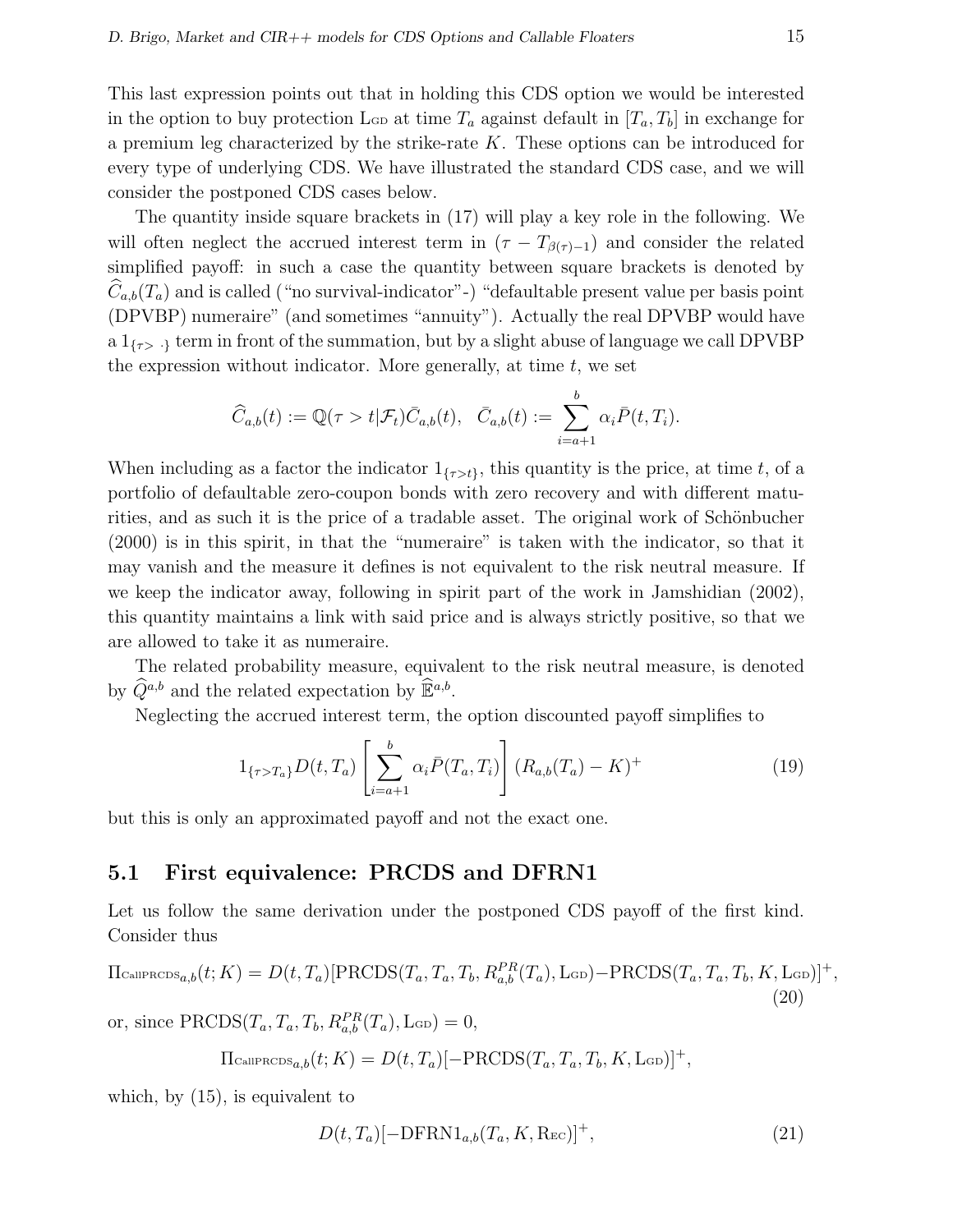This last expression points out that in holding this CDS option we would be interested in the option to buy protection L<sub>GD</sub> at time  $T_a$  against default in  $[T_a, T_b]$  in exchange for a premium leg characterized by the strike-rate K. These options can be introduced for every type of underlying CDS. We have illustrated the standard CDS case, and we will consider the postponed CDS cases below.

The quantity inside square brackets in (17) will play a key role in the following. We will often neglect the accrued interest term in  $(\tau - T_{\beta(\tau)-1})$  and consider the related simplified payoff: in such a case the quantity between square brackets is denoted by  $C_{a,b}(T_a)$  and is called ("no survival-indicator"-) "defaultable present value per basis point (DPVBP) numeraire" (and sometimes "annuity"). Actually the real DPVBP would have a  $1_{\{\tau > 0\}}$  term in front of the summation, but by a slight abuse of language we call DPVBP the expression without indicator. More generally, at time  $t$ , we set

$$
\widehat{C}_{a,b}(t) := \mathbb{Q}(\tau > t | \mathcal{F}_t) \overline{C}_{a,b}(t), \quad \overline{C}_{a,b}(t) := \sum_{i=a+1}^{b} \alpha_i \overline{P}(t, T_i).
$$

When including as a factor the indicator  $1_{\{\tau>t\}}$ , this quantity is the price, at time t, of a portfolio of defaultable zero-coupon bonds with zero recovery and with different maturities, and as such it is the price of a tradable asset. The original work of Schönbucher (2000) is in this spirit, in that the "numeraire" is taken with the indicator, so that it may vanish and the measure it defines is not equivalent to the risk neutral measure. If we keep the indicator away, following in spirit part of the work in Jamshidian (2002), this quantity maintains a link with said price and is always strictly positive, so that we are allowed to take it as numeraire.

The related probability measure, equivalent to the risk neutral measure, is denoted by  $\widehat{Q}^{a,b}$  and the related expectation by  $\widehat{\mathbb{E}}^{a,b}$ .

Neglecting the accrued interest term, the option discounted payoff simplifies to

$$
1_{\{\tau > T_a\}} D(t, T_a) \left[ \sum_{i=a+1}^b \alpha_i \bar{P}(T_a, T_i) \right] (R_{a,b}(T_a) - K)^+ \tag{19}
$$

but this is only an approximated payoff and not the exact one.

### 5.1 First equivalence: PRCDS and DFRN1

Let us follow the same derivation under the postponed CDS payoff of the first kind. Consider thus

$$
\Pi_{\text{CallPRODS}_{a,b}}(t;K) = D(t,T_a)[\text{PRCDS}(T_a, T_a, T_b, R_{a,b}^{PR}(T_a), \text{L}_{\text{GD}}) - \text{PRCDS}(T_a, T_a, T_b, K, \text{L}_{\text{GD}})]^+,
$$
\n
$$
(20)
$$

or, since  $\text{PRCDS}(T_a, T_a, T_b, R_{a,b}^{PR}(T_a), \text{L}_{GD}) = 0,$ 

$$
\Pi_{\text{CallPROS}_{a,b}}(t;K) = D(t,T_a)[- \text{PRCDS}(T_a,T_a,T_b,K,\text{Lq})]^+,
$$

which, by (15), is equivalent to

$$
D(t, T_a)[-{\rm{DFRN1}}_{a,b}(T_a, K, \text{Rec})]^+, \qquad (21)
$$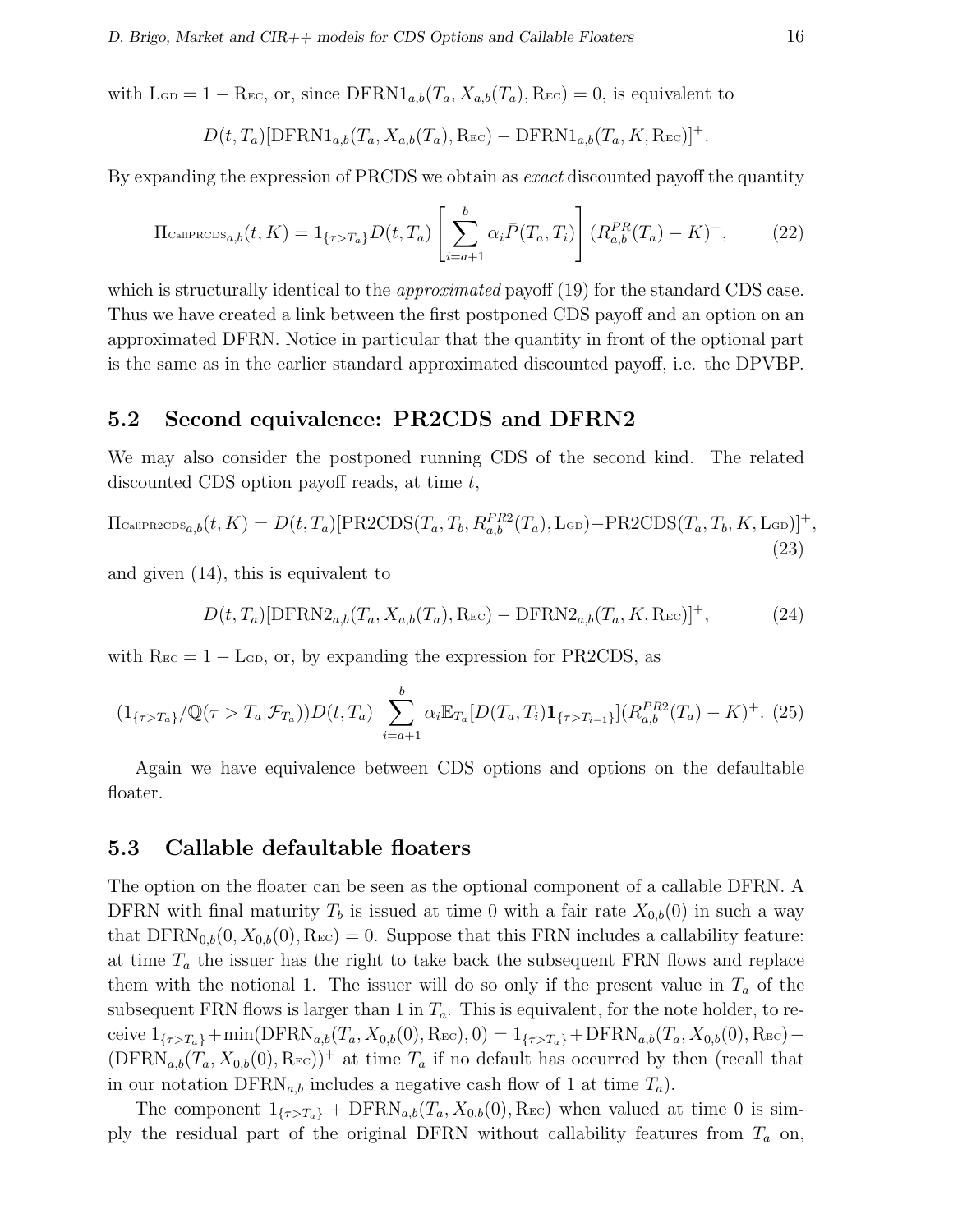with  $\text{L}_{\text{GD}} = 1 - \text{R}_{\text{EC}}$ , or, since  $\text{DFRN1}_{a,b}(T_a, X_{a,b}(T_a), \text{R}_{\text{EC}}) = 0$ , is equivalent to

$$
D(t, T_a)[\text{DFRN1}_{a,b}(T_a, X_{a,b}(T_a), \text{Rec}) - \text{DFRN1}_{a,b}(T_a, K, \text{Rec})]^+
$$
.

By expanding the expression of PRCDS we obtain as *exact* discounted payoff the quantity

$$
\Pi_{\text{CallPROS}_{a,b}}(t, K) = 1_{\{\tau > T_a\}} D(t, T_a) \left[ \sum_{i=a+1}^b \alpha_i \bar{P}(T_a, T_i) \right] (R_{a,b}^{PR}(T_a) - K)^+, \tag{22}
$$

which is structurally identical to the *approximated* payoff (19) for the standard CDS case. Thus we have created a link between the first postponed CDS payoff and an option on an approximated DFRN. Notice in particular that the quantity in front of the optional part is the same as in the earlier standard approximated discounted payoff, i.e. the DPVBP.

### 5.2 Second equivalence: PR2CDS and DFRN2

We may also consider the postponed running CDS of the second kind. The related discounted CDS option payoff reads, at time t,

$$
\Pi_{\text{CallPR2CDS}_{a,b}}(t,K) = D(t,T_a)[\text{PR2CDS}(T_a,T_b,R_{a,b}^{PR2}(T_a),\text{L}_{\text{GD}}) - \text{PR2CDS}(T_a,T_b,K,\text{L}_{\text{GD}})]^+,
$$
\n(23)

and given (14), this is equivalent to

$$
D(t, T_a)[\text{DFRN2}_{a,b}(T_a, X_{a,b}(T_a), \text{Rec}) - \text{DFRN2}_{a,b}(T_a, K, \text{Rec})]^+, \tag{24}
$$

with  $\text{R}_{\text{EC}} = 1 - \text{L}_{\text{GD}}$ , or, by expanding the expression for PR2CDS, as

$$
(1_{\{\tau>T_a\}}/\mathbb{Q}(\tau>T_a|\mathcal{F}_{T_a}))D(t,T_a)\sum_{i=a+1}^b\alpha_i\mathbb{E}_{T_a}[D(T_a,T_i)\mathbf{1}_{\{\tau>T_{i-1}\}}](R_{a,b}^{PR2}(T_a)-K)^{+}.\tag{25}
$$

Again we have equivalence between CDS options and options on the defaultable floater.

### 5.3 Callable defaultable floaters

The option on the floater can be seen as the optional component of a callable DFRN. A DFRN with final maturity  $T_b$  is issued at time 0 with a fair rate  $X_{0,b}(0)$  in such a way that  $DFRN_{0,b}(0, X_{0,b}(0), \text{Rec}) = 0$ . Suppose that this FRN includes a callability feature: at time  $T_a$  the issuer has the right to take back the subsequent FRN flows and replace them with the notional 1. The issuer will do so only if the present value in  $T_a$  of the subsequent FRN flows is larger than 1 in  $T_a$ . This is equivalent, for the note holder, to receive  $1_{\{\tau>T_a\}}+\min(\text{DFRN}_{a,b}(T_a, X_{0,b}(0), \text{Rec}), 0) = 1_{\{\tau>T_a\}}+\text{DFRN}_{a,b}(T_a, X_{0,b}(0), \text{Rec}) (DFRN_{a,b}(T_a, X_{0,b}(0), \text{Rec}))^+$  at time  $T_a$  if no default has occurred by then (recall that in our notation  $\text{DFRN}_{a,b}$  includes a negative cash flow of 1 at time  $T_a$ ).

The component  $1_{\{\tau>T_a\}} + \text{DFRN}_{a,b}(T_a, X_{0,b}(0), \text{Rec})$  when valued at time 0 is simply the residual part of the original DFRN without callability features from  $T_a$  on,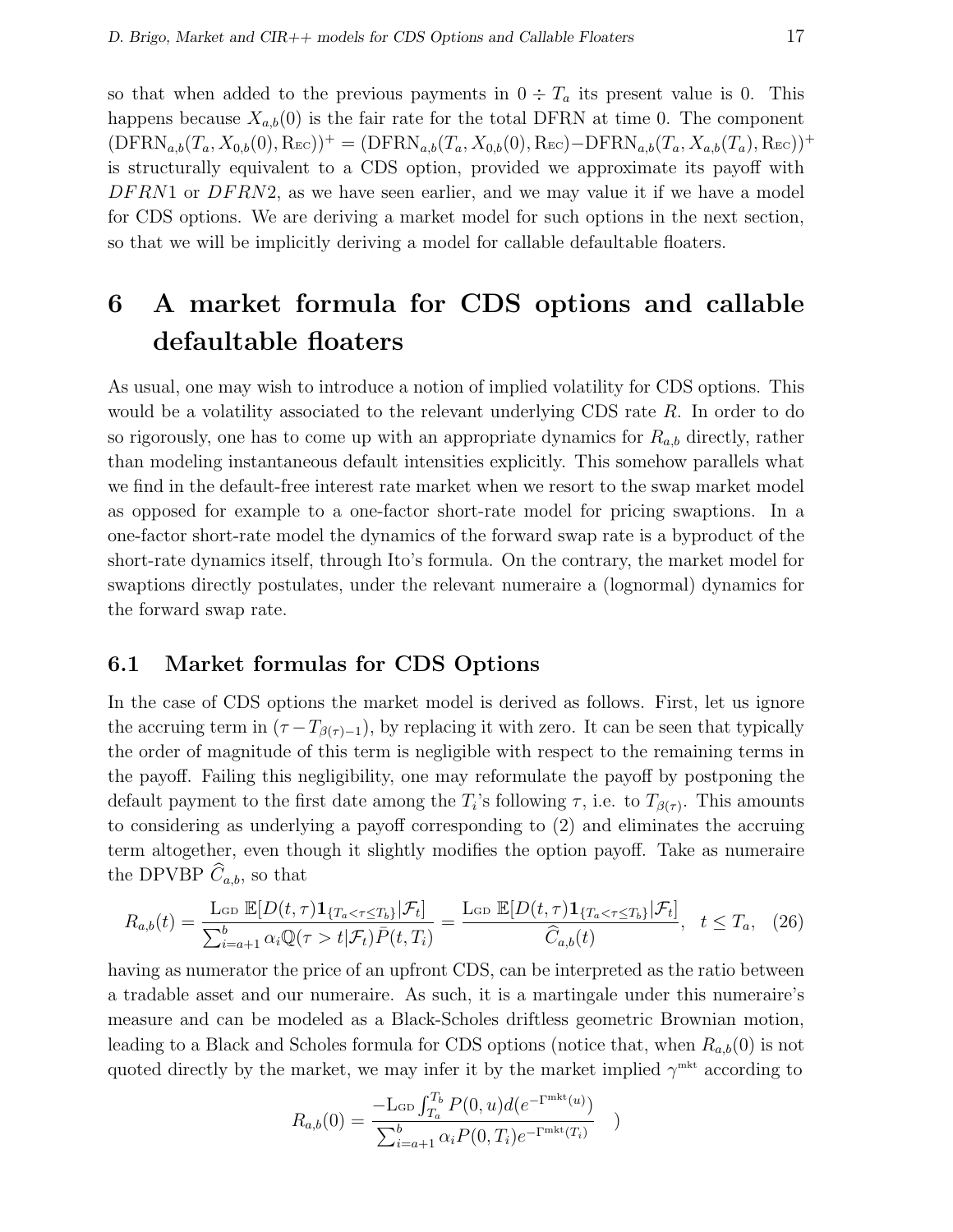so that when added to the previous payments in  $0 \div T_a$  its present value is 0. This happens because  $X_{a,b}(0)$  is the fair rate for the total DFRN at time 0. The component  $(\text{DFRN}_{a,b}(T_a, X_{0,b}(0), \text{Rec}))^+ = (\text{DFRN}_{a,b}(T_a, X_{0,b}(0), \text{Rec}) - \text{DFRN}_{a,b}(T_a, X_{a,b}(T_a), \text{Rec}))^+$ is structurally equivalent to a CDS option, provided we approximate its payoff with  $DFRN1$  or  $DFRN2$ , as we have seen earlier, and we may value it if we have a model for CDS options. We are deriving a market model for such options in the next section, so that we will be implicitly deriving a model for callable defaultable floaters.

# 6 A market formula for CDS options and callable defaultable floaters

As usual, one may wish to introduce a notion of implied volatility for CDS options. This would be a volatility associated to the relevant underlying CDS rate  $R$ . In order to do so rigorously, one has to come up with an appropriate dynamics for  $R_{a,b}$  directly, rather than modeling instantaneous default intensities explicitly. This somehow parallels what we find in the default-free interest rate market when we resort to the swap market model as opposed for example to a one-factor short-rate model for pricing swaptions. In a one-factor short-rate model the dynamics of the forward swap rate is a byproduct of the short-rate dynamics itself, through Ito's formula. On the contrary, the market model for swaptions directly postulates, under the relevant numeraire a (lognormal) dynamics for the forward swap rate.

#### 6.1 Market formulas for CDS Options

In the case of CDS options the market model is derived as follows. First, let us ignore the accruing term in  $(\tau - T_{\beta(\tau)-1})$ , by replacing it with zero. It can be seen that typically the order of magnitude of this term is negligible with respect to the remaining terms in the payoff. Failing this negligibility, one may reformulate the payoff by postponing the default payment to the first date among the  $T_i$ 's following  $\tau$ , i.e. to  $T_{\beta(\tau)}$ . This amounts to considering as underlying a payoff corresponding to (2) and eliminates the accruing term altogether, even though it slightly modifies the option payoff. Take as numeraire the DPVBP  $\widehat{C}_{a,b}$ , so that

$$
R_{a,b}(t) = \frac{\text{Lop }\mathbb{E}[D(t,\tau)\mathbf{1}_{\{T_a < \tau \le T_b\}}|\mathcal{F}_t]}{\sum_{i=a+1}^b \alpha_i \mathbb{Q}(\tau > t|\mathcal{F}_t)\bar{P}(t,T_i)} = \frac{\text{Lop }\mathbb{E}[D(t,\tau)\mathbf{1}_{\{T_a < \tau \le T_b\}}|\mathcal{F}_t]}{\widehat{C}_{a,b}(t)}, \quad t \le T_a, \quad (26)
$$

having as numerator the price of an upfront CDS, can be interpreted as the ratio between a tradable asset and our numeraire. As such, it is a martingale under this numeraire's measure and can be modeled as a Black-Scholes driftless geometric Brownian motion, leading to a Black and Scholes formula for CDS options (notice that, when  $R_{a,b}(0)$  is not quoted directly by the market, we may infer it by the market implied  $\gamma^{\text{mkt}}$  according to

$$
R_{a,b}(0) = \frac{-L_{\text{GD}} \int_{T_a}^{T_b} P(0, u) d(e^{-\Gamma^{\text{mkt}}(u)})}{\sum_{i=a+1}^{b} \alpha_i P(0, T_i) e^{-\Gamma^{\text{mkt}}(T_i)}})
$$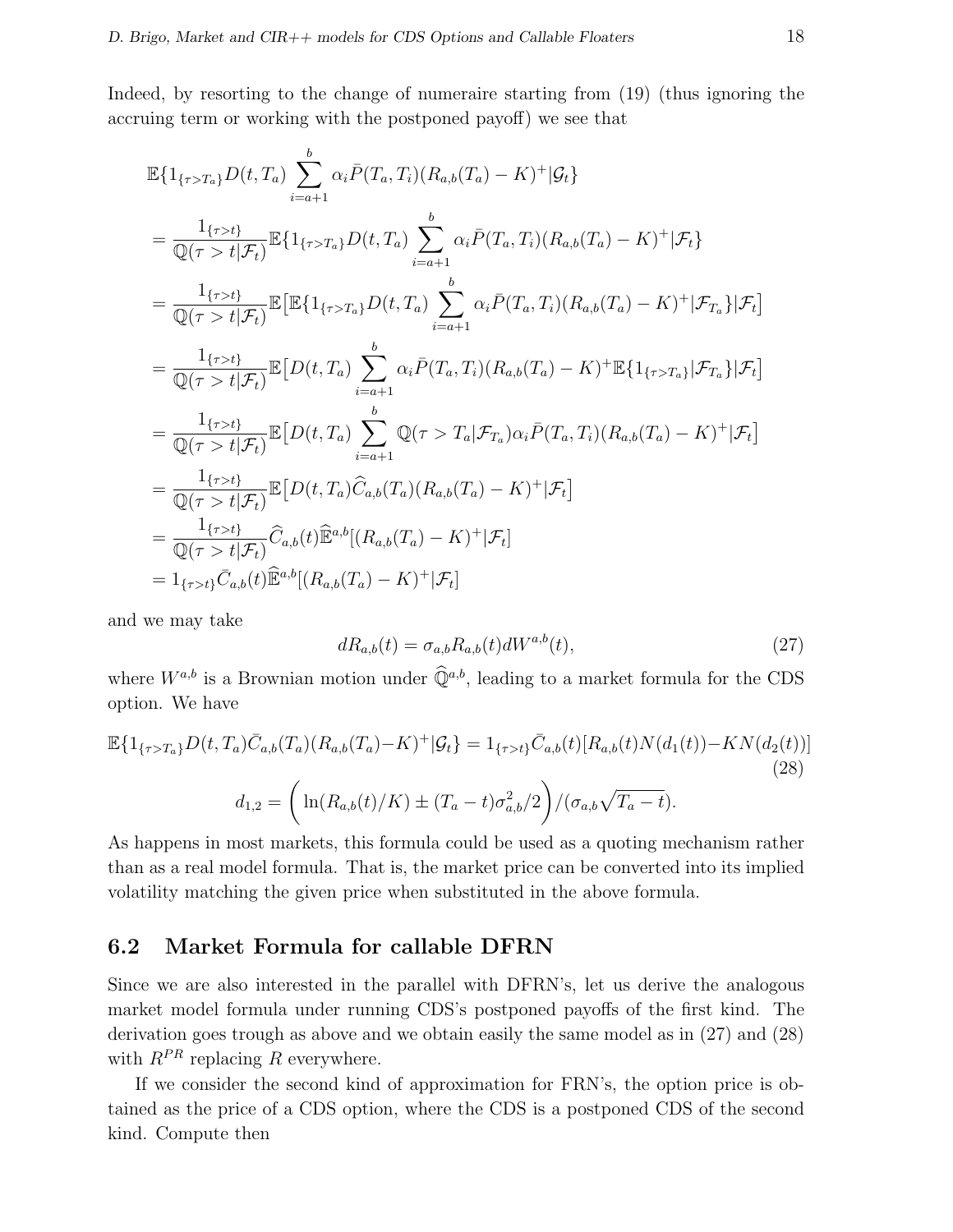Indeed, by resorting to the change of numeraire starting from (19) (thus ignoring the accruing term or working with the postponed payoff) we see that

$$
\mathbb{E}\{1_{\{\tau>T_{a}\}}D(t,T_{a})\sum_{i=a+1}^{b}\alpha_{i}\bar{P}(T_{a},T_{i})(R_{a,b}(T_{a})-K)^{+}|\mathcal{G}_{t}\}\
$$
\n
$$
=\frac{1_{\{\tau>t\}}}{\mathbb{Q}(\tau>t|\mathcal{F}_{t})}\mathbb{E}\{1_{\{\tau>T_{a}\}}D(t,T_{a})\sum_{i=a+1}^{b}\alpha_{i}\bar{P}(T_{a},T_{i})(R_{a,b}(T_{a})-K)^{+}|\mathcal{F}_{t}\}\
$$
\n
$$
=\frac{1_{\{\tau>t\}}}{\mathbb{Q}(\tau>t|\mathcal{F}_{t})}\mathbb{E}\left[\mathbb{E}\{1_{\{\tau>T_{a}\}}D(t,T_{a})\sum_{i=a+1}^{b}\alpha_{i}\bar{P}(T_{a},T_{i})(R_{a,b}(T_{a})-K)^{+}|\mathcal{F}_{T_{a}}\}|\mathcal{F}_{t}\right]
$$
\n
$$
=\frac{1_{\{\tau>t\}}}{\mathbb{Q}(\tau>t|\mathcal{F}_{t})}\mathbb{E}\left[D(t,T_{a})\sum_{i=a+1}^{b}\alpha_{i}\bar{P}(T_{a},T_{i})(R_{a,b}(T_{a})-K)^{+}\mathbb{E}\{1_{\{\tau>T_{a}\}}|\mathcal{F}_{T_{a}}\}|\mathcal{F}_{t}\right]
$$
\n
$$
=\frac{1_{\{\tau>t\}}}{\mathbb{Q}(\tau>t|\mathcal{F}_{t})}\mathbb{E}\left[D(t,T_{a})\sum_{i=a+1}^{b}\mathbb{Q}(\tau>T_{a}|\mathcal{F}_{T_{a}})\alpha_{i}\bar{P}(T_{a},T_{i})(R_{a,b}(T_{a})-K)^{+}|\mathcal{F}_{t}\right]
$$
\n
$$
=\frac{1_{\{\tau>t\}}}{\mathbb{Q}(\tau>t|\mathcal{F}_{t})}\mathbb{E}\left[D(t,T_{a})\widehat{C}_{a,b}(T_{a})(R_{a,b}(T_{a})-K)^{+}|\mathcal{F}_{t}\right]
$$
\n
$$
=\frac{1_{\{\tau>t\}}}{\mathbb{Q}(\tau>t|\mathcal{F}_{t})}\widehat{C}_{a,b}(t)\mathbb{E}^{a,b}[(R_{a,b}(T_{a})-K)^{+}|\mathcal{F}_{t}]
$$
\n
$$
=1_{
$$

and we may take

$$
dR_{a,b}(t) = \sigma_{a,b}R_{a,b}(t)dW^{a,b}(t),
$$
\n<sup>(27)</sup>

where  $W^{a,b}$  is a Brownian motion under  $\widehat{\mathbb{Q}}^{a,b}$ , leading to a market formula for the CDS option. We have

$$
\mathbb{E}\{1_{\{\tau>T_a\}}D(t,T_a)\bar{C}_{a,b}(T_a)(R_{a,b}(T_a)-K)^{+}|\mathcal{G}_t\} = 1_{\{\tau>t\}}\bar{C}_{a,b}(t)[R_{a,b}(t)N(d_1(t)) - KN(d_2(t))]
$$
\n
$$
d_{1,2} = \left(\ln(R_{a,b}(t)/K) \pm (T_a - t)\sigma_{a,b}^2/2\right) / (\sigma_{a,b}\sqrt{T_a - t}).
$$
\n(28)

As happens in most markets, this formula could be used as a quoting mechanism rather than as a real model formula. That is, the market price can be converted into its implied volatility matching the given price when substituted in the above formula.

# 6.2 Market Formula for callable DFRN

Since we are also interested in the parallel with DFRN's, let us derive the analogous market model formula under running CDS's postponed payoffs of the first kind. The derivation goes trough as above and we obtain easily the same model as in (27) and (28) with  $R^{PR}$  replacing R everywhere.

If we consider the second kind of approximation for FRN's, the option price is obtained as the price of a CDS option, where the CDS is a postponed CDS of the second kind. Compute then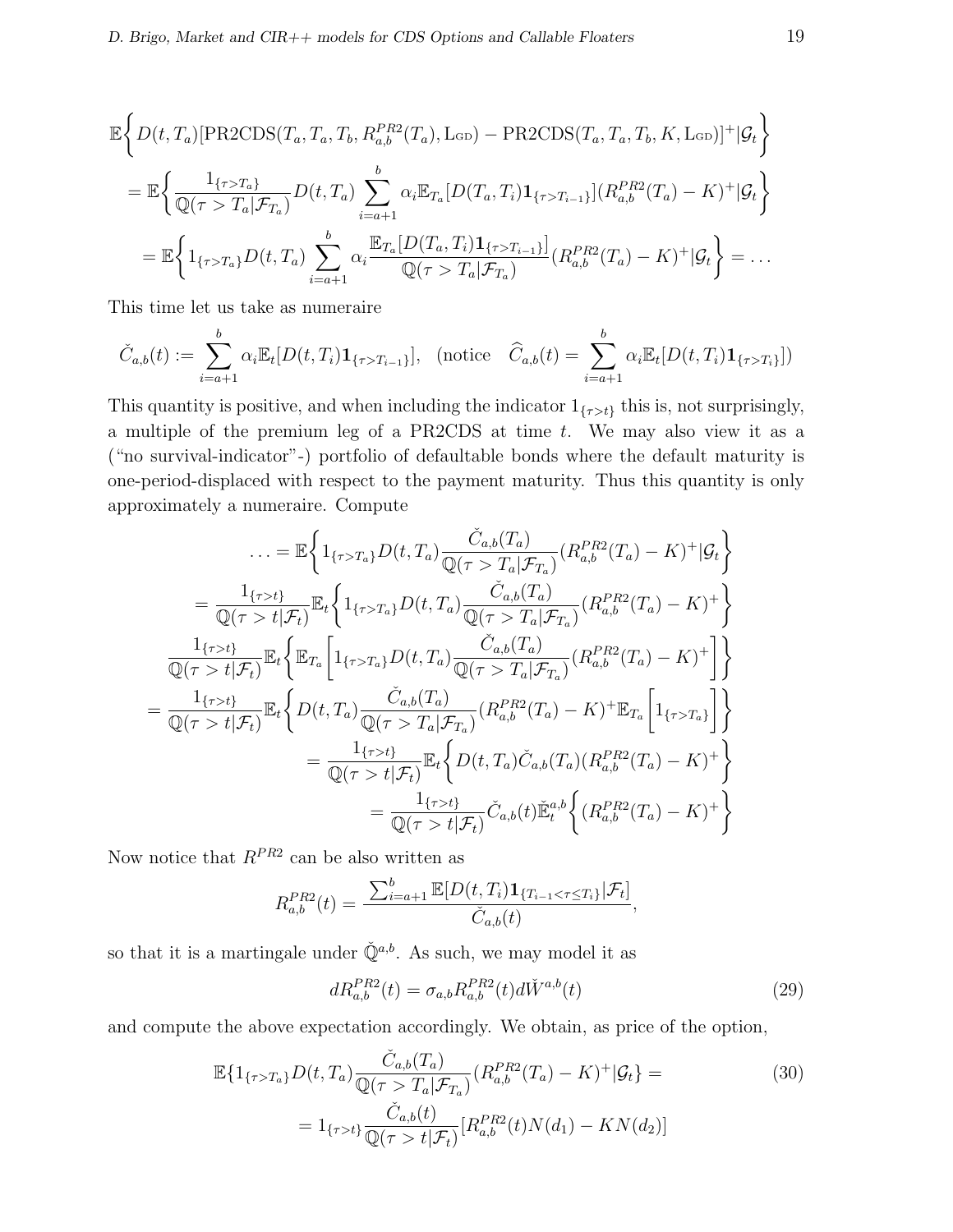$$
\mathbb{E}\Big\{D(t,T_a)[\text{PR2CDS}(T_a,T_a,T_b,R_{a,b}^{PR2}(T_a),\text{L}_{GD})-\text{PR2CDS}(T_a,T_a,T_b,K,\text{L}_{GD})]^+|\mathcal{G}_t\Big\}
$$
\n
$$
=\mathbb{E}\Big\{\frac{1_{\{\tau>T_a\}}}{\mathbb{Q}(\tau>T_a|\mathcal{F}_{T_a})}D(t,T_a)\sum_{i=a+1}^b\alpha_i\mathbb{E}_{T_a}[D(T_a,T_i)\mathbf{1}_{\{\tau>T_{i-1}\}}](R_{a,b}^{PR2}(T_a)-K)^+|\mathcal{G}_t\Big\}
$$
\n
$$
=\mathbb{E}\Big\{1_{\{\tau>T_a\}}D(t,T_a)\sum_{i=a+1}^b\alpha_i\frac{\mathbb{E}_{T_a}[D(T_a,T_i)\mathbf{1}_{\{\tau>T_{i-1}\}}]}{\mathbb{Q}(\tau>T_a|\mathcal{F}_{T_a})}(R_{a,b}^{PR2}(T_a)-K)^+|\mathcal{G}_t\Big\}=\dots
$$

This time let us take as numeraire

$$
\check{C}_{a,b}(t) := \sum_{i=a+1}^{b} \alpha_i \mathbb{E}_t[D(t,T_i)\mathbf{1}_{\{\tau>T_{i-1}\}}], \text{ (notice } \widehat{C}_{a,b}(t) = \sum_{i=a+1}^{b} \alpha_i \mathbb{E}_t[D(t,T_i)\mathbf{1}_{\{\tau>T_i\}}])
$$

This quantity is positive, and when including the indicator  $1_{\{\tau > t\}}$  this is, not surprisingly, a multiple of the premium leg of a PR2CDS at time  $t$ . We may also view it as a ("no survival-indicator"-) portfolio of defaultable bonds where the default maturity is one-period-displaced with respect to the payment maturity. Thus this quantity is only approximately a numeraire. Compute

$$
\ldots = \mathbb{E}\left\{1_{\{\tau>T_a\}}D(t,T_a)\frac{\check{C}_{a,b}(T_a)}{\mathbb{Q}(\tau>T_a|\mathcal{F}_{T_a})}(R_{a,b}^{PR2}(T_a)-K)^+|\mathcal{G}_t\right\}
$$
\n
$$
=\frac{1_{\{\tau>t\}}}{\mathbb{Q}(\tau>t|\mathcal{F}_t)}\mathbb{E}_t\left\{1_{\{\tau>T_a\}}D(t,T_a)\frac{\check{C}_{a,b}(T_a)}{\mathbb{Q}(\tau>T_a|\mathcal{F}_{T_a})}(R_{a,b}^{PR2}(T_a)-K)^+\right\}
$$
\n
$$
\frac{1_{\{\tau>t\}}}{\mathbb{Q}(\tau>t|\mathcal{F}_t)}\mathbb{E}_t\left\{\mathbb{E}_{T_a}\left[1_{\{\tau>T_a\}}D(t,T_a)\frac{\check{C}_{a,b}(T_a)}{\mathbb{Q}(\tau>T_a|\mathcal{F}_{T_a})}(R_{a,b}^{PR2}(T_a)-K)^+\right]\right\}
$$
\n
$$
=\frac{1_{\{\tau>t\}}}{\mathbb{Q}(\tau>t|\mathcal{F}_t)}\mathbb{E}_t\left\{D(t,T_a)\frac{\check{C}_{a,b}(T_a)}{\mathbb{Q}(\tau>T_a|\mathcal{F}_{T_a})}(R_{a,b}^{PR2}(T_a)-K)^+\mathbb{E}_{T_a}\left[1_{\{\tau>T_a\}}\right]\right\}
$$
\n
$$
=\frac{1_{\{\tau>t\}}}{\mathbb{Q}(\tau>t|\mathcal{F}_t)}\mathbb{E}_t\left\{D(t,T_a)\check{C}_{a,b}(T_a)(R_{a,b}^{PR2}(T_a)-K)^+\right\}
$$
\n
$$
=\frac{1_{\{\tau>t\}}}{\mathbb{Q}(\tau>t|\mathcal{F}_t)}\check{C}_{a,b}(t)\check{\mathbb{E}}_t^{a,b}\left\{(R_{a,b}^{PR2}(T_a)-K)^+\right\}
$$

Now notice that  $R^{PR2}$  can be also written as

$$
R_{a,b}^{PR2}(t) = \frac{\sum_{i=a+1}^{b} \mathbb{E}[D(t,T_i) \mathbf{1}_{\{T_{i-1} < \tau \le T_i\}} | \mathcal{F}_t]}{\check{C}_{a,b}(t)},
$$

so that it is a martingale under  $\check{\mathbb{Q}}^{a,b}$ . As such, we may model it as

$$
dR_{a,b}^{PR2}(t) = \sigma_{a,b} R_{a,b}^{PR2}(t) d\check{W}^{a,b}(t)
$$
\n(29)

and compute the above expectation accordingly. We obtain, as price of the option,

$$
\mathbb{E}\{1_{\{\tau>T_a\}}D(t,T_a)\frac{\check{C}_{a,b}(T_a)}{\mathbb{Q}(\tau>T_a|\mathcal{F}_{T_a})}(R_{a,b}^{PR2}(T_a) - K)^+|\mathcal{G}_t\} =
$$
\n
$$
= 1_{\{\tau>t\}}\frac{\check{C}_{a,b}(t)}{\mathbb{Q}(\tau>t|\mathcal{F}_t)}[R_{a,b}^{PR2}(t)N(d_1) - KN(d_2)]
$$
\n(30)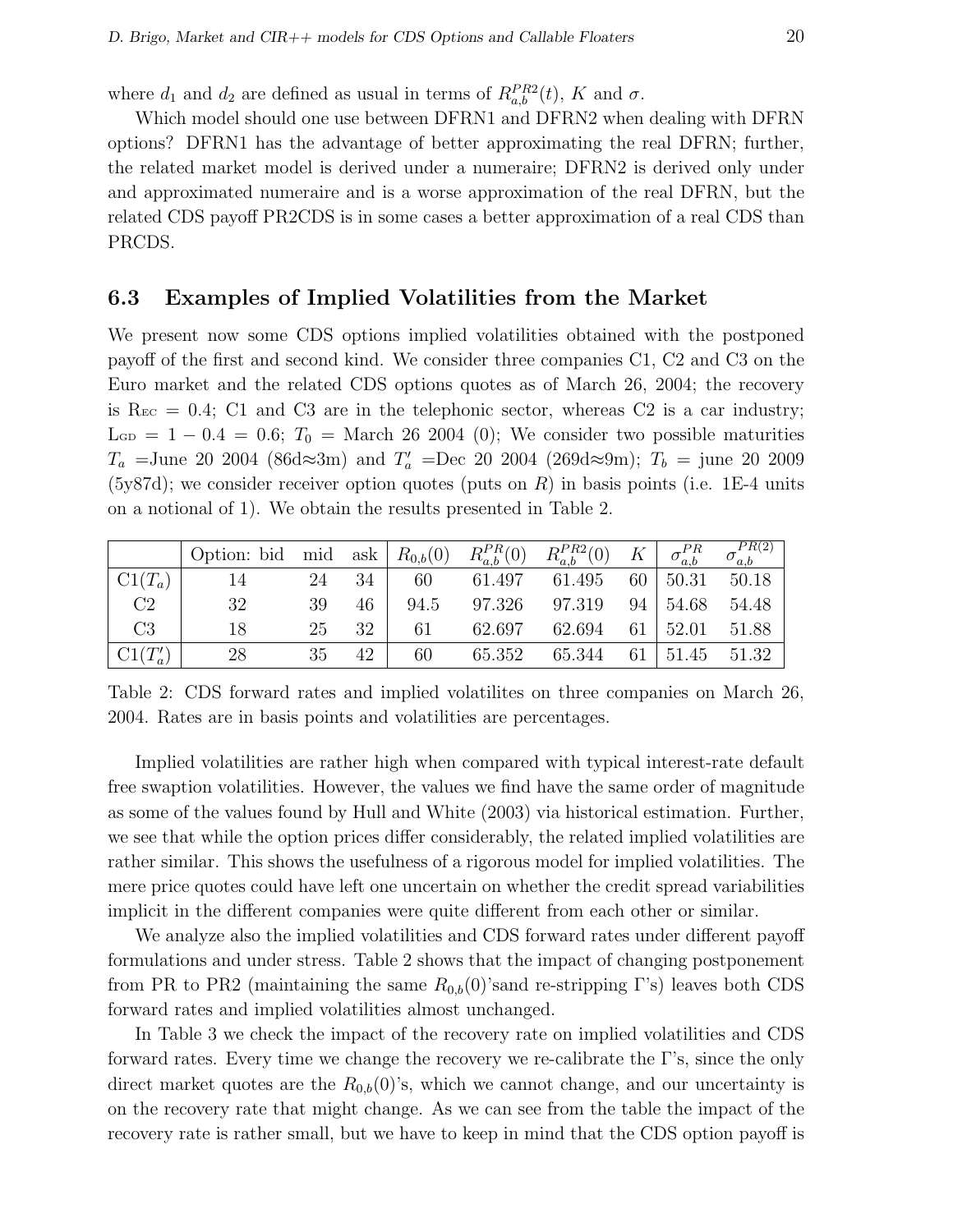where  $d_1$  and  $d_2$  are defined as usual in terms of  $R_{a,b}^{PR2}(t)$ , K and  $\sigma$ .

Which model should one use between DFRN1 and DFRN2 when dealing with DFRN options? DFRN1 has the advantage of better approximating the real DFRN; further, the related market model is derived under a numeraire; DFRN2 is derived only under and approximated numeraire and is a worse approximation of the real DFRN, but the related CDS payoff PR2CDS is in some cases a better approximation of a real CDS than PRCDS.

### 6.3 Examples of Implied Volatilities from the Market

We present now some CDS options implied volatilities obtained with the postponed payoff of the first and second kind. We consider three companies C1, C2 and C3 on the Euro market and the related CDS options quotes as of March 26, 2004; the recovery is  $\text{Rec} = 0.4$ ; C1 and C3 are in the telephonic sector, whereas C2 is a car industry;  $\rm L_{GD} = 1 - 0.4 = 0.6;$   $T_0 = \rm March 26 2004 (0);$  We consider two possible maturities  $T_a$  =June 20 2004 (86d≈3m) and  $T'_a$  =Dec 20 2004 (269d≈9m);  $T_b$  = june 20 2009  $(5y87d)$ ; we consider receiver option quotes (puts on R) in basis points (i.e. 1E-4 units on a notional of 1). We obtain the results presented in Table 2.

|                | Option: bid mid ask |    |    | $R_{0,b}(0)$ | $R_{a,b}^{PR}(0)$ | $R_{a,b}^{PR2}(0)$ | $K^-$ | $\sigma_{a,b}^{PR}$ | PR(2) |
|----------------|---------------------|----|----|--------------|-------------------|--------------------|-------|---------------------|-------|
| $Cl(T_a)$      | 14                  | 24 | 34 | 60           | 61.497            | 61.495             | 60    | 50.31               | 50.18 |
| C <sub>2</sub> | 32                  | 39 | 46 | 94.5         | 97.326            | 97.319             | 94    | 54.68               | 54.48 |
| C <sub>3</sub> | 18                  | 25 | 32 |              | 62.697            | 62.694             | 61    | 52.01               | 51.88 |
| $Cl(T'_a)$     | 28                  | 35 | 42 | 60           | 65.352            | 65.344             | 61    | 51.45               | 51.32 |

Table 2: CDS forward rates and implied volatilites on three companies on March 26, 2004. Rates are in basis points and volatilities are percentages.

Implied volatilities are rather high when compared with typical interest-rate default free swaption volatilities. However, the values we find have the same order of magnitude as some of the values found by Hull and White (2003) via historical estimation. Further, we see that while the option prices differ considerably, the related implied volatilities are rather similar. This shows the usefulness of a rigorous model for implied volatilities. The mere price quotes could have left one uncertain on whether the credit spread variabilities implicit in the different companies were quite different from each other or similar.

We analyze also the implied volatilities and CDS forward rates under different payoff formulations and under stress. Table 2 shows that the impact of changing postponement from PR to PR2 (maintaining the same  $R_{0,b}(0)$ 'sand re-stripping Γ's) leaves both CDS forward rates and implied volatilities almost unchanged.

In Table 3 we check the impact of the recovery rate on implied volatilities and CDS forward rates. Every time we change the recovery we re-calibrate the Γ's, since the only direct market quotes are the  $R_{0,b}(0)$ 's, which we cannot change, and our uncertainty is on the recovery rate that might change. As we can see from the table the impact of the recovery rate is rather small, but we have to keep in mind that the CDS option payoff is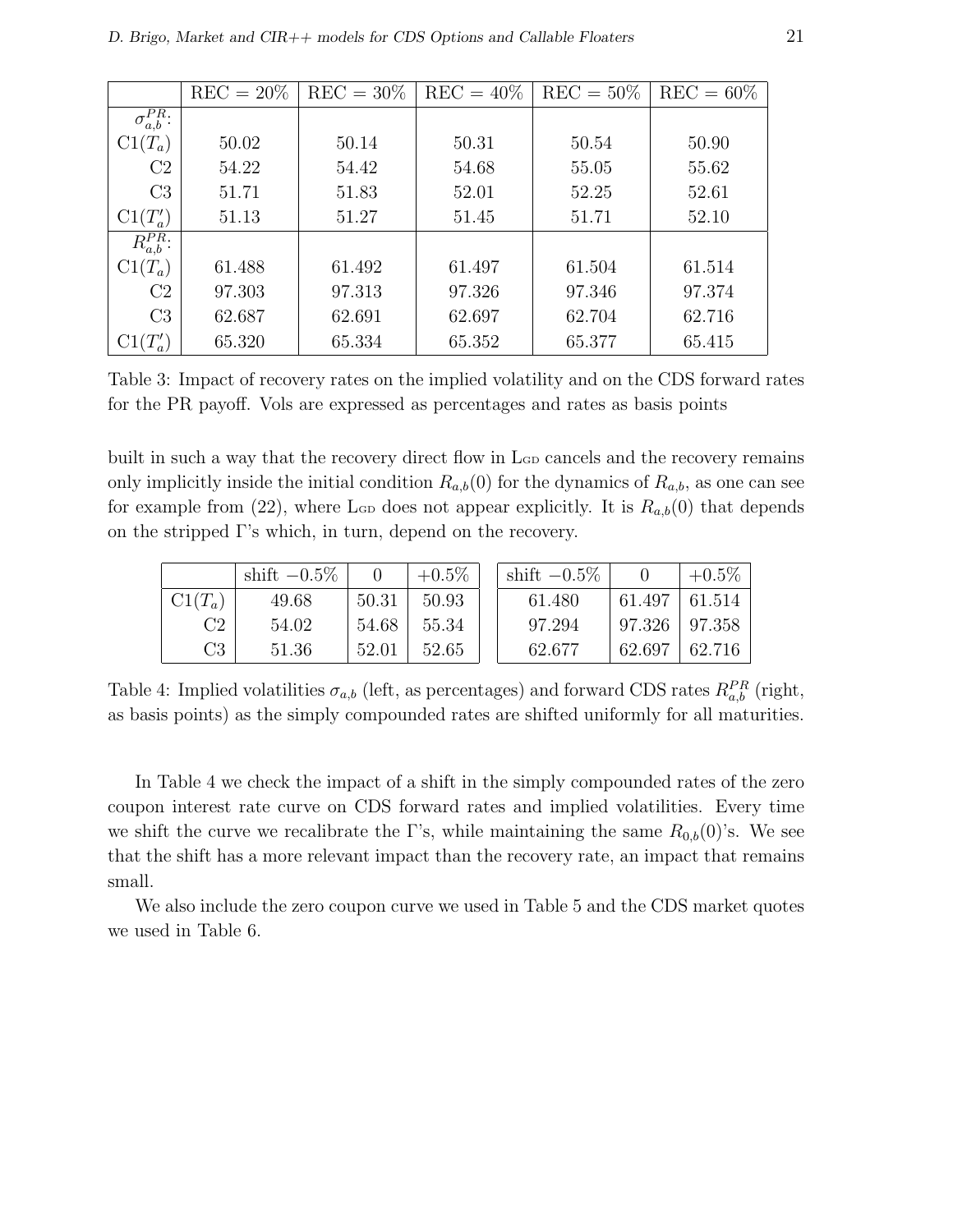|                       | $REC = 20\%$ | $REC = 30\%$ | $REC = 40\%$ | $REC = 50\%$ | $REC = 60\%$ |
|-----------------------|--------------|--------------|--------------|--------------|--------------|
| $\sigma_{a,b}^{PR}$ : |              |              |              |              |              |
| $C1(T_a)$             | 50.02        | 50.14        | 50.31        | 50.54        | 50.90        |
| C <sub>2</sub>        | 54.22        | 54.42        | 54.68        | 55.05        | 55.62        |
| C <sub>3</sub>        | 51.71        | 51.83        | 52.01        | 52.25        | 52.61        |
| $C1(T'_a)$            | 51.13        | 51.27        | 51.45        | 51.71        | 52.10        |
| $R_{a,b}^{PR}$ :      |              |              |              |              |              |
| $C1(T_a)$             | 61.488       | 61.492       | 61.497       | 61.504       | 61.514       |
| C <sub>2</sub>        | 97.303       | 97.313       | 97.326       | 97.346       | 97.374       |
| C <sub>3</sub>        | 62.687       | 62.691       | 62.697       | 62.704       | 62.716       |
| $(T_a')$              | 65.320       | 65.334       | 65.352       | 65.377       | 65.415       |

Table 3: Impact of recovery rates on the implied volatility and on the CDS forward rates for the PR payoff. Vols are expressed as percentages and rates as basis points

built in such a way that the recovery direct flow in L<sub>GD</sub> cancels and the recovery remains only implicitly inside the initial condition  $R_{a,b}(0)$  for the dynamics of  $R_{a,b}$ , as one can see for example from (22), where L<sub>GD</sub> does not appear explicitly. It is  $R_{a,b}(0)$  that depends on the stripped Γ's which, in turn, depend on the recovery.

|                | shift $-0.5\%$ |       | $+0.5\%$ | shift $-0.5\%$ |                     | $+0.5\%$ |
|----------------|----------------|-------|----------|----------------|---------------------|----------|
| $C1(T_a)$      | 49.68          | 50.31 | 50.93    | 61.480         | 61.497              | 61.514   |
| C2             | 54.02          | 54.68 | 55.34    | 97.294         | $97.326 \pm 97.358$ |          |
| C <sub>3</sub> | 51.36          | 52.01 | 52.65    | 62.677         | 62.697              | 62.716   |

Table 4: Implied volatilities  $\sigma_{a,b}$  (left, as percentages) and forward CDS rates  $R_{a,b}^{PR}$  (right, as basis points) as the simply compounded rates are shifted uniformly for all maturities.

In Table 4 we check the impact of a shift in the simply compounded rates of the zero coupon interest rate curve on CDS forward rates and implied volatilities. Every time we shift the curve we recalibrate the Γ's, while maintaining the same  $R_{0,b}(0)$ 's. We see that the shift has a more relevant impact than the recovery rate, an impact that remains small.

We also include the zero coupon curve we used in Table 5 and the CDS market quotes we used in Table 6.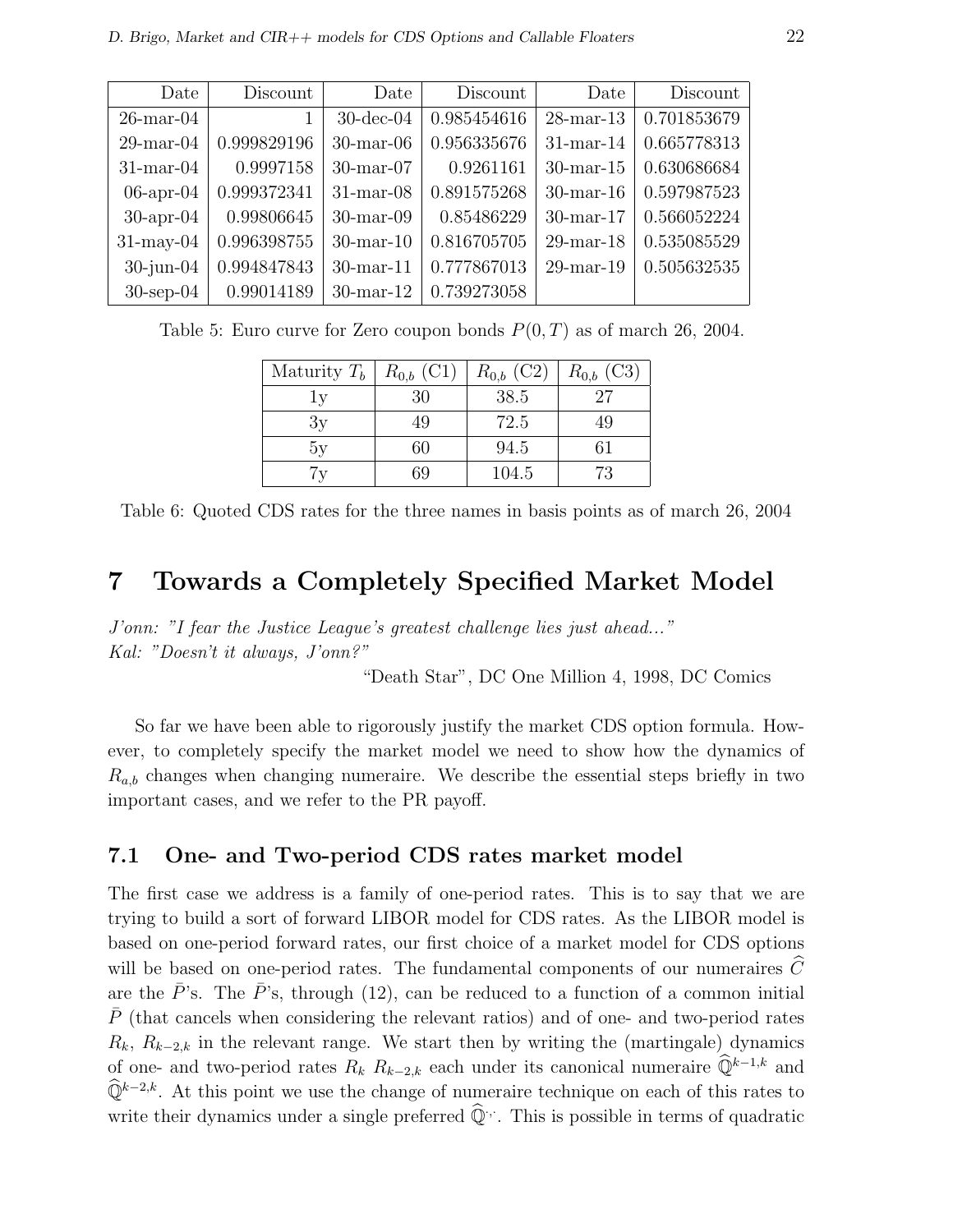| Date            | Discount    | Date            | Discount    | Date         | Discount    |
|-----------------|-------------|-----------------|-------------|--------------|-------------|
| $26$ -mar-04    |             | $30$ -dec- $04$ | 0.985454616 | $28$ -mar-13 | 0.701853679 |
| $29$ -mar- $04$ | 0.999829196 | $30$ -mar- $06$ | 0.956335676 | $31$ -mar-14 | 0.665778313 |
| $31$ -mar-04    | 0.9997158   | $30$ -mar- $07$ | 0.9261161   | $30$ -mar-15 | 0.630686684 |
| $06$ -apr- $04$ | 0.999372341 | $31$ -mar-08    | 0.891575268 | $30$ -mar-16 | 0.597987523 |
| $30$ -apr- $04$ | 0.99806645  | $30$ -mar- $09$ | 0.85486229  | $30$ -mar-17 | 0.566052224 |
| $31$ -may-04    | 0.996398755 | $30$ -mar-10    | 0.816705705 | $29$ -mar-18 | 0.535085529 |
| $30$ -jun- $04$ | 0.994847843 | $30$ -mar-11    | 0.777867013 | $29$ -mar-19 | 0.505632535 |
| $30$ -sep- $04$ | 0.99014189  | $30$ -mar-12    | 0.739273058 |              |             |

Table 5: Euro curve for Zero coupon bonds  $P(0, T)$  as of march 26, 2004.

| Maturity $T_b$ | $R_{0,b}$ (C1) | $R_{0,b}$ (C2) | $R_{0,b}$ (C3) |
|----------------|----------------|----------------|----------------|
| l v            | 30             | 38.5           | 27             |
| 3y             | 49             | 72.5           | 49             |
| 5y             | 60             | 94.5           | 61             |
| $\tau_{\rm V}$ |                | 104.5          | 73             |

Table 6: Quoted CDS rates for the three names in basis points as of march 26, 2004

# 7 Towards a Completely Specified Market Model

J'onn: "I fear the Justice League's greatest challenge lies just ahead..." Kal: "Doesn't it always, J'onn?"

"Death Star", DC One Million 4, 1998, DC Comics

So far we have been able to rigorously justify the market CDS option formula. However, to completely specify the market model we need to show how the dynamics of  $R_{a,b}$  changes when changing numeraire. We describe the essential steps briefly in two important cases, and we refer to the PR payoff.

## 7.1 One- and Two-period CDS rates market model

The first case we address is a family of one-period rates. This is to say that we are trying to build a sort of forward LIBOR model for CDS rates. As the LIBOR model is based on one-period forward rates, our first choice of a market model for CDS options will be based on one-period rates. The fundamental components of our numeraires  $C$ are the  $\bar{P}$ 's. The  $\bar{P}$ 's, through (12), can be reduced to a function of a common initial  $\bar{P}$  (that cancels when considering the relevant ratios) and of one- and two-period rates  $R_k$ ,  $R_{k-2,k}$  in the relevant range. We start then by writing the (martingale) dynamics of one- and two-period rates  $R_k$   $R_{k-2,k}$  each under its canonical numeraire  $\widehat{\mathbb{Q}}^{k-1,k}$  and  $\widehat{\mathbb{Q}}^{k-2,k}$ . At this point we use the change of numeraire technique on each of this rates to write their dynamics under a single preferred  $\widehat{\mathbb{Q}}^{\cdot,\cdot}$ . This is possible in terms of quadratic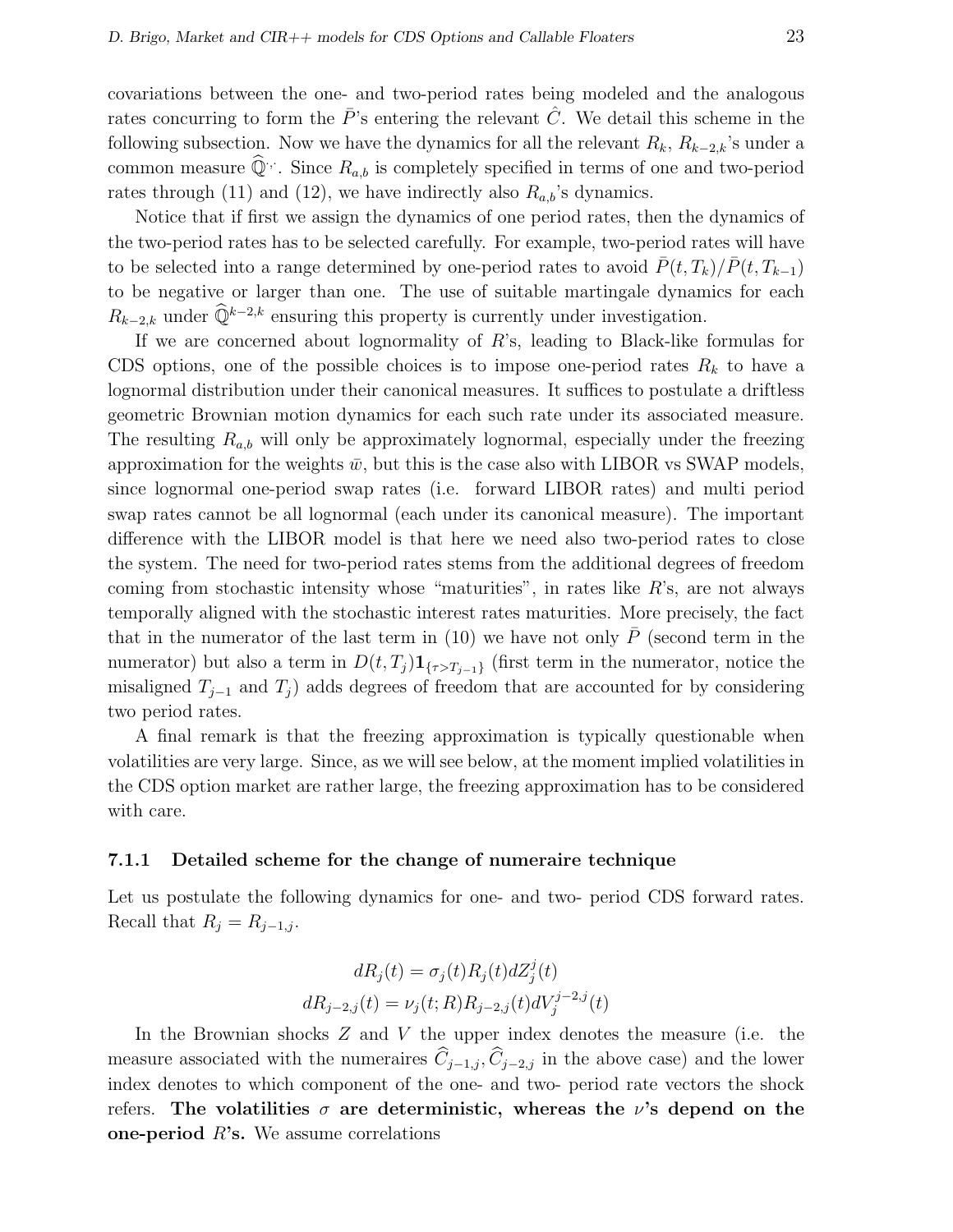covariations between the one- and two-period rates being modeled and the analogous rates concurring to form the  $\overline{P}$ 's entering the relevant  $\overline{C}$ . We detail this scheme in the following subsection. Now we have the dynamics for all the relevant  $R_k$ ,  $R_{k-2,k}$ 's under a common measure  $\widehat{\mathbb{Q}}^{\cdot,\cdot}$ . Since  $R_{a,b}$  is completely specified in terms of one and two-period rates through (11) and (12), we have indirectly also  $R_{a,b}$ 's dynamics.

Notice that if first we assign the dynamics of one period rates, then the dynamics of the two-period rates has to be selected carefully. For example, two-period rates will have to be selected into a range determined by one-period rates to avoid  $\bar{P}(t, T_k)/\bar{P}(t, T_{k-1})$ to be negative or larger than one. The use of suitable martingale dynamics for each  $R_{k-2,k}$  under  $\widehat{\mathbb{Q}}^{k-2,k}$  ensuring this property is currently under investigation.

If we are concerned about lognormality of  $R$ 's, leading to Black-like formulas for CDS options, one of the possible choices is to impose one-period rates  $R_k$  to have a lognormal distribution under their canonical measures. It suffices to postulate a driftless geometric Brownian motion dynamics for each such rate under its associated measure. The resulting  $R_{a,b}$  will only be approximately lognormal, especially under the freezing approximation for the weights  $\bar{w}$ , but this is the case also with LIBOR vs SWAP models, since lognormal one-period swap rates (i.e. forward LIBOR rates) and multi period swap rates cannot be all lognormal (each under its canonical measure). The important difference with the LIBOR model is that here we need also two-period rates to close the system. The need for two-period rates stems from the additional degrees of freedom coming from stochastic intensity whose "maturities", in rates like  $R$ 's, are not always temporally aligned with the stochastic interest rates maturities. More precisely, the fact that in the numerator of the last term in  $(10)$  we have not only P (second term in the numerator) but also a term in  $D(t, T_j) \mathbf{1}_{\{\tau > T_{j-1}\}}$  (first term in the numerator, notice the misaligned  $T_{j-1}$  and  $T_j$ ) adds degrees of freedom that are accounted for by considering two period rates.

A final remark is that the freezing approximation is typically questionable when volatilities are very large. Since, as we will see below, at the moment implied volatilities in the CDS option market are rather large, the freezing approximation has to be considered with care.

#### 7.1.1 Detailed scheme for the change of numeraire technique

Let us postulate the following dynamics for one- and two- period CDS forward rates. Recall that  $R_j = R_{j-1,j}$ .

$$
dR_j(t) = \sigma_j(t)R_j(t)dZ_j^j(t)
$$
  

$$
dR_{j-2,j}(t) = \nu_j(t;R)R_{j-2,j}(t)dV_j^{j-2,j}(t)
$$

In the Brownian shocks  $Z$  and  $V$  the upper index denotes the measure (i.e. the measure associated with the numeraires  $\hat{C}_{i-1,j}, \hat{C}_{i-2,j}$  in the above case) and the lower index denotes to which component of the one- and two- period rate vectors the shock refers. The volatilities  $\sigma$  are deterministic, whereas the  $\nu$ 's depend on the one-period  $R$ 's. We assume correlations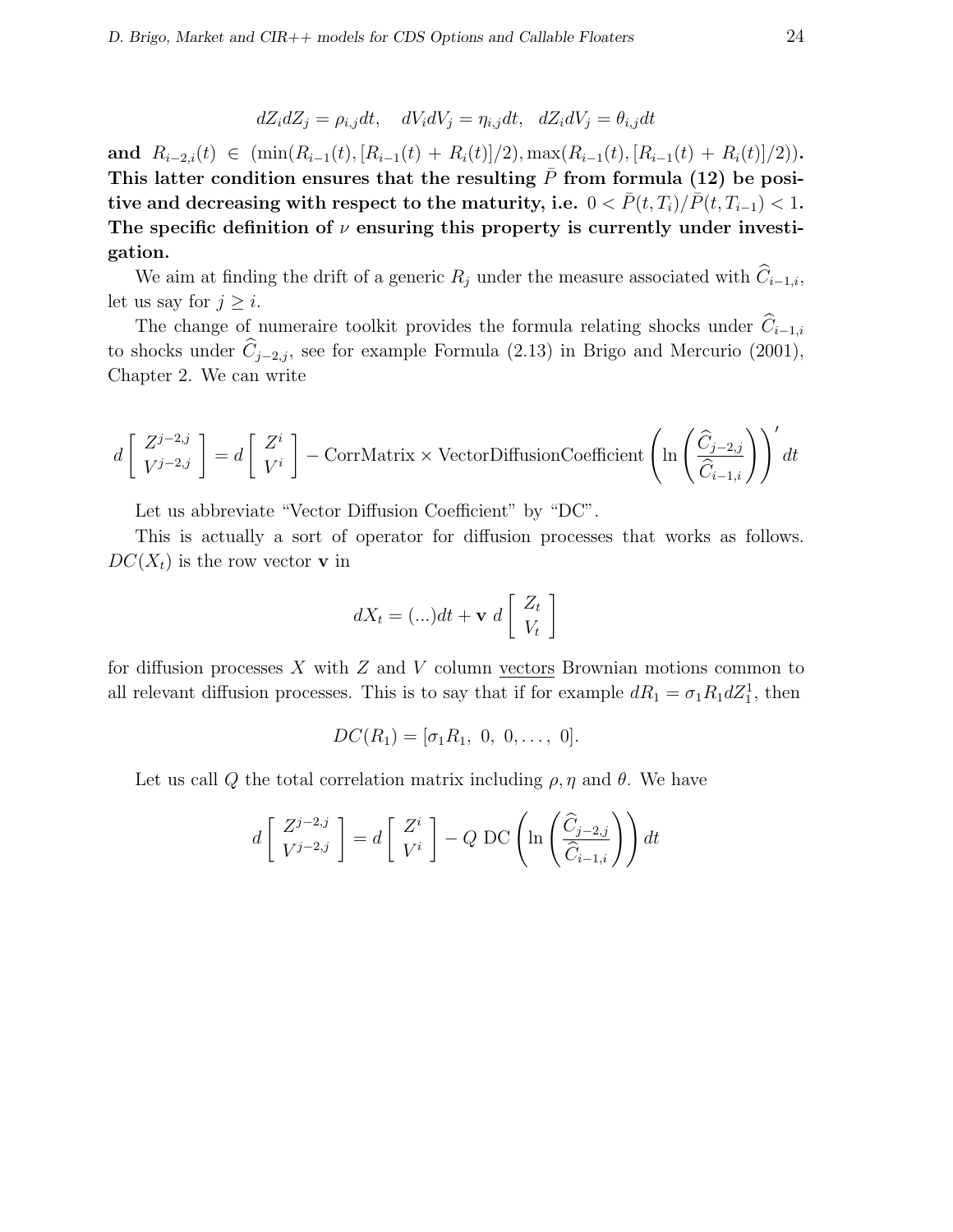$$
dZ_i dZ_j = \rho_{i,j} dt, \quad dV_i dV_j = \eta_{i,j} dt, \quad dZ_i dV_j = \theta_{i,j} dt
$$

and  $R_{i-2,i}(t) \in (\min(R_{i-1}(t), [R_{i-1}(t) + R_i(t)]/2), \max(R_{i-1}(t), [R_{i-1}(t) + R_i(t)]/2)).$ This latter condition ensures that the resulting  $P$  from formula (12) be positive and decreasing with respect to the maturity, i.e.  $0 < \overline{P}(t, T_i)/\overline{P}(t, T_{i-1}) < 1$ . The specific definition of  $\nu$  ensuring this property is currently under investigation.

We aim at finding the drift of a generic  $R_j$  under the measure associated with  $\widehat{C}_{i-1,i}$ , let us say for  $j \geq i$ .

The change of numeraire toolkit provides the formula relating shocks under  $\widehat{C}_{i-1,i}$ to shocks under  $\hat{C}_{j-2,j}$ , see for example Formula (2.13) in Brigo and Mercurio (2001), Chapter 2. We can write

$$
d\left[\begin{array}{c} Z^{j-2,j} \\ V^{j-2,j} \end{array}\right] = d\left[\begin{array}{c} Z^i \\ V^i \end{array}\right] - \text{CorrMatrix} \times \text{VectorDiffusionCoefficient}\left(\ln\left(\frac{\widehat{C}_{j-2,j}}{\widehat{C}_{i-1,i}}\right)\right)' dt
$$

Let us abbreviate "Vector Diffusion Coefficient" by "DC".

This is actually a sort of operator for diffusion processes that works as follows.  $DC(X_t)$  is the row vector **v** in

$$
dX_t = (\ldots)dt + \mathbf{v} \ d\begin{bmatrix} Z_t \\ V_t \end{bmatrix}
$$

for diffusion processes X with  $Z$  and V column vectors Brownian motions common to all relevant diffusion processes. This is to say that if for example  $dR_1 = \sigma_1 R_1 dZ_1^1$ , then

$$
DC(R_1) = [\sigma_1 R_1, 0, 0, \ldots, 0].
$$

Let us call Q the total correlation matrix including  $\rho$ ,  $\eta$  and  $\theta$ . We have

$$
d\left[\begin{array}{c} Z^{j-2,j} \\ V^{j-2,j} \end{array}\right] = d\left[\begin{array}{c} Z^i \\ V^i \end{array}\right] - Q \text{ DC}\left(\ln\left(\frac{\widehat{C}_{j-2,j}}{\widehat{C}_{i-1,i}}\right)\right) dt
$$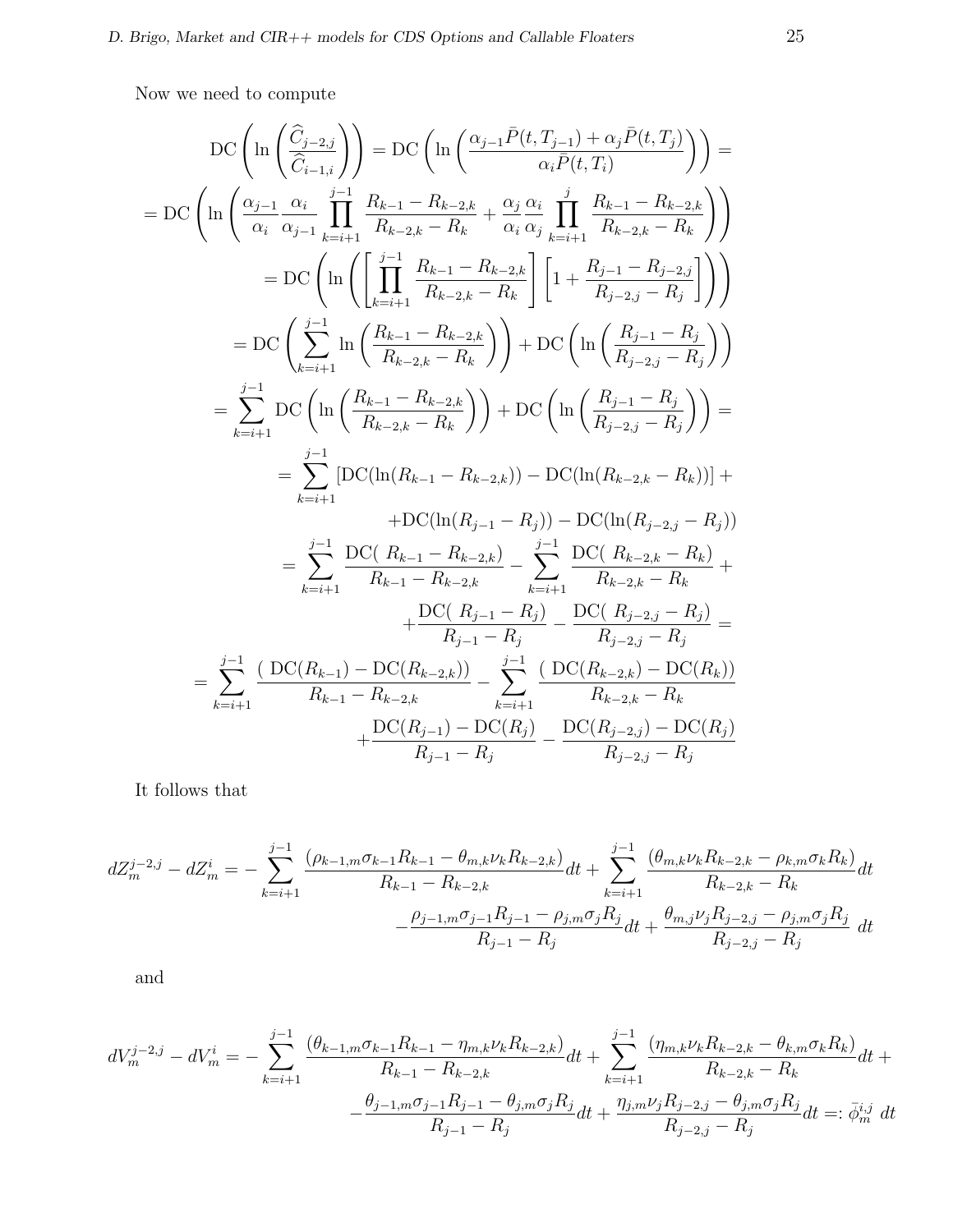Now we need to compute

$$
DC\left(\ln\left(\frac{\hat{C}_{j-2,j}}{\hat{C}_{i-1,i}}\right)\right) = DC\left(\ln\left(\frac{\alpha_{j-1}\bar{P}(t,T_{j-1}) + \alpha_{j}\bar{P}(t,T_{j})}{\alpha_{i}\bar{P}(t,T_{i})}\right)\right) =
$$
\n
$$
= DC\left(\ln\left(\frac{\alpha_{j-1}}{\alpha_{i}}\frac{\alpha_{i}}{\alpha_{j-1}}\prod_{k=i+1}^{j-1}\frac{R_{k-1}-R_{k-2,k}}{R_{k-2,k}-R_{k}}+\frac{\alpha_{j}}{\alpha_{i}}\frac{\alpha_{j}}{\alpha_{j}}\prod_{k=i+1}^{j}\frac{R_{k-1}-R_{k-2,k}}{R_{k-2,k}-R_{k}}\right)\right)
$$
\n
$$
= DC\left(\ln\left(\left[\prod_{k=i+1}^{j-1}\frac{R_{k-1}-R_{k-2,k}}{R_{k-2,k}-R_{k}}\right]\left[1+\frac{R_{j-1}-R_{j-2,j}}{R_{j-2,j}-R_{j}}\right]\right)\right)
$$
\n
$$
= DC\left(\sum_{k=i+1}^{j-1}\ln\left(\frac{R_{k-1}-R_{k-2,k}}{R_{k-2,k}-R_{k}}\right)\right) + DC\left(\ln\left(\frac{R_{j-1}-R_{j}}{R_{j-2,j}-R_{j}}\right)\right)
$$
\n
$$
= \sum_{k=i+1}^{j-1} DC\left(\ln\left(\frac{R_{k-1}-R_{k-2,k}}{R_{k-2,k}-R_{k}}\right)\right) + DC\left(\ln\left(\frac{R_{j-1}-R_{j}}{R_{j-2,j}-R_{j}}\right)\right) =
$$
\n
$$
= \sum_{k=i+1}^{j-1} [DC(\ln(R_{k-1}-R_{k-2,k})) - DC(\ln(R_{k-2,k}-R_{k}))] +
$$
\n
$$
+ DC(\ln(R_{j-1}-R_{j})) - DC(\ln(R_{j-2,j}-R_{j}))
$$
\n
$$
= \sum_{k=i+1}^{j-1} \frac{DC(R_{k-1}-R_{k-2,k})}{R_{k-1}-R_{k-2,k}} - \sum_{k=i+1}^{j-1} \frac{DC(R_{k-2,k}-R_{k})}{R_{k-2,k}-R_{k}} +
$$
\n
$$
+ \
$$

It follows that

$$
dZ_m^{j-2,j} - dZ_m^i = -\sum_{k=i+1}^{j-1} \frac{(\rho_{k-1,m}\sigma_{k-1}R_{k-1} - \theta_{m,k}\nu_kR_{k-2,k})}{R_{k-1} - R_{k-2,k}}dt + \sum_{k=i+1}^{j-1} \frac{(\theta_{m,k}\nu_kR_{k-2,k} - \rho_{k,m}\sigma_kR_k)}{R_{k-2,k} - R_k}dt
$$

$$
-\frac{\rho_{j-1,m}\sigma_{j-1}R_{j-1} - \rho_{j,m}\sigma_jR_j}{R_{j-1} - R_j}dt + \frac{\theta_{m,j}\nu_jR_{j-2,j} - \rho_{j,m}\sigma_jR_j}{R_{j-2,j} - R_j}dt
$$

and

$$
dV_m^{j-2,j} - dV_m^i = -\sum_{k=i+1}^{j-1} \frac{(\theta_{k-1,m}\sigma_{k-1}R_{k-1} - \eta_{m,k}\nu_kR_{k-2,k})}{R_{k-1} - R_{k-2,k}}dt + \sum_{k=i+1}^{j-1} \frac{(\eta_{m,k}\nu_kR_{k-2,k} - \theta_{k,m}\sigma_kR_k)}{R_{k-2,k} - R_k}dt + \frac{\theta_{j-1,m}\sigma_{j-1}R_{j-1} - \theta_{j,m}\sigma_jR_j}{R_{j-1} - R_j}dt + \frac{\eta_{j,m}\nu_jR_{j-2,j} - \theta_{j,m}\sigma_jR_j}{R_{j-2,j} - R_j}dt =: \bar{\phi}_m^{i,j} dt
$$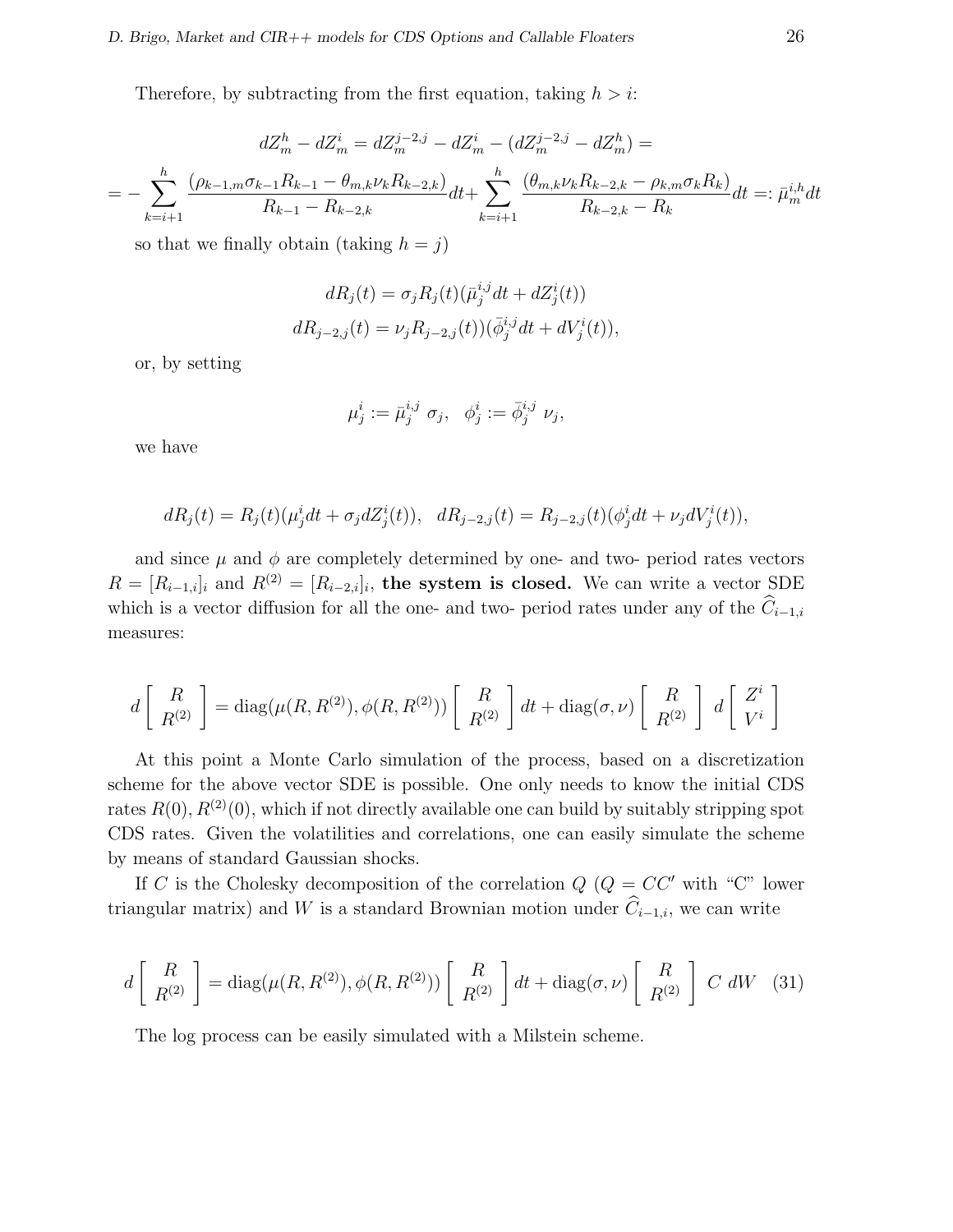Therefore, by subtracting from the first equation, taking  $h > i$ :

$$
dZ_m^h - dZ_m^i = dZ_m^{j-2,j} - dZ_m^i - (dZ_m^{j-2,j} - dZ_m^h) =
$$
  
= 
$$
-\sum_{k=i+1}^h \frac{(\rho_{k-1,m}\sigma_{k-1}R_{k-1} - \theta_{m,k}\nu_kR_{k-2,k})}{R_{k-1} - R_{k-2,k}}dt + \sum_{k=i+1}^h \frac{(\theta_{m,k}\nu_kR_{k-2,k} - \rho_{k,m}\sigma_kR_k)}{R_{k-2,k} - R_k}dt =: \bar{\mu}_m^{i,h}dt
$$

so that we finally obtain (taking  $h = j$ )

$$
dR_j(t) = \sigma_j R_j(t) (\bar{\mu}_j^{i,j} dt + dZ_j^i(t))
$$
  

$$
dR_{j-2,j}(t) = \nu_j R_{j-2,j}(t) (\bar{\phi}_j^{i,j} dt + dV_j^i(t)),
$$

or, by setting

$$
\mu_j^i := \bar{\mu}_j^{i,j} \sigma_j, \quad \phi_j^i := \bar{\phi}_j^{i,j} \nu_j,
$$

we have

$$
dR_j(t) = R_j(t)(\mu_j^i dt + \sigma_j dZ_j^i(t)), \quad dR_{j-2,j}(t) = R_{j-2,j}(t)(\phi_j^i dt + \nu_j dV_j^i(t)),
$$

and since  $\mu$  and  $\phi$  are completely determined by one- and two- period rates vectors  $R = [R_{i-1,i}]$  and  $R^{(2)} = [R_{i-2,i}]_i$ , the system is closed. We can write a vector SDE which is a vector diffusion for all the one- and two- period rates under any of the  $\widehat{C}_{i-1,i}$ measures:

$$
d\left[\begin{array}{c} R \\ R^{(2)} \end{array}\right] = \text{diag}(\mu(R, R^{(2)}), \phi(R, R^{(2)}))\left[\begin{array}{c} R \\ R^{(2)} \end{array}\right]dt + \text{diag}(\sigma, \nu)\left[\begin{array}{c} R \\ R^{(2)} \end{array}\right] d\left[\begin{array}{c} Z^i \\ V^i \end{array}\right]
$$

At this point a Monte Carlo simulation of the process, based on a discretization scheme for the above vector SDE is possible. One only needs to know the initial CDS rates  $R(0), R^{(2)}(0)$ , which if not directly available one can build by suitably stripping spot CDS rates. Given the volatilities and correlations, one can easily simulate the scheme by means of standard Gaussian shocks.

If C is the Cholesky decomposition of the correlation  $Q$  ( $Q = CC'$  with "C" lower triangular matrix) and W is a standard Brownian motion under  $\hat{C}_{i-1,i}$ , we can write

$$
d\begin{bmatrix} R \\ R^{(2)} \end{bmatrix} = \text{diag}(\mu(R, R^{(2)}), \phi(R, R^{(2)})) \begin{bmatrix} R \\ R^{(2)} \end{bmatrix} dt + \text{diag}(\sigma, \nu) \begin{bmatrix} R \\ R^{(2)} \end{bmatrix} C dW
$$
 (31)

The log process can be easily simulated with a Milstein scheme.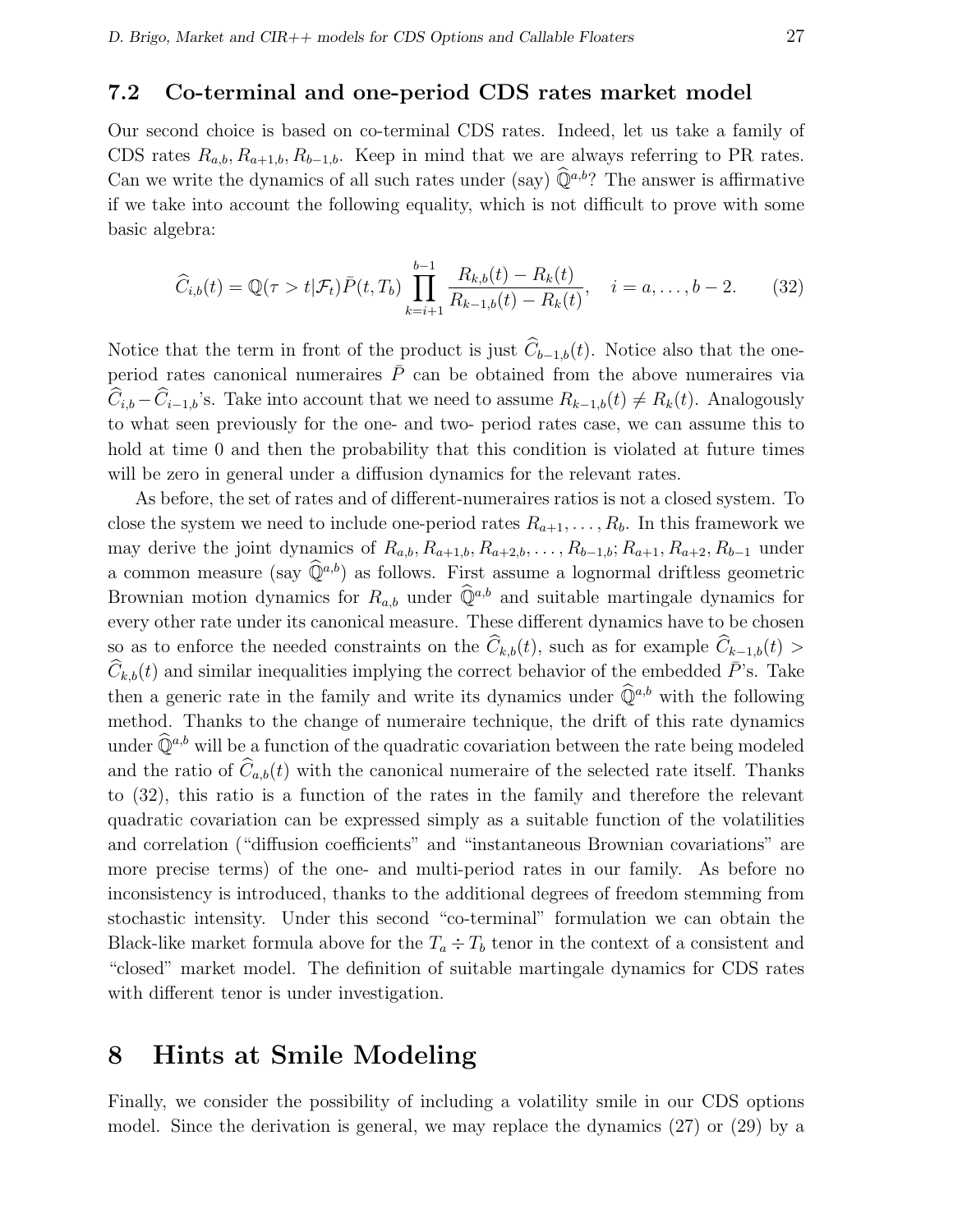### 7.2 Co-terminal and one-period CDS rates market model

Our second choice is based on co-terminal CDS rates. Indeed, let us take a family of CDS rates  $R_{a,b}, R_{a+1,b}, R_{b-1,b}$ . Keep in mind that we are always referring to PR rates. Can we write the dynamics of all such rates under (say)  $\widehat{\mathbb{Q}}^{a,b}$ ? The answer is affirmative if we take into account the following equality, which is not difficult to prove with some basic algebra:

$$
\widehat{C}_{i,b}(t) = \mathbb{Q}(\tau > t | \mathcal{F}_t) \bar{P}(t, T_b) \prod_{k=i+1}^{b-1} \frac{R_{k,b}(t) - R_k(t)}{R_{k-1,b}(t) - R_k(t)}, \quad i = a, \dots, b-2.
$$
 (32)

Notice that the term in front of the product is just  $\widehat{C}_{b-1,b}(t)$ . Notice also that the oneperiod rates canonical numeraires  $\bar{P}$  can be obtained from the above numeraires via  $\widehat{C}_{i,b} - \widehat{C}_{i-1,b}$ 's. Take into account that we need to assume  $R_{k-1,b}(t) \neq R_k(t)$ . Analogously to what seen previously for the one- and two- period rates case, we can assume this to hold at time 0 and then the probability that this condition is violated at future times will be zero in general under a diffusion dynamics for the relevant rates.

As before, the set of rates and of different-numeraires ratios is not a closed system. To close the system we need to include one-period rates  $R_{a+1}, \ldots, R_b$ . In this framework we may derive the joint dynamics of  $R_{a,b}, R_{a+1,b}, R_{a+2,b}, \ldots, R_{b-1,b}; R_{a+1}, R_{a+2}, R_{b-1}$  under a common measure (say  $\hat{\mathbb{Q}}^{a,b}$ ) as follows. First assume a lognormal driftless geometric Brownian motion dynamics for  $R_{a,b}$  under  $\widehat{\mathbb{Q}}^{a,b}$  and suitable martingale dynamics for every other rate under its canonical measure. These different dynamics have to be chosen so as to enforce the needed constraints on the  $\hat{C}_{k,b}(t)$ , such as for example  $\hat{C}_{k-1,b}(t)$  $\widehat{C}_{k,b}(t)$  and similar inequalities implying the correct behavior of the embedded  $\overline{P}$ 's. Take then a generic rate in the family and write its dynamics under  $\widehat{\mathbb{Q}}^{a,b}$  with the following method. Thanks to the change of numeraire technique, the drift of this rate dynamics under  $\widehat{\mathbb{Q}}^{a,b}$  will be a function of the quadratic covariation between the rate being modeled and the ratio of  $\widehat{C}_{a,b}(t)$  with the canonical numeraire of the selected rate itself. Thanks to (32), this ratio is a function of the rates in the family and therefore the relevant quadratic covariation can be expressed simply as a suitable function of the volatilities and correlation ("diffusion coefficients" and "instantaneous Brownian covariations" are more precise terms) of the one- and multi-period rates in our family. As before no inconsistency is introduced, thanks to the additional degrees of freedom stemming from stochastic intensity. Under this second "co-terminal" formulation we can obtain the Black-like market formula above for the  $T_a \div T_b$  tenor in the context of a consistent and "closed" market model. The definition of suitable martingale dynamics for CDS rates with different tenor is under investigation.

# 8 Hints at Smile Modeling

Finally, we consider the possibility of including a volatility smile in our CDS options model. Since the derivation is general, we may replace the dynamics (27) or (29) by a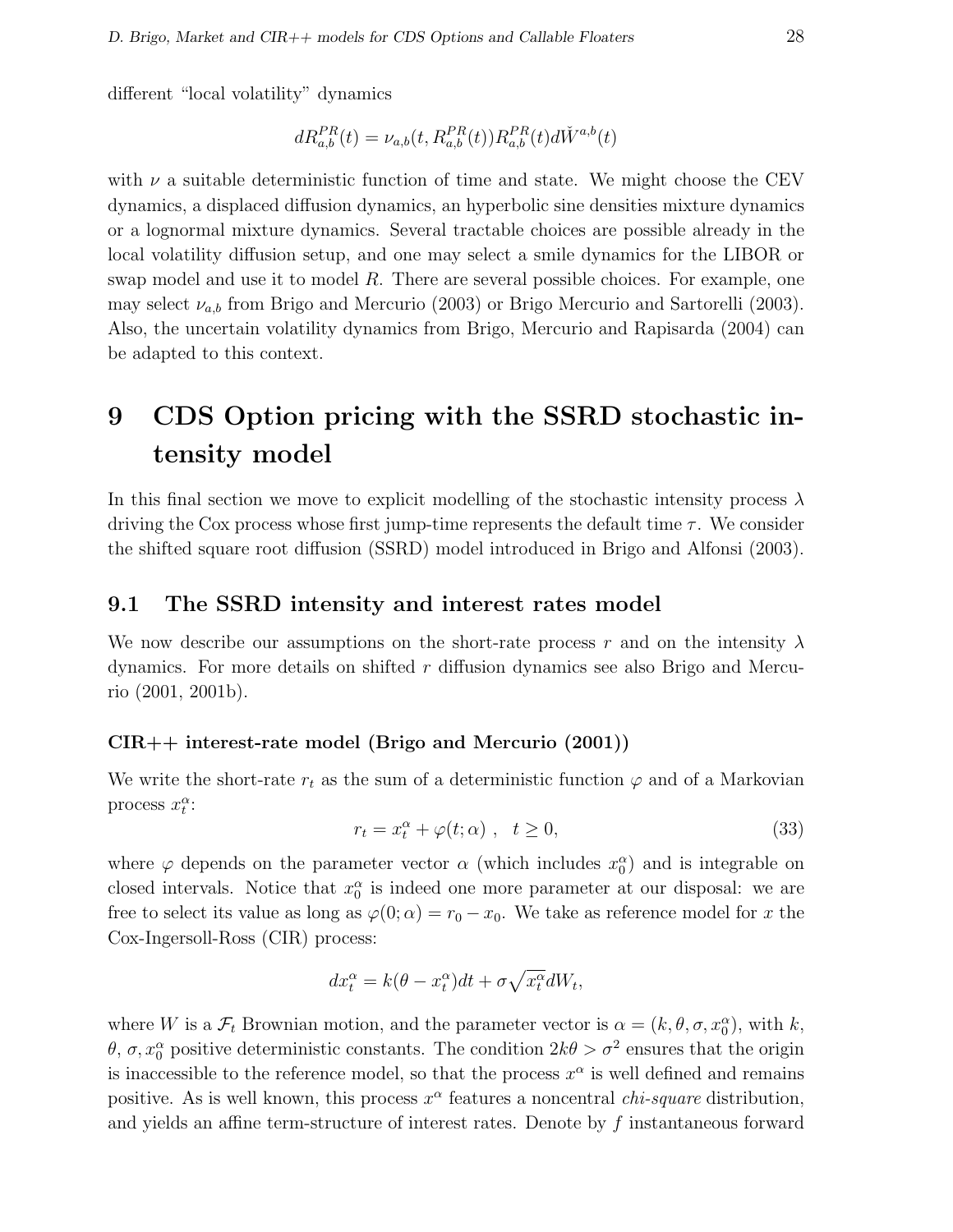different "local volatility" dynamics

$$
dR_{a,b}^{PR}(t) = \nu_{a,b}(t, R_{a,b}^{PR}(t))R_{a,b}^{PR}(t)d\check{W}^{a,b}(t)
$$

with  $\nu$  a suitable deterministic function of time and state. We might choose the CEV dynamics, a displaced diffusion dynamics, an hyperbolic sine densities mixture dynamics or a lognormal mixture dynamics. Several tractable choices are possible already in the local volatility diffusion setup, and one may select a smile dynamics for the LIBOR or swap model and use it to model  $R$ . There are several possible choices. For example, one may select  $\nu_{a,b}$  from Brigo and Mercurio (2003) or Brigo Mercurio and Sartorelli (2003). Also, the uncertain volatility dynamics from Brigo, Mercurio and Rapisarda (2004) can be adapted to this context.

# 9 CDS Option pricing with the SSRD stochastic intensity model

In this final section we move to explicit modelling of the stochastic intensity process  $\lambda$ driving the Cox process whose first jump-time represents the default time  $\tau$ . We consider the shifted square root diffusion (SSRD) model introduced in Brigo and Alfonsi (2003).

#### 9.1 The SSRD intensity and interest rates model

We now describe our assumptions on the short-rate process r and on the intensity  $\lambda$ dynamics. For more details on shifted  $r$  diffusion dynamics see also Brigo and Mercurio (2001, 2001b).

#### CIR++ interest-rate model (Brigo and Mercurio (2001))

We write the short-rate  $r_t$  as the sum of a deterministic function  $\varphi$  and of a Markovian process  $x_t^{\alpha}$ :

$$
r_t = x_t^{\alpha} + \varphi(t; \alpha) , \quad t \ge 0,
$$
\n(33)

where  $\varphi$  depends on the parameter vector  $\alpha$  (which includes  $x_0^{\alpha}$ ) and is integrable on closed intervals. Notice that  $x_0^{\alpha}$  is indeed one more parameter at our disposal: we are free to select its value as long as  $\varphi(0; \alpha) = r_0 - x_0$ . We take as reference model for x the Cox-Ingersoll-Ross (CIR) process:

$$
dx_t^{\alpha} = k(\theta - x_t^{\alpha})dt + \sigma \sqrt{x_t^{\alpha}}dW_t,
$$

where W is a  $\mathcal{F}_t$  Brownian motion, and the parameter vector is  $\alpha = (k, \theta, \sigma, x_0^{\alpha})$ , with k, θ, σ,  $x_0^{\alpha}$  positive deterministic constants. The condition  $2k\theta > \sigma^2$  ensures that the origin is inaccessible to the reference model, so that the process  $x^{\alpha}$  is well defined and remains positive. As is well known, this process  $x^{\alpha}$  features a noncentral *chi-square* distribution, and yields an affine term-structure of interest rates. Denote by f instantaneous forward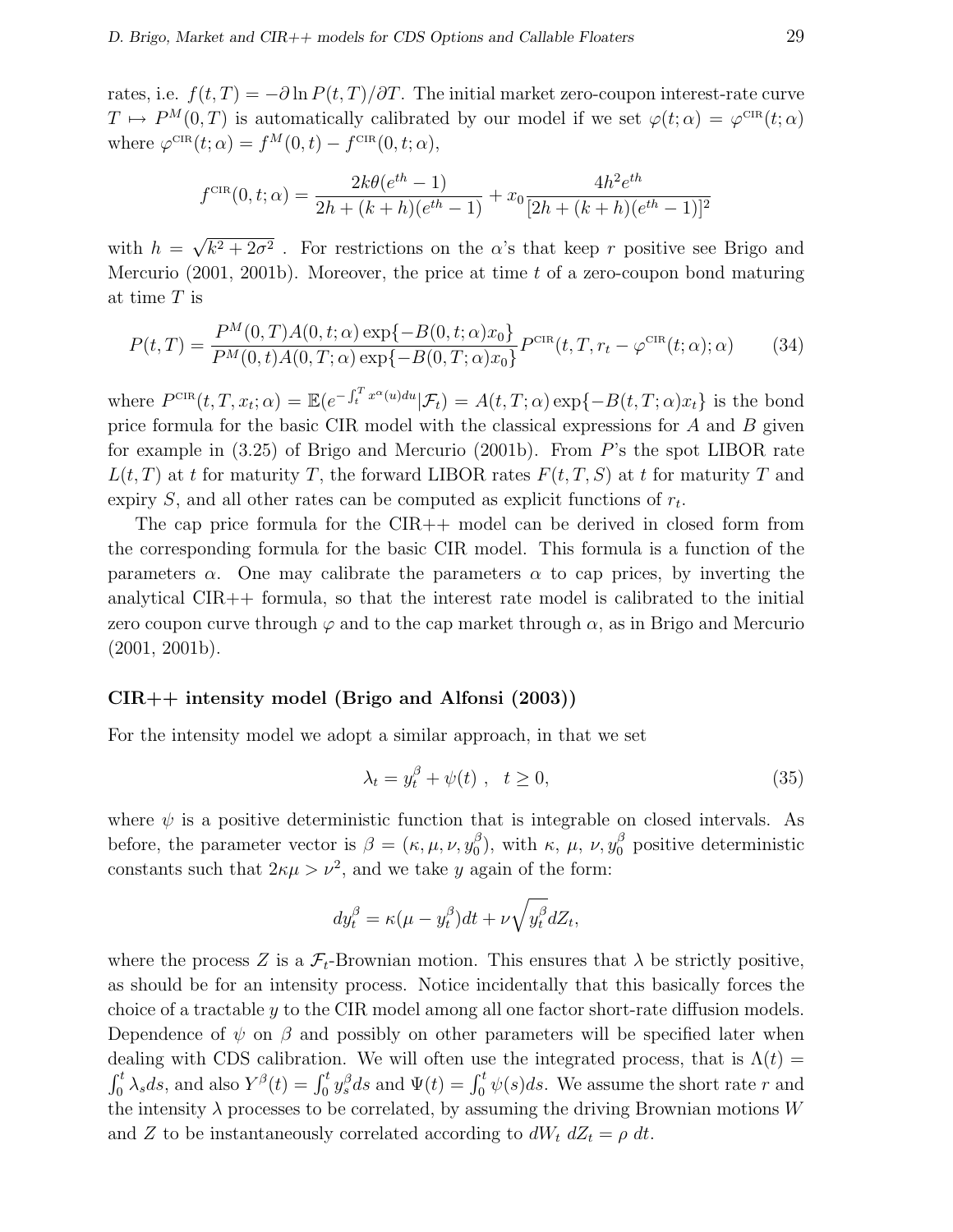rates, i.e.  $f(t,T) = -\partial \ln P(t,T)/\partial T$ . The initial market zero-coupon interest-rate curve  $T \mapsto P^{M}(0,T)$  is automatically calibrated by our model if we set  $\varphi(t;\alpha) = \varphi^{\text{CR}}(t;\alpha)$ where  $\varphi^{\text{CIR}}(t; \alpha) = f^M(0, t) - f^{\text{CIR}}(0, t; \alpha),$ 

$$
f^{\text{CIR}}(0, t; \alpha) = \frac{2k\theta(e^{th} - 1)}{2h + (k + h)(e^{th} - 1)} + x_0 \frac{4h^2 e^{th}}{[2h + (k + h)(e^{th} - 1)]^2}
$$

with  $h =$ √  $k^2 + 2\sigma^2$ . For restrictions on the  $\alpha$ 's that keep r positive see Brigo and Mercurio (2001, 2001b). Moreover, the price at time  $t$  of a zero-coupon bond maturing at time T is

$$
P(t,T) = \frac{P^M(0,T)A(0,t;\alpha)\exp\{-B(0,t;\alpha)x_0\}}{P^M(0,t)A(0,T;\alpha)\exp\{-B(0,T;\alpha)x_0\}}P^{\text{CIR}}(t,T,r_t-\varphi^{\text{CIR}}(t;\alpha);\alpha)
$$
(34)

where  $P^{\text{CR}}(t, T, x_t; \alpha) = \mathbb{E}(e^{-\int_t^T x^{\alpha}(u) du}|\mathcal{F}_t) = A(t, T; \alpha) \exp\{-B(t, T; \alpha)x_t\}$  is the bond price formula for the basic CIR model with the classical expressions for  $A$  and  $B$  given for example in (3.25) of Brigo and Mercurio (2001b). From P's the spot LIBOR rate  $L(t,T)$  at t for maturity T, the forward LIBOR rates  $F(t,T,S)$  at t for maturity T and expiry  $S$ , and all other rates can be computed as explicit functions of  $r_t$ .

The cap price formula for the CIR++ model can be derived in closed form from the corresponding formula for the basic CIR model. This formula is a function of the parameters  $\alpha$ . One may calibrate the parameters  $\alpha$  to cap prices, by inverting the analytical  $CIR++$  formula, so that the interest rate model is calibrated to the initial zero coupon curve through  $\varphi$  and to the cap market through  $\alpha$ , as in Brigo and Mercurio (2001, 2001b).

#### CIR++ intensity model (Brigo and Alfonsi (2003))

For the intensity model we adopt a similar approach, in that we set

$$
\lambda_t = y_t^{\beta} + \psi(t) , \quad t \ge 0,
$$
\n(35)

where  $\psi$  is a positive deterministic function that is integrable on closed intervals. As before, the parameter vector is  $\beta = (\kappa, \mu, \nu, y_0^{\beta})$  $\binom{β}{0}$ , with κ, μ, ν,  $y_0^β$  positive deterministic constants such that  $2\kappa\mu > \nu^2$ , and we take y again of the form:

$$
dy_t^{\beta} = \kappa(\mu - y_t^{\beta})dt + \nu \sqrt{y_t^{\beta}}dZ_t,
$$

where the process Z is a  $\mathcal{F}_t$ -Brownian motion. This ensures that  $\lambda$  be strictly positive, as should be for an intensity process. Notice incidentally that this basically forces the choice of a tractable  $y$  to the CIR model among all one factor short-rate diffusion models. Dependence of  $\psi$  on  $\beta$  and possibly on other parameters will be specified later when dealing with CDS calibration. We will often use the integrated process, that is  $\Lambda(t)$  =  $\frac{\mathrm{d} \mathbf{c}}{\mathrm{d} t}$ Early with CDS candidation. We will often use the integrated process, that is  $\Lambda(t) =$ <br>  $\int_0^t \lambda_s ds$ , and also  $Y^{\beta}(t) = \int_0^t y_s^{\beta} ds$  and  $\Psi(t) = \int_0^t \psi(s) ds$ . We assume the short rate r and the intensity  $\lambda$  processes to be correlated, by assuming the driving Brownian motions W and Z to be instantaneously correlated according to  $dW_t dZ_t = \rho dt$ .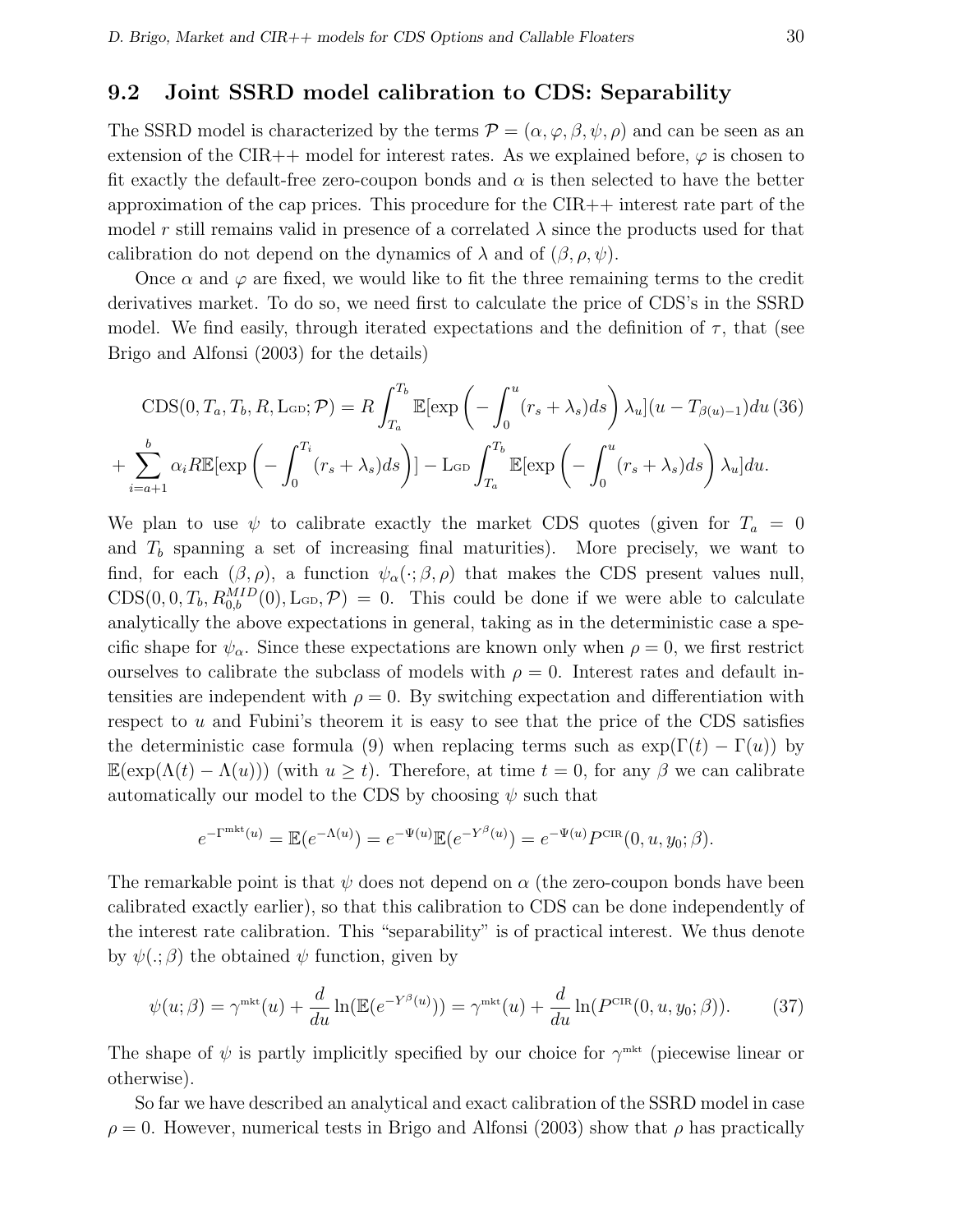### 9.2 Joint SSRD model calibration to CDS: Separability

The SSRD model is characterized by the terms  $\mathcal{P} = (\alpha, \varphi, \beta, \psi, \rho)$  and can be seen as an extension of the CIR++ model for interest rates. As we explained before,  $\varphi$  is chosen to fit exactly the default-free zero-coupon bonds and  $\alpha$  is then selected to have the better approximation of the cap prices. This procedure for the  $\text{CIR++}$  interest rate part of the model r still remains valid in presence of a correlated  $\lambda$  since the products used for that calibration do not depend on the dynamics of  $\lambda$  and of  $(\beta, \rho, \psi)$ .

Once  $\alpha$  and  $\varphi$  are fixed, we would like to fit the three remaining terms to the credit derivatives market. To do so, we need first to calculate the price of CDS's in the SSRD model. We find easily, through iterated expectations and the definition of  $\tau$ , that (see Brigo and Alfonsi (2003) for the details)

$$
CDS(0, T_a, T_b, R, \text{Lob}; \mathcal{P}) = R \int_{T_a}^{T_b} \mathbb{E}[\exp\left(-\int_0^u (r_s + \lambda_s) ds\right) \lambda_u](u - T_{\beta(u)-1}) du \text{ (36)}
$$

$$
+ \sum_{i=a+1}^b \alpha_i R \mathbb{E}[\exp\left(-\int_0^{T_i} (r_s + \lambda_s) ds\right)] - \text{Lob} \int_{T_a}^{T_b} \mathbb{E}[\exp\left(-\int_0^u (r_s + \lambda_s) ds\right) \lambda_u] du.
$$

We plan to use  $\psi$  to calibrate exactly the market CDS quotes (given for  $T_a = 0$ and  $T<sub>b</sub>$  spanning a set of increasing final maturities). More precisely, we want to find, for each  $(\beta, \rho)$ , a function  $\psi_{\alpha}(\cdot; \beta, \rho)$  that makes the CDS present values null,  $CDS(0, 0, T_b, R_{0,b}^{MID}(0), \text{L}_{GD}, \mathcal{P}) = 0$ . This could be done if we were able to calculate analytically the above expectations in general, taking as in the deterministic case a specific shape for  $\psi_{\alpha}$ . Since these expectations are known only when  $\rho = 0$ , we first restrict ourselves to calibrate the subclass of models with  $\rho = 0$ . Interest rates and default intensities are independent with  $\rho = 0$ . By switching expectation and differentiation with respect to u and Fubini's theorem it is easy to see that the price of the CDS satisfies the deterministic case formula (9) when replacing terms such as  $\exp(\Gamma(t) - \Gamma(u))$  by  $\mathbb{E}(\exp(\Lambda(t)-\Lambda(u)))$  (with  $u\geq t$ ). Therefore, at time  $t=0$ , for any  $\beta$  we can calibrate automatically our model to the CDS by choosing  $\psi$  such that

$$
e^{-\Gamma^{\text{mkt}}(u)} = \mathbb{E}(e^{-\Lambda(u)}) = e^{-\Psi(u)}\mathbb{E}(e^{-Y^{\beta}(u)}) = e^{-\Psi(u)}P^{\text{CIR}}(0, u, y_0; \beta).
$$

The remarkable point is that  $\psi$  does not depend on  $\alpha$  (the zero-coupon bonds have been calibrated exactly earlier), so that this calibration to CDS can be done independently of the interest rate calibration. This "separability" is of practical interest. We thus denote by  $\psi(.;\beta)$  the obtained  $\psi$  function, given by

$$
\psi(u;\beta) = \gamma^{\text{mkt}}(u) + \frac{d}{du}\ln(\mathbb{E}(e^{-Y^{\beta}(u)})) = \gamma^{\text{mkt}}(u) + \frac{d}{du}\ln(P^{\text{CIR}}(0, u, y_0; \beta)).\tag{37}
$$

The shape of  $\psi$  is partly implicitly specified by our choice for  $\gamma^{\text{mkt}}$  (piecewise linear or otherwise).

So far we have described an analytical and exact calibration of the SSRD model in case  $\rho = 0$ . However, numerical tests in Brigo and Alfonsi (2003) show that  $\rho$  has practically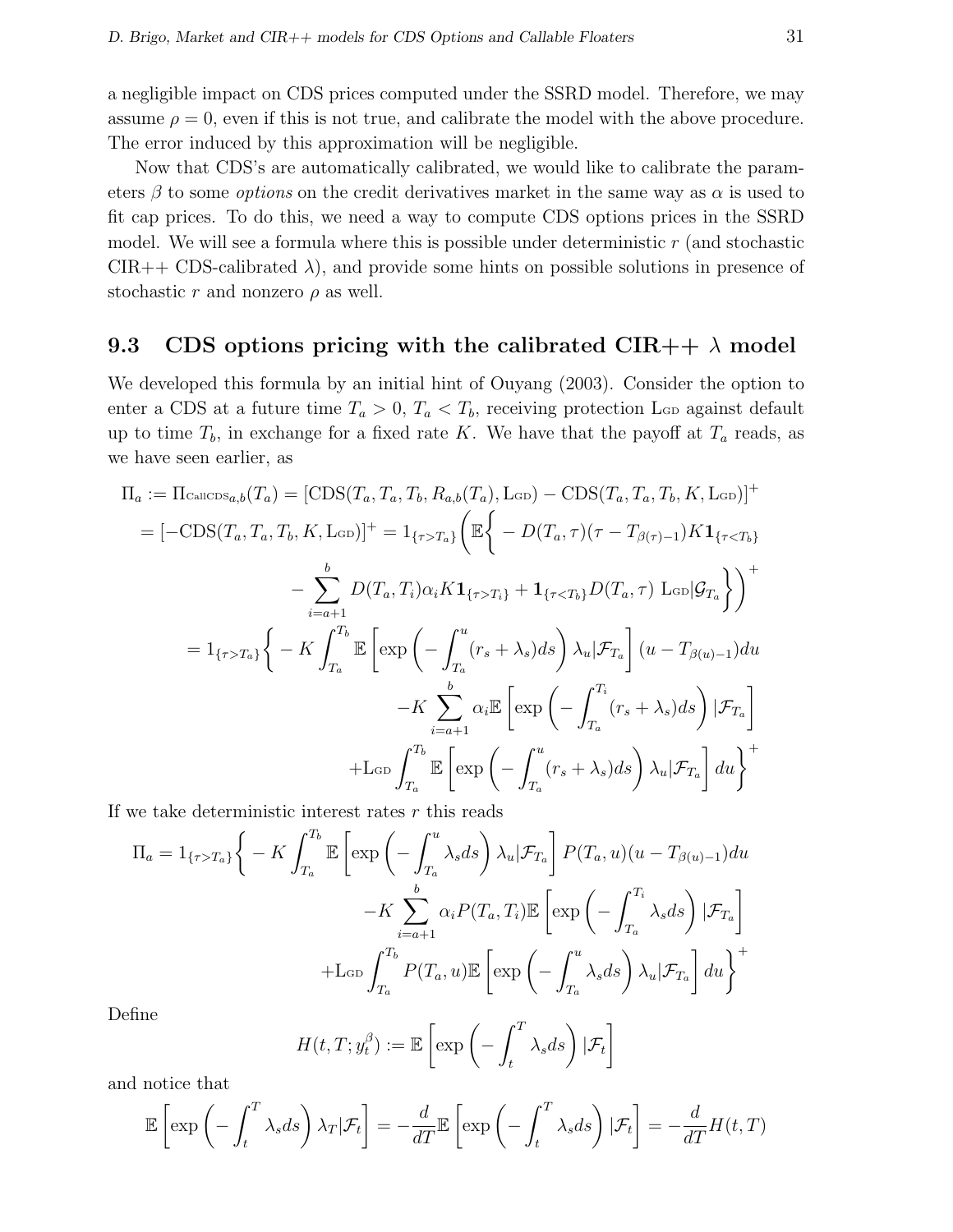a negligible impact on CDS prices computed under the SSRD model. Therefore, we may assume  $\rho = 0$ , even if this is not true, and calibrate the model with the above procedure. The error induced by this approximation will be negligible.

Now that CDS's are automatically calibrated, we would like to calibrate the parameters  $\beta$  to some *options* on the credit derivatives market in the same way as  $\alpha$  is used to fit cap prices. To do this, we need a way to compute CDS options prices in the SSRD model. We will see a formula where this is possible under deterministic  $r$  (and stochastic  $CIR++ CDS-calibrated \lambda$ , and provide some hints on possible solutions in presence of stochastic r and nonzero  $\rho$  as well.

### 9.3 CDS options pricing with the calibrated CIR++  $\lambda$  model

We developed this formula by an initial hint of Ouyang (2003). Consider the option to enter a CDS at a future time  $T_a > 0$ ,  $T_a < T_b$ , receiving protection L<sub>GD</sub> against default up to time  $T_b$ , in exchange for a fixed rate K. We have that the payoff at  $T_a$  reads, as we have seen earlier, as

$$
\Pi_a := \Pi_{\text{CalICDS}_{a,b}}(T_a) = [\text{CDS}(T_a, T_a, T_b, R_{a,b}(T_a), \text{LGD}) - \text{CDS}(T_a, T_a, T_b, K, \text{LGD})]^+
$$
\n
$$
= [-\text{CDS}(T_a, T_a, T_b, K, \text{LGD})]^+ = 1_{\{\tau > T_a\}} \left( \mathbb{E} \left\{ -D(T_a, \tau)(\tau - T_{\beta(\tau)-1}) K \mathbf{1}_{\{\tau < T_b\}} \right\} - \sum_{i=a+1}^b D(T_a, T_i) \alpha_i K \mathbf{1}_{\{\tau > T_i\}} + \mathbf{1}_{\{\tau < T_b\}} D(T_a, \tau) \text{LGD} | \mathcal{G}_{T_a} \right\} \right)^+
$$
\n
$$
= 1_{\{\tau > T_a\}} \left\{ -K \int_{T_a}^{T_b} \mathbb{E} \left[ \exp \left( -\int_{T_a}^u (r_s + \lambda_s) ds \right) \lambda_u | \mathcal{F}_{T_a} \right] (u - T_{\beta(u)-1}) du - K \sum_{i=a+1}^b \alpha_i \mathbb{E} \left[ \exp \left( -\int_{T_a}^{T_i} (r_s + \lambda_s) ds \right) | \mathcal{F}_{T_a} \right]
$$
\n
$$
+ \text{LGD} \int_{T_a}^{T_b} \mathbb{E} \left[ \exp \left( -\int_{T_a}^u (r_s + \lambda_s) ds \right) \lambda_u | \mathcal{F}_{T_a} \right] du \right\}^+
$$

If we take deterministic interest rates  $r$  this reads

$$
\Pi_{a} = 1_{\{\tau > T_{a}\}} \Bigg\{ -K \int_{T_{a}}^{T_{b}} \mathbb{E}\left[\exp\left(-\int_{T_{a}}^{u} \lambda_{s} ds\right) \lambda_{u} | \mathcal{F}_{T_{a}}\right] P(T_{a}, u)(u - T_{\beta(u)-1}) du \n- K \sum_{i=a+1}^{b} \alpha_{i} P(T_{a}, T_{i}) \mathbb{E}\left[\exp\left(-\int_{T_{a}}^{T_{i}} \lambda_{s} ds\right) | \mathcal{F}_{T_{a}}\right] \n+ \text{L}_{\text{GD}} \int_{T_{a}}^{T_{b}} P(T_{a}, u) \mathbb{E}\left[\exp\left(-\int_{T_{a}}^{u} \lambda_{s} ds\right) \lambda_{u} | \mathcal{F}_{T_{a}}\right] du \Bigg\}^{+}
$$

Define

$$
H(t, T; y_t^{\beta}) := \mathbb{E}\left[\exp\left(-\int_t^T \lambda_s ds\right)|\mathcal{F}_t\right]
$$

and notice that

$$
\mathbb{E}\left[\exp\left(-\int_t^T \lambda_s ds\right)\lambda_T|\mathcal{F}_t\right] = -\frac{d}{dT}\mathbb{E}\left[\exp\left(-\int_t^T \lambda_s ds\right)|\mathcal{F}_t\right] = -\frac{d}{dT}H(t,T)
$$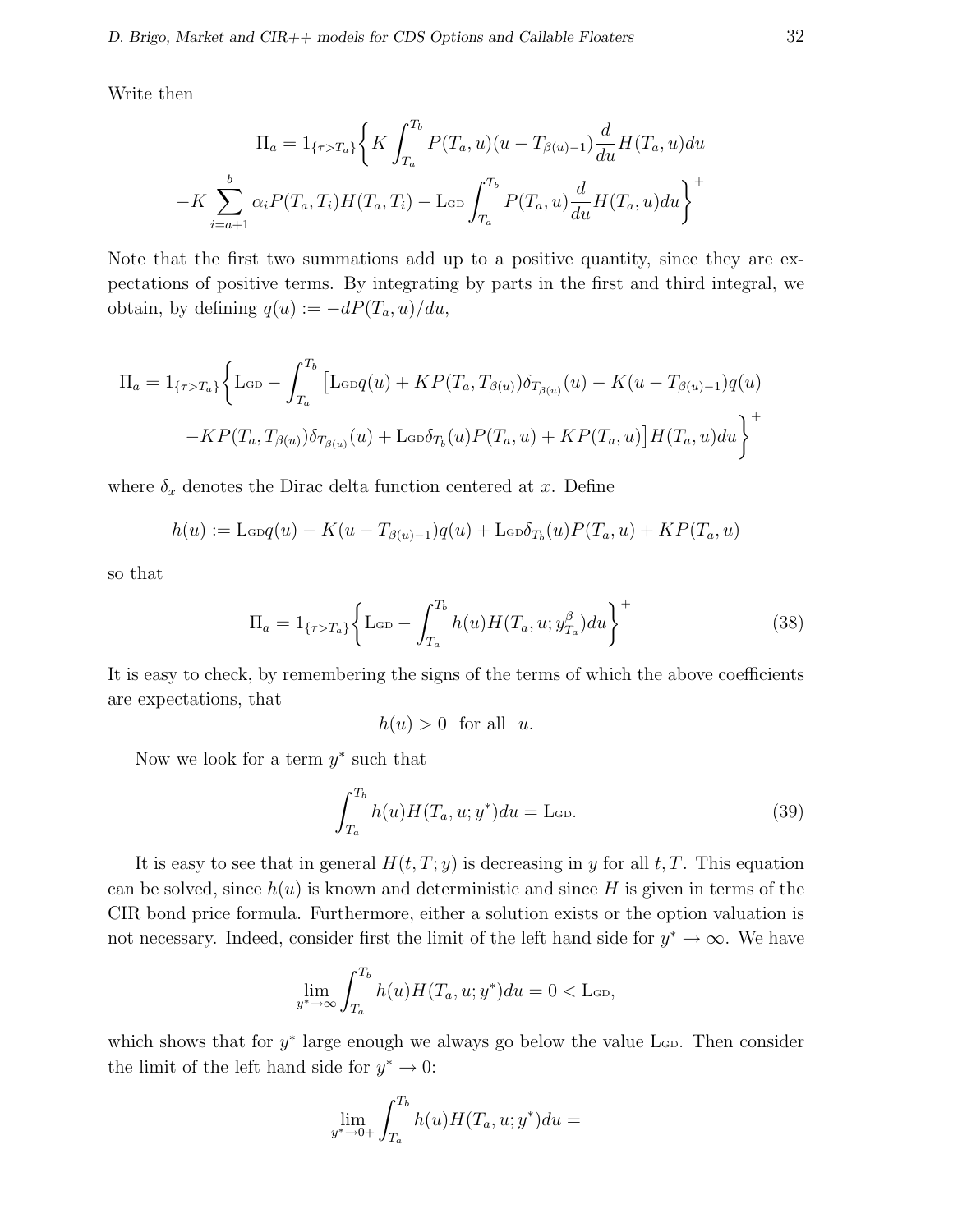Write then

$$
\Pi_a = 1_{\{\tau > T_a\}} \left\{ K \int_{T_a}^{T_b} P(T_a, u)(u - T_{\beta(u)-1}) \frac{d}{du} H(T_a, u) du \right\}
$$

$$
-K \sum_{i=a+1}^b \alpha_i P(T_a, T_i) H(T_a, T_i) - \text{L}_{GD} \int_{T_a}^{T_b} P(T_a, u) \frac{d}{du} H(T_a, u) du \right\}^+
$$

Note that the first two summations add up to a positive quantity, since they are expectations of positive terms. By integrating by parts in the first and third integral, we obtain, by defining  $q(u) := -dP(T_a, u)/du$ ,

$$
\Pi_{a} = 1_{\{\tau > T_{a}\}} \Biggl\{ \text{Lop} - \int_{T_{a}}^{T_{b}} \left[ \text{Lop}(u) + KP(T_{a}, T_{\beta(u)}) \delta_{T_{\beta(u)}}(u) - K(u - T_{\beta(u)-1}) q(u) \right. \\ \left. - KP(T_{a}, T_{\beta(u)}) \delta_{T_{\beta(u)}}(u) + \text{Lop} \delta_{T_{b}}(u) P(T_{a}, u) + KP(T_{a}, u) \right] H(T_{a}, u) du \Biggr\}^{+}
$$

where  $\delta_x$  denotes the Dirac delta function centered at x. Define

$$
h(u) := \text{L}\cos(q(u) - K(u - T_{\beta(u)-1})q(u) + \text{L}\cos\delta_{T_b}(u)P(T_a, u) + KP(T_a, u)
$$

so that

$$
\Pi_a = 1_{\{\tau > T_a\}} \left\{ L_{\text{GD}} - \int_{T_a}^{T_b} h(u) H(T_a, u; y_{T_a}^\beta) du \right\}^+ \tag{38}
$$

It is easy to check, by remembering the signs of the terms of which the above coefficients are expectations, that

$$
h(u) > 0 \text{ for all } u.
$$

Now we look for a term  $y^*$  such that

$$
\int_{T_a}^{T_b} h(u)H(T_a, u; y^*)du = \text{L}_{\text{GD}}.\tag{39}
$$

It is easy to see that in general  $H(t, T; y)$  is decreasing in y for all t, T. This equation can be solved, since  $h(u)$  is known and deterministic and since H is given in terms of the CIR bond price formula. Furthermore, either a solution exists or the option valuation is not necessary. Indeed, consider first the limit of the left hand side for  $y^* \to \infty$ . We have

$$
\lim_{y^* \to \infty} \int_{T_a}^{T_b} h(u) H(T_a, u; y^*) du = 0 < \text{Lap},
$$

which shows that for  $y^*$  large enough we always go below the value  $\text{L}_{\text{GD}}$ . Then consider the limit of the left hand side for  $y^* \to 0$ :

$$
\lim_{y^* \to 0+} \int_{T_a}^{T_b} h(u) H(T_a, u; y^*) du =
$$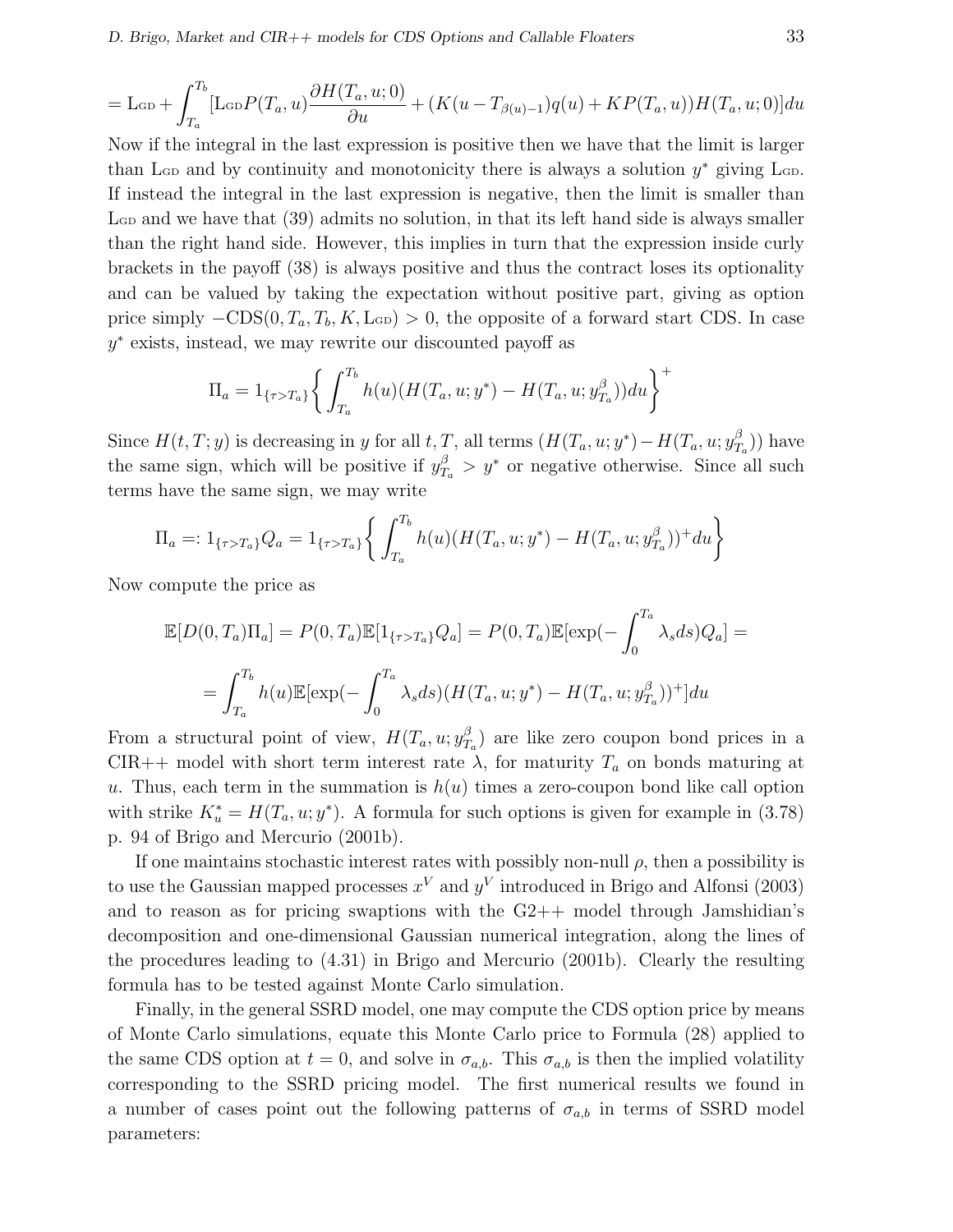$$
= \mathcal{L}_{GD} + \int_{T_a}^{T_b} [\mathcal{L}_{GD}P(T_a, u) \frac{\partial H(T_a, u; 0)}{\partial u} + (K(u - T_{\beta(u)-1})q(u) + KP(T_a, u))H(T_a, u; 0)]du
$$

Now if the integral in the last expression is positive then we have that the limit is larger than L<sub>GD</sub> and by continuity and monotonicity there is always a solution  $y^*$  giving L<sub>GD</sub>. If instead the integral in the last expression is negative, then the limit is smaller than  $\rm La$  and we have that (39) admits no solution, in that its left hand side is always smaller than the right hand side. However, this implies in turn that the expression inside curly brackets in the payoff (38) is always positive and thus the contract loses its optionality and can be valued by taking the expectation without positive part, giving as option price simply  $-CDS(0, T_a, T_b, K, \text{L}_{GD}) > 0$ , the opposite of a forward start CDS. In case y ∗ exists, instead, we may rewrite our discounted payoff as

$$
\Pi_a = 1_{\{\tau > T_a\}} \bigg\{ \int_{T_a}^{T_b} h(u) (H(T_a, u; y^*) - H(T_a, u; y_{T_a}^\beta)) du \bigg\}^+
$$

Since  $H(t,T; y)$  is decreasing in y for all t, T, all terms  $(H(T_a, u; y^*) - H(T_a, u; y_T^{\beta}))$  $T_a^{\beta}$ ) have the same sign, which will be positive if  $y_{T_a}^{\beta} > y^*$  or negative otherwise. Since all such terms have the same sign, we may write

$$
\Pi_a =: 1_{\{\tau > T_a\}} Q_a = 1_{\{\tau > T_a\}} \left\{ \int_{T_a}^{T_b} h(u) (H(T_a, u; y^*) - H(T_a, u; y_{T_a}^\beta))^+ du \right\}
$$

Now compute the price as

$$
\mathbb{E}[D(0,T_a)\Pi_a] = P(0,T_a)\mathbb{E}[1_{\{\tau>T_a\}}Q_a] = P(0,T_a)\mathbb{E}[\exp(-\int_0^{T_a} \lambda_s ds)Q_a] =
$$

$$
= \int_{T_a}^{T_b} h(u)\mathbb{E}[\exp(-\int_0^{T_a} \lambda_s ds)(H(T_a, u; y^*) - H(T_a, u; y_{T_a}^\beta))^+]du
$$

From a structural point of view,  $H(T_a, u; y_T^{\beta})$  $T_a$ ) are like zero coupon bond prices in a CIR++ model with short term interest rate  $\lambda$ , for maturity  $T_a$  on bonds maturing at u. Thus, each term in the summation is  $h(u)$  times a zero-coupon bond like call option with strike  $K_u^* = H(T_a, u; y^*)$ . A formula for such options is given for example in (3.78) p. 94 of Brigo and Mercurio (2001b).

If one maintains stochastic interest rates with possibly non-null  $\rho$ , then a possibility is to use the Gaussian mapped processes  $x^V$  and  $y^V$  introduced in Brigo and Alfonsi (2003) and to reason as for pricing swaptions with the  $G2++$  model through Jamshidian's decomposition and one-dimensional Gaussian numerical integration, along the lines of the procedures leading to (4.31) in Brigo and Mercurio (2001b). Clearly the resulting formula has to be tested against Monte Carlo simulation.

Finally, in the general SSRD model, one may compute the CDS option price by means of Monte Carlo simulations, equate this Monte Carlo price to Formula (28) applied to the same CDS option at  $t = 0$ , and solve in  $\sigma_{a,b}$ . This  $\sigma_{a,b}$  is then the implied volatility corresponding to the SSRD pricing model. The first numerical results we found in a number of cases point out the following patterns of  $\sigma_{a,b}$  in terms of SSRD model parameters: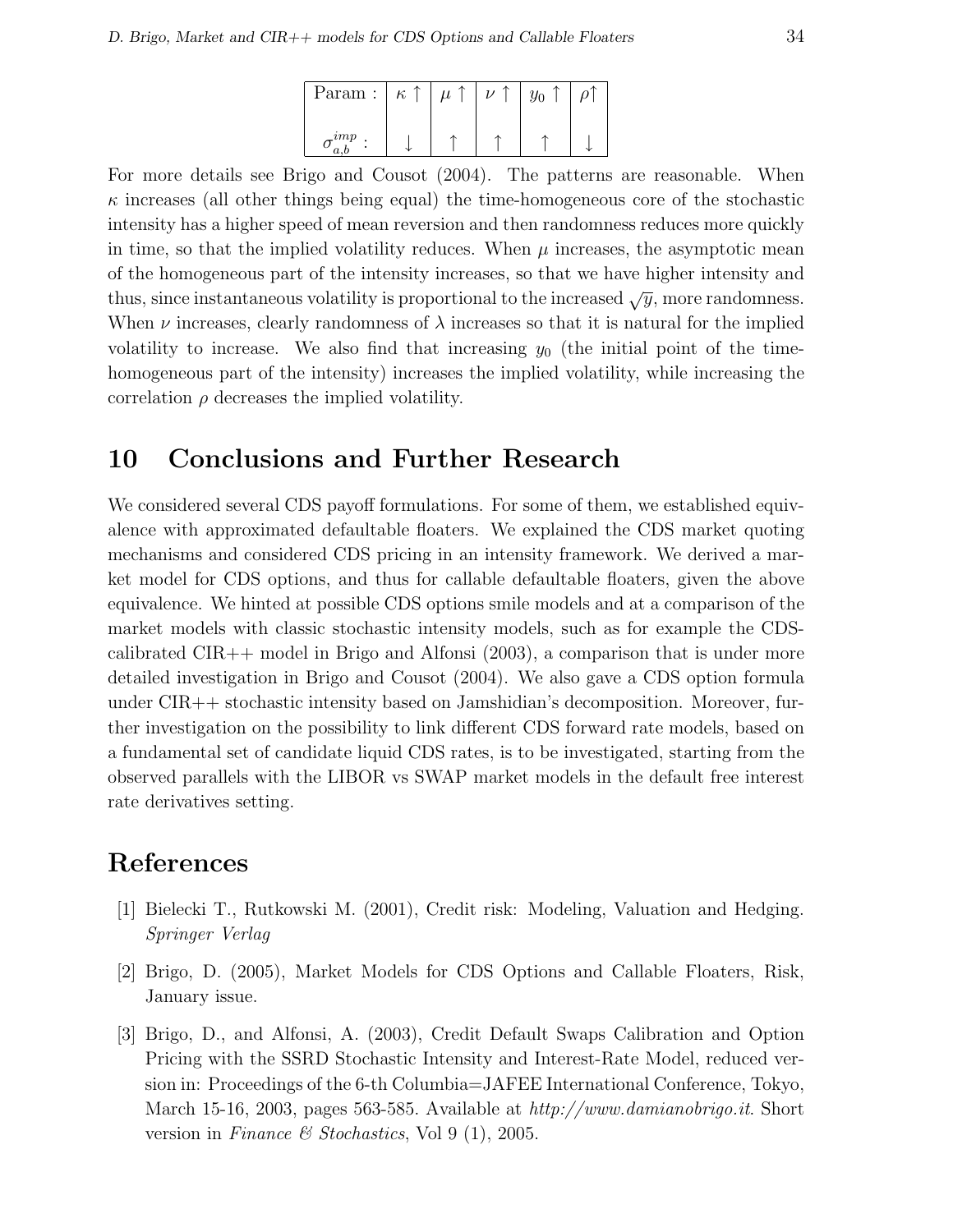| Param:        | $\kappa$ |  |  |
|---------------|----------|--|--|
| $\frac{1}{2}$ |          |  |  |

For more details see Brigo and Cousot (2004). The patterns are reasonable. When  $\kappa$  increases (all other things being equal) the time-homogeneous core of the stochastic intensity has a higher speed of mean reversion and then randomness reduces more quickly in time, so that the implied volatility reduces. When  $\mu$  increases, the asymptotic mean of the homogeneous part of the intensity increases, so that we have higher intensity and thus, since instantaneous volatility is proportional to the increased  $\sqrt{y}$ , more randomness. When  $\nu$  increases, clearly randomness of  $\lambda$  increases so that it is natural for the implied volatility to increase. We also find that increasing  $y_0$  (the initial point of the timehomogeneous part of the intensity) increases the implied volatility, while increasing the correlation  $\rho$  decreases the implied volatility.

# 10 Conclusions and Further Research

We considered several CDS payoff formulations. For some of them, we established equivalence with approximated defaultable floaters. We explained the CDS market quoting mechanisms and considered CDS pricing in an intensity framework. We derived a market model for CDS options, and thus for callable defaultable floaters, given the above equivalence. We hinted at possible CDS options smile models and at a comparison of the market models with classic stochastic intensity models, such as for example the CDScalibrated  $CIR++$  model in Brigo and Alfonsi (2003), a comparison that is under more detailed investigation in Brigo and Cousot (2004). We also gave a CDS option formula under CIR++ stochastic intensity based on Jamshidian's decomposition. Moreover, further investigation on the possibility to link different CDS forward rate models, based on a fundamental set of candidate liquid CDS rates, is to be investigated, starting from the observed parallels with the LIBOR vs SWAP market models in the default free interest rate derivatives setting.

# References

- [1] Bielecki T., Rutkowski M. (2001), Credit risk: Modeling, Valuation and Hedging. Springer Verlag
- [2] Brigo, D. (2005), Market Models for CDS Options and Callable Floaters, Risk, January issue.
- [3] Brigo, D., and Alfonsi, A. (2003), Credit Default Swaps Calibration and Option Pricing with the SSRD Stochastic Intensity and Interest-Rate Model, reduced version in: Proceedings of the 6-th Columbia=JAFEE International Conference, Tokyo, March 15-16, 2003, pages 563-585. Available at http://www.damianobrigo.it. Short version in Finance & Stochastics, Vol 9 (1), 2005.